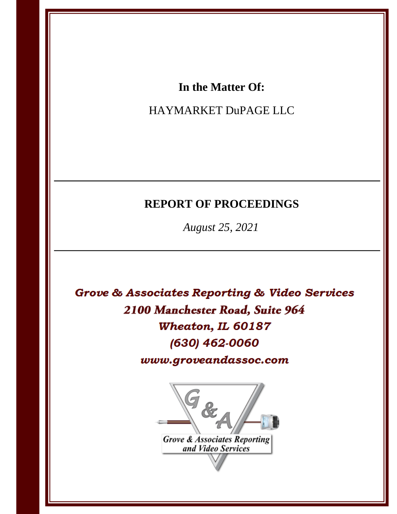## In the Matter Of:

# HAYMARKET DuPAGE LLC

# **REPORT OF PROCEEDINGS**

August 25, 2021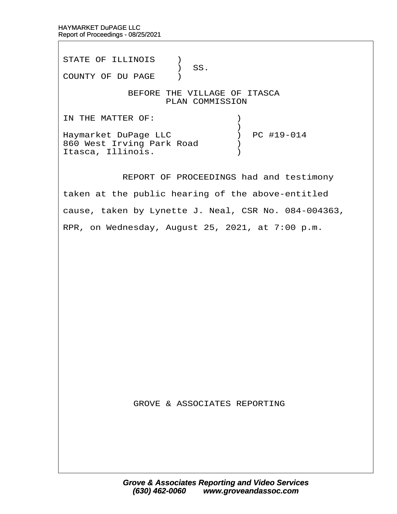Itasca, Illinois. (a)

STATE OF ILLINOIS )  $\big)$  SS. COUNTY OF DU PAGE ) BEFORE THE VILLAGE OF ITASCA PLAN COMMISSION IN THE MATTER OF:  $\qquad \qquad$  )  $\hspace{0.5cm}$   $\hspace{0.5cm}$   $\hspace{0.5cm}$   $\hspace{0.5cm}$   $\hspace{0.5cm}$   $\hspace{0.5cm}$   $\hspace{0.5cm}$   $\hspace{0.5cm}$   $\hspace{0.5cm}$   $\hspace{0.5cm}$   $\hspace{0.5cm}$   $\hspace{0.5cm}$   $\hspace{0.5cm}$   $\hspace{0.5cm}$   $\hspace{0.5cm}$   $\hspace{0.5cm}$   $\hspace{0.5cm}$   $\hspace{0.5cm}$   $\hspace{$ Haymarket DuPage LLC  $\qquad \qquad$  ) PC #19-014 860 West Irving Park Road  $\qquad$ 

REPORT OF PROCEEDINGS had and testimony

taken at the public hearing of the above-entitled

cause, taken by Lynette J. Neal, CSR No. 084-004363,

RPR, on Wednesday, August 25, 2021, at 7:00 p.m.

**GROVE & ASSOCIATES REPORTING**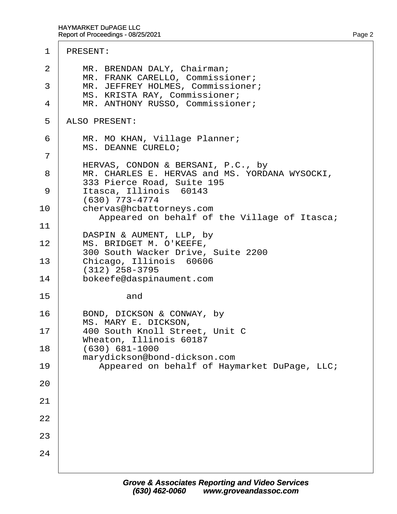### 1 PRESENT:

| 2<br>3<br>4 | MR. BRENDAN DALY, Chairman;<br>MR. FRANK CARELLO, Commissioner;<br>MR. JEFFREY HOLMES, Commissioner;<br>MS. KRISTA RAY, Commissioner;<br>MR. ANTHONY RUSSO, Commissioner; |
|-------------|---------------------------------------------------------------------------------------------------------------------------------------------------------------------------|
| 5           | <b>ALSO PRESENT:</b>                                                                                                                                                      |
| 6           | MR. MO KHAN, Village Planner;<br><b>MS. DEANNE CURELO:</b>                                                                                                                |
| 7<br>8<br>9 | HERVAS, CONDON & BERSANI, P.C., by<br>MR. CHARLES E. HERVAS and MS. YORDANA WYSOCKI,<br>333 Pierce Road, Suite 195<br>Itasca, Illinois 60143<br>(630) 773-4774            |
| 10          | chervas@hcbattorneys.com<br>Appeared on behalf of the Village of Itasca;                                                                                                  |
| 11<br>12    | DASPIN & AUMENT, LLP, by<br>MS. BRIDGET M. O'KEEFE,<br>300 South Wacker Drive, Suite 2200                                                                                 |
| 13<br>14    | Chicago, Illinois 60606<br>(312) 258-3795                                                                                                                                 |
| 15          | bokeefe@daspinaument.com<br>and                                                                                                                                           |
| 16          | BOND, DICKSON & CONWAY, by<br>MS. MARY E. DICKSON,                                                                                                                        |
| 17<br>18    | 400 South Knoll Street, Unit C<br>Wheaton, Illinois 60187<br>$(630) 681 - 1000$                                                                                           |
| 19          | marydickson@bond-dickson.com<br>Appeared on behalf of Haymarket DuPage, LLC;                                                                                              |
| 20          |                                                                                                                                                                           |
| 21          |                                                                                                                                                                           |
| 22          |                                                                                                                                                                           |
| 23          |                                                                                                                                                                           |
| 24          |                                                                                                                                                                           |
|             |                                                                                                                                                                           |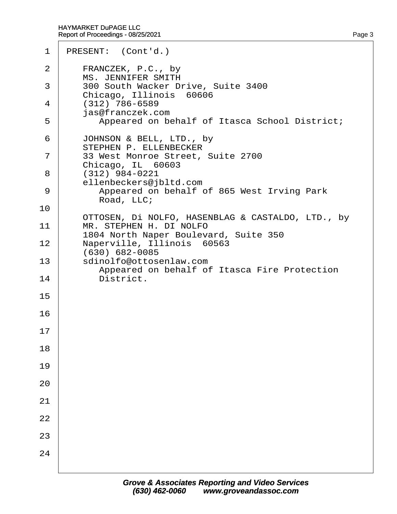| $\mathbf 1$ | PRESENT: (Cont'd.)                                                                        |
|-------------|-------------------------------------------------------------------------------------------|
| 2           | FRANCZEK, P.C., by<br><b>MS. JENNIFER SMITH</b>                                           |
| 3           | 300 South Wacker Drive, Suite 3400                                                        |
| 4           | Chicago, Illinois 60606<br>$(312)$ 786-6589                                               |
| 5           | jas@franczek.com<br>Appeared on behalf of Itasca School District;                         |
| 6           | JOHNSON & BELL, LTD., by<br>STEPHEN P. ELLENBECKER                                        |
| 7           | 33 West Monroe Street, Suite 2700                                                         |
| 8           | Chicago, IL 60603<br>$(312)$ 984-0221                                                     |
| 9           | ellenbeckers@jbltd.com<br>Appeared on behalf of 865 West Irving Park                      |
| 10          | Road, LLC;                                                                                |
| 11          | OTTOSEN, DI NOLFO, HASENBLAG & CASTALDO, LTD., by<br>MR. STEPHEN H. DI NOLFO              |
| 12          | 1804 North Naper Boulevard, Suite 350<br>Naperville, Illinois 60563                       |
| 13          | (630) 682-0085<br>sdinolfo@ottosenlaw.com<br>Appeared on behalf of Itasca Fire Protection |
| 14          | District.                                                                                 |
| 15          |                                                                                           |
| 16          |                                                                                           |
| 17          |                                                                                           |
| 18          |                                                                                           |
| 19          |                                                                                           |
| 20          |                                                                                           |
| 21          |                                                                                           |
| 22          |                                                                                           |
| 23          |                                                                                           |
| 24          |                                                                                           |
|             |                                                                                           |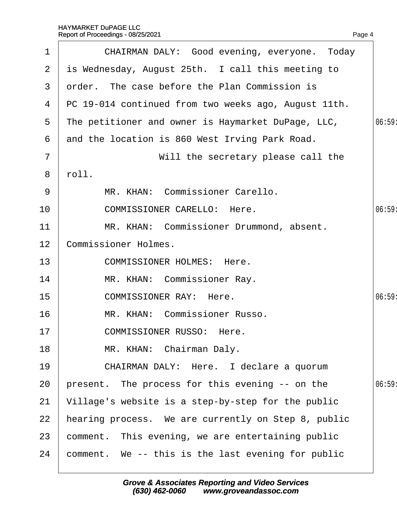| $\mathbf 1$    | CHAIRMAN DALY: Good evening, everyone. Today           |       |
|----------------|--------------------------------------------------------|-------|
| $\overline{2}$ | is Wednesday, August 25th. I call this meeting to      |       |
| 3              | order. The case before the Plan Commission is          |       |
|                | 4 PC 19-014 continued from two weeks ago, August 11th. |       |
| 5              | The petitioner and owner is Haymarket DuPage, LLC,     | 06:59 |
| 6              | and the location is 860 West Irving Park Road.         |       |
| $\overline{7}$ | Will the secretary please call the                     |       |
| 8              | rbll.                                                  |       |
| 9              | MR. KHAN: Commissioner Carello.                        |       |
| 10             | <b>COMMISSIONER CARELLO: Here.</b>                     | 06:59 |
| 11             | MR. KHAN: Commissioner Drummond, absent.               |       |
| 12             | <b>Commissioner Holmes.</b>                            |       |
| 13             | <b>COMMISSIONER HOLMES: Here.</b>                      |       |
| 14             | MR. KHAN: Commissioner Ray.                            |       |
| 15             | <b>COMMISSIONER RAY: Here.</b>                         | 06:59 |
| 16             | MR. KHAN: Commissioner Russo.                          |       |
| 17             | <b>COMMISSIONER RUSSO: Here.</b>                       |       |
| 18             | MR. KHAN: Chairman Daly.                               |       |
| 19             | CHAIRMAN DALY: Here. I declare a quorum                |       |
| 20             | present. The process for this evening -- on the        | 06:59 |
| 21             | Village's website is a step-by-step for the public     |       |
| 22             | hearing process. We are currently on Step 8, public    |       |
| 23             | comment. This evening, we are entertaining public      |       |
| 24             | comment. We -- this is the last evening for public     |       |
|                |                                                        |       |

Page 4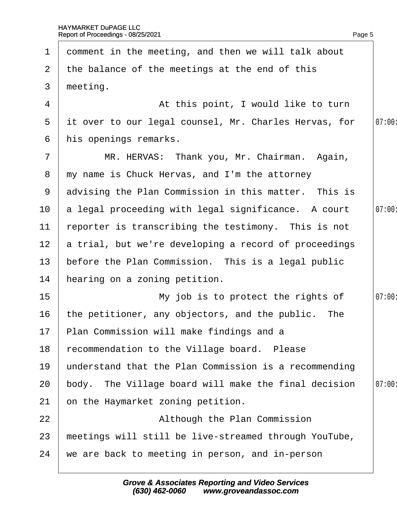|                 | 1 domment in the meeting, and then we will talk about  |       |
|-----------------|--------------------------------------------------------|-------|
|                 | 2 the balance of the meetings at the end of this       |       |
| 3 <sup>1</sup>  | meeting.                                               |       |
| 4               | At this point, I would like to turn                    |       |
| 5 <sup>5</sup>  | it over to our legal counsel, Mr. Charles Hervas, for  | 07:00 |
| 6               | his openings remarks.                                  |       |
| $\overline{7}$  | MR. HERVAS: Thank you, Mr. Chairman. Again,            |       |
|                 | 8 my name is Chuck Hervas, and I'm the attorney        |       |
|                 | 9 advising the Plan Commission in this matter. This is |       |
|                 | 10 a legal proceeding with legal significance. A court | 07:00 |
| 11              | reporter is transcribing the testimony. This is not    |       |
| 12 <sub>2</sub> | a trial, but we're developing a record of proceedings  |       |
| 13 <sup>°</sup> | before the Plan Commission. This is a legal public     |       |
| 14              | hearing on a zoning petition.                          |       |
| 15 <sub>1</sub> | My job is to protect the rights of                     | 07:00 |
| 16              | the petitioner, any objectors, and the public. The     |       |
|                 | 17 Plan Commission will make findings and a            |       |
| 18              | recommendation to the Village board. Please            |       |
| 19              | understand that the Plan Commission is a recommending  |       |
| 20              | body. The Village board will make the final decision   | 07:00 |
| 21              | on the Haymarket zoning petition.                      |       |
| 22              | Although the Plan Commission                           |       |
| 23              | meetings will still be live-streamed through YouTube,  |       |
| 24              | we are back to meeting in person, and in-person        |       |
|                 |                                                        |       |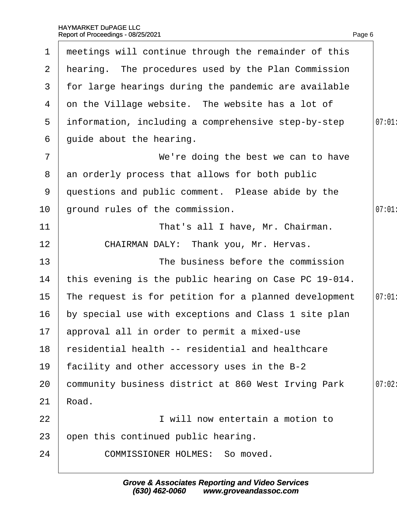| $\mathbf 1$    | meetings will continue through the remainder of this  |       |
|----------------|-------------------------------------------------------|-------|
| $\mathbf{2}$   | hearing. The procedures used by the Plan Commission   |       |
| 3              | for large hearings during the pandemic are available  |       |
| 4              | on the Village website. The website has a lot of      |       |
| 5              | information, including a comprehensive step-by-step   | 07:01 |
| 6              | guide about the hearing.                              |       |
| $\overline{7}$ | We're doing the best we can to have                   |       |
| 8              | an orderly process that allows for both public        |       |
| 9              | questions and public comment. Please abide by the     |       |
| 10             | ground rules of the commission.                       | 07:01 |
| 11             | That's all I have, Mr. Chairman.                      |       |
| 12             | CHAIRMAN DALY: Thank you, Mr. Hervas.                 |       |
| 13             | The business before the commission                    |       |
| 14             | this evening is the public hearing on Case PC 19-014. |       |
| 15             | The request is for petition for a planned development | 07:01 |
| 16             | by special use with exceptions and Class 1 site plan  |       |
|                | 17 approval all in order to permit a mixed-use        |       |
| 18             | residential health -- residential and healthcare      |       |
| 19             | facility and other accessory uses in the B-2          |       |
| 20             | community business district at 860 West Irving Park   | 07:02 |
| 21             | Road.                                                 |       |
| 22             | I will now entertain a motion to                      |       |
| 23             | open this continued public hearing.                   |       |
| 24             | <b>COMMISSIONER HOLMES: So moved.</b>                 |       |
|                |                                                       |       |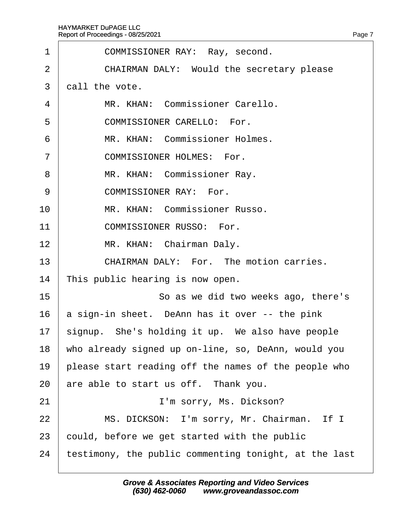| 1              | COMMISSIONER RAY: Ray, second.                        |
|----------------|-------------------------------------------------------|
| $\overline{2}$ | CHAIRMAN DALY: Would the secretary please             |
| 3              | dall the vote.                                        |
| 4              | MR. KHAN: Commissioner Carello.                       |
| 5              | <b>COMMISSIONER CARELLO: For.</b>                     |
| 6              | MR. KHAN: Commissioner Holmes.                        |
| $\overline{7}$ | <b>COMMISSIONER HOLMES: For.</b>                      |
| 8              | MR. KHAN: Commissioner Ray.                           |
| 9              | <b>COMMISSIONER RAY: For.</b>                         |
| 10             | MR. KHAN: Commissioner Russo.                         |
| 11             | <b>COMMISSIONER RUSSO: For.</b>                       |
| 12             | MR. KHAN: Chairman Daly.                              |
| 13             | <b>CHAIRMAN DALY: For. The motion carries.</b>        |
| 14             | This public hearing is now open.                      |
| 15             | So as we did two weeks ago, there's                   |
| 16             | a sign-in sheet. DeAnn has it over -- the pink        |
| 17             | signup. She's holding it up. We also have people      |
| 18             | who already signed up on-line, so, DeAnn, would you   |
| 19             | please start reading off the names of the people who  |
| 20             | are able to start us off. Thank you.                  |
| 21             | I'm sorry, Ms. Dickson?                               |
| 22             | MS. DICKSON: I'm sorry, Mr. Chairman. If I            |
| 23             | could, before we get started with the public          |
| 24             | testimony, the public commenting tonight, at the last |
|                |                                                       |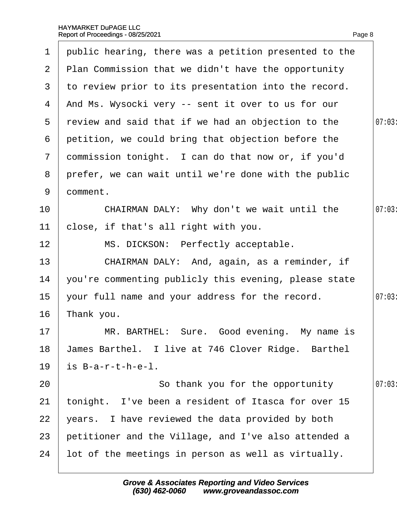| $\mathbf 1$     | public hearing, there was a petition presented to the |       |
|-----------------|-------------------------------------------------------|-------|
| $\overline{2}$  | Plan Commission that we didn't have the opportunity   |       |
| 3               | to review prior to its presentation into the record.  |       |
| 4               | And Ms. Wysocki very -- sent it over to us for our    |       |
| 5               | review and said that if we had an objection to the    | 07:03 |
| 6               | petition, we could bring that objection before the    |       |
| $\overline{7}$  | dommission tonight. I can do that now or, if you'd    |       |
| 8               | prefer, we can wait until we're done with the public  |       |
| 9               | domment.                                              |       |
| 10              | CHAIRMAN DALY: Why don't we wait until the            | 07:03 |
| 11              | close, if that's all right with you.                  |       |
| 12 <sub>2</sub> | MS. DICKSON: Perfectly acceptable.                    |       |
| 13              | CHAIRMAN DALY: And, again, as a reminder, if          |       |
| 14              | you're commenting publicly this evening, please state |       |
| 15              | your full name and your address for the record.       | 07:03 |
| 16              | Thank you.                                            |       |
| 17              | MR. BARTHEL: Sure. Good evening. My name is           |       |
| 18              | James Barthel. I live at 746 Clover Ridge. Barthel    |       |
| 19              | is B-a-r-t-h-e-l.                                     |       |
| 20              | So thank you for the opportunity                      | 07:03 |
| 21              | tonight. I've been a resident of Itasca for over 15   |       |
| 22              | years. I have reviewed the data provided by both      |       |
| 23              | petitioner and the Village, and I've also attended a  |       |
| 24              | lot of the meetings in person as well as virtually.   |       |
|                 |                                                       |       |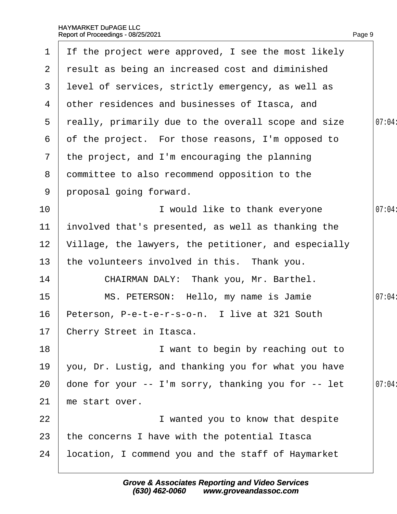| $\mathbf 1$    | If the project were approved, I see the most likely  |        |
|----------------|------------------------------------------------------|--------|
| $\overline{2}$ | result as being an increased cost and diminished     |        |
| 3              | level of services, strictly emergency, as well as    |        |
| 4              | other residences and businesses of Itasca, and       |        |
| 5              | really, primarily due to the overall scope and size  | 07:04: |
| 6              | of the project. For those reasons, I'm opposed to    |        |
| $7\phantom{.}$ | the project, and I'm encouraging the planning        |        |
| 8              | dommittee to also recommend opposition to the        |        |
| 9              | proposal going forward.                              |        |
| 10             | I would like to thank everyone                       | 07:04: |
| 11             | involved that's presented, as well as thanking the   |        |
| 12             | Village, the lawyers, the petitioner, and especially |        |
| 13             | the volunteers involved in this. Thank you.          |        |
| 14             | CHAIRMAN DALY: Thank you, Mr. Barthel.               |        |
| 15             | MS. PETERSON: Hello, my name is Jamie                | 07:04: |
| 16             | Peterson, P-e-t-e-r-s-o-n. I live at 321 South       |        |
|                | 17 Cherry Street in Itasca.                          |        |
| 18             | I want to begin by reaching out to                   |        |
| 19             | you, Dr. Lustig, and thanking you for what you have  |        |
| 20             | done for your -- I'm sorry, thanking you for -- let  | 07:04: |
| 21             | me start over.                                       |        |
| 22             | I wanted you to know that despite                    |        |
| 23             | the concerns I have with the potential Itasca        |        |
| 24             | location, I commend you and the staff of Haymarket   |        |
|                |                                                      |        |

Page 9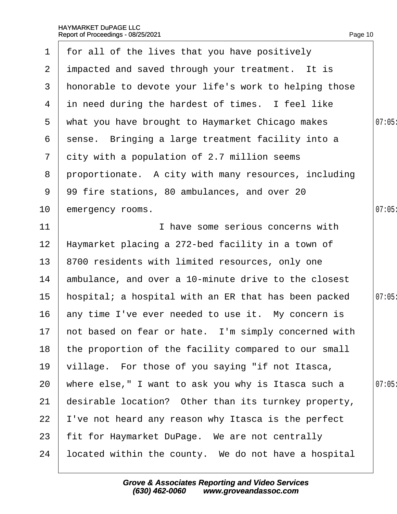| $\mathbf 1$     | for all of the lives that you have positively           |       |
|-----------------|---------------------------------------------------------|-------|
|                 | 2 impacted and saved through your treatment. It is      |       |
| 3               | honorable to devote your life's work to helping those   |       |
| 4               | in need during the hardest of times. I feel like        |       |
| $5\overline{)}$ | what you have brought to Haymarket Chicago makes        | 07:05 |
| 6               | sense. Bringing a large treatment facility into a       |       |
| $7\phantom{.}$  | city with a population of 2.7 million seems             |       |
| 8               | proportionate. A city with many resources, including    |       |
| 9               | 99 fire stations, 80 ambulances, and over 20            |       |
| 10              | emergency rooms.                                        | 07:05 |
| 11              | I have some serious concerns with                       |       |
| 12              | Haymarket placing a 272-bed facility in a town of       |       |
| 13              | 8700 residents with limited resources, only one         |       |
| 14              | ambulance, and over a 10-minute drive to the closest    |       |
| 15              | hospital; a hospital with an ER that has been packed    | 07:05 |
| 16              | any time I've ever needed to use it. My concern is      |       |
|                 | 17 hot based on fear or hate. I'm simply concerned with |       |
| 18              | the proportion of the facility compared to our small    |       |
| 19              | village. For those of you saying "if not Itasca,        |       |
| 20              | where else," I want to ask you why is Itasca such a     | 07:05 |
| 21              | desirable location? Other than its turnkey property,    |       |
| 22              | 've not heard any reason why Itasca is the perfect      |       |
| 23              | fit for Haymarket DuPage. We are not centrally          |       |
| 24              | located within the county. We do not have a hospital    |       |
|                 |                                                         |       |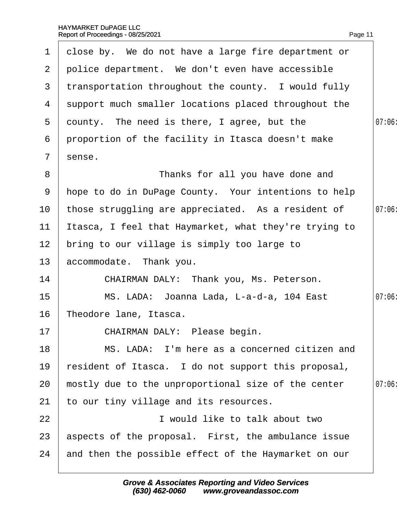| $\mathbf 1$     | close by. We do not have a large fire department or   |        |
|-----------------|-------------------------------------------------------|--------|
| 2 <sup>1</sup>  |                                                       |        |
|                 | police department. We don't even have accessible      |        |
| 3               | transportation throughout the county. I would fully   |        |
| 4               | support much smaller locations placed throughout the  |        |
| $5^{\circ}$     | dounty. The need is there, I agree, but the           | 07:06  |
| 6               | proportion of the facility in Itasca doesn't make     |        |
| $\overline{7}$  | sense.                                                |        |
| 8               | Thanks for all you have done and                      |        |
| 9               | hope to do in DuPage County. Your intentions to help  |        |
| 10              | those struggling are appreciated. As a resident of    | 07:06  |
| 11              | Itasca, I feel that Haymarket, what they're trying to |        |
| 12 <sub>2</sub> | bring to our village is simply too large to           |        |
| 13              | accommodate. Thank you.                               |        |
| 14              | CHAIRMAN DALY: Thank you, Ms. Peterson.               |        |
| 15              | MS. LADA: Joanna Lada, L-a-d-a, 104 East              | 07:06: |
| 16              | Theodore lane, Itasca.                                |        |
| 17              | CHAIRMAN DALY: Please begin.                          |        |
| 18              | MS. LADA: I'm here as a concerned citizen and         |        |
| 19              | resident of Itasca. I do not support this proposal,   |        |
| 20              | mostly due to the unproportional size of the center   | 07:06  |
| 21              | to our tiny village and its resources.                |        |
| 22              | I would like to talk about two                        |        |
| 23              | aspects of the proposal. First, the ambulance issue   |        |
| 24              | and then the possible effect of the Haymarket on our  |        |
|                 |                                                       |        |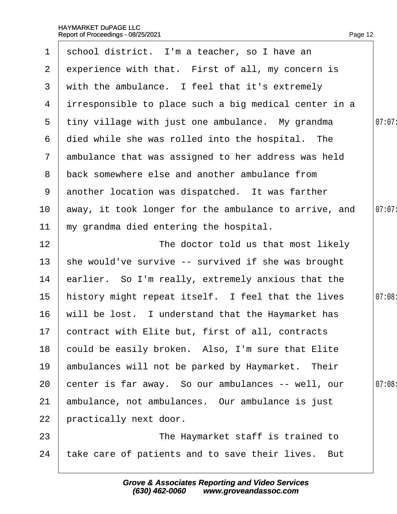| $\mathbf 1$     | school district. I'm a teacher, so I have an          |        |
|-----------------|-------------------------------------------------------|--------|
| $\overline{2}$  | experience with that. First of all, my concern is     |        |
| 3               | with the ambulance. I feel that it's extremely        |        |
| 4               | intesponsible to place such a big medical center in a |        |
| 5               | tiny village with just one ambulance. My grandma      | 07:07: |
| 6               | died while she was rolled into the hospital. The      |        |
| $7\phantom{.}$  | ambulance that was assigned to her address was held   |        |
| 8               | back somewhere else and another ambulance from        |        |
| 9               | another location was dispatched. It was farther       |        |
| 10              | away, it took longer for the ambulance to arrive, and | 07:07: |
| 11              | my grandma died entering the hospital.                |        |
| 12 <sub>2</sub> | The doctor told us that most likely                   |        |
| 13              | she would've survive -- survived if she was brought   |        |
| 14              | earlier. So I'm really, extremely anxious that the    |        |
| 15              | history might repeat itself. I feel that the lives    | 07:08: |
| 16              | will be lost. I understand that the Haymarket has     |        |
|                 | 17 contract with Elite but, first of all, contracts   |        |
| 18              | could be easily broken. Also, I'm sure that Elite     |        |
| 19              | ambulances will not be parked by Haymarket. Their     |        |
| 20              | center is far away. So our ambulances -- well, our    | 07:08: |
| 21              | ambulance, not ambulances. Our ambulance is just      |        |
| 22              | practically next door.                                |        |
| 23              | The Haymarket staff is trained to                     |        |
| 24              | take care of patients and to save their lives. But    |        |
|                 |                                                       |        |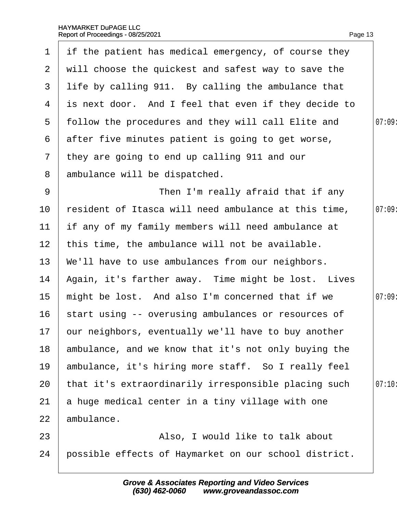|                 | 1 if the patient has medical emergency, of course they |        |
|-----------------|--------------------------------------------------------|--------|
| $\overline{2}$  | will choose the quickest and safest way to save the    |        |
| 3               | life by calling 911. By calling the ambulance that     |        |
| 4               | is next door. And I feel that even if they decide to   |        |
|                 | 5 follow the procedures and they will call Elite and   | 07:09  |
| 6               | after five minutes patient is going to get worse,      |        |
| $7\phantom{.}$  | they are going to end up calling 911 and our           |        |
| 8               | ambulance will be dispatched.                          |        |
| 9               | Then I'm really afraid that if any                     |        |
| 10              | resident of Itasca will need ambulance at this time,   | 07:09  |
| 11              | If any of my family members will need ambulance at     |        |
| 12 <sub>2</sub> | this time, the ambulance will not be available.        |        |
| 13              | We'll have to use ambulances from our neighbors.       |        |
| 14              | Again, it's farther away. Time might be lost. Lives    |        |
| 15              | might be lost. And also I'm concerned that if we       | 07:09: |
| 16              | start using -- overusing ambulances or resources of    |        |
|                 | 17 bur neighbors, eventually we'll have to buy another |        |
| 18              | ambulance, and we know that it's not only buying the   |        |
| 19              | ambulance, it's hiring more staff. So I really feel    |        |
| 20              | that it's extraordinarily irresponsible placing such   | 07:10  |
| 21              | a huge medical center in a tiny village with one       |        |
| 22              | ambulance.                                             |        |
| 23              | Also, I would like to talk about                       |        |
| 24              | possible effects of Haymarket on our school district.  |        |
|                 |                                                        |        |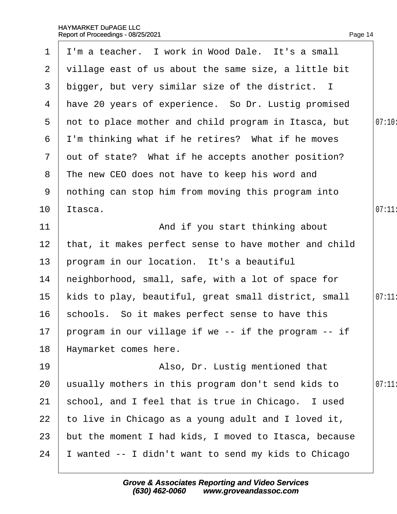| $\mathbf 1$     | I'm a teacher. I work in Wood Dale. It's a small        |        |
|-----------------|---------------------------------------------------------|--------|
| 2               | village east of us about the same size, a little bit    |        |
| 3 <sup>1</sup>  | bigger, but very similar size of the district. I        |        |
|                 | 4 Have 20 years of experience. So Dr. Lustig promised   |        |
| $5^{\circ}$     | not to place mother and child program in Itasca, but    | 07:10: |
| 6               | I'm thinking what if he retires? What if he moves       |        |
| $\mathbf{7}$    | out of state? What if he accepts another position?      |        |
| 8               | The new CEO does not have to keep his word and          |        |
| 9               | nothing can stop him from moving this program into      |        |
| 10              | ltasca.                                                 | 07:11  |
| 11              | And if you start thinking about                         |        |
| 12 <sub>2</sub> | that, it makes perfect sense to have mother and child   |        |
| 13 <sup>°</sup> | program in our location. It's a beautiful               |        |
| 14              | heighborhood, small, safe, with a lot of space for      |        |
| 15 <sub>1</sub> | kids to play, beautiful, great small district, small    | 07:11  |
| 16              | schools. So it makes perfect sense to have this         |        |
|                 | 17 program in our village if we -- if the program -- if |        |
| 18              | Haymarket comes here.                                   |        |
| 19              | Also, Dr. Lustig mentioned that                         |        |
| 20              | usually mothers in this program don't send kids to      | 07:11  |
| 21              | school, and I feel that is true in Chicago. I used      |        |
| 22              | to live in Chicago as a young adult and I loved it,     |        |
| 23              | but the moment I had kids, I moved to Itasca, because   |        |
| 24              | wanted -- I didn't want to send my kids to Chicago      |        |
|                 |                                                         |        |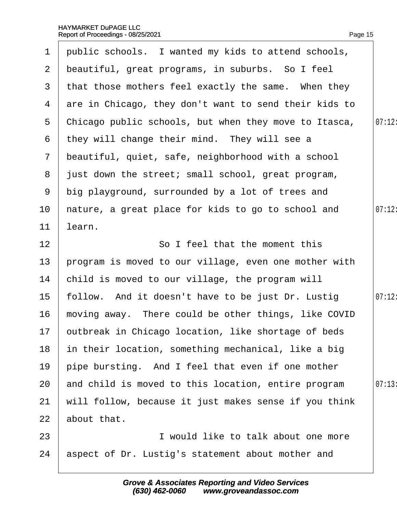| $\mathbf 1$    | public schools. I wanted my kids to attend schools,    |        |
|----------------|--------------------------------------------------------|--------|
| $\mathbf{2}$   | beautiful, great programs, in suburbs. So I feel       |        |
| 3 <sup>1</sup> | that those mothers feel exactly the same. When they    |        |
| 4              | are in Chicago, they don't want to send their kids to  |        |
| 5              | Chicago public schools, but when they move to Itasca,  | 07:12: |
| 6              | they will change their mind. They will see a           |        |
| $\mathbf{7}$   | beautiful, quiet, safe, neighborhood with a school     |        |
|                | 8 just down the street; small school, great program,   |        |
| 9              | big playground, surrounded by a lot of trees and       |        |
| 10             | hature, a great place for kids to go to school and     | 07:12: |
| 11             | learn.                                                 |        |
| 12             | So I feel that the moment this                         |        |
| 13             | program is moved to our village, even one mother with  |        |
| 14             | child is moved to our village, the program will        |        |
| 15             | follow. And it doesn't have to be just Dr. Lustig      | 07:12: |
| 16             | moving away. There could be other things, like COVID   |        |
|                | 17 butbreak in Chicago location, like shortage of beds |        |
| 18             | in their location, something mechanical, like a big    |        |
| 19             | pipe bursting. And I feel that even if one mother      |        |
| 20             | and child is moved to this location, entire program    | 07:13  |
| 21             | will follow, because it just makes sense if you think  |        |
| 22             | about that.                                            |        |
| 23             | I would like to talk about one more                    |        |
| 24             | aspect of Dr. Lustig's statement about mother and      |        |
|                |                                                        |        |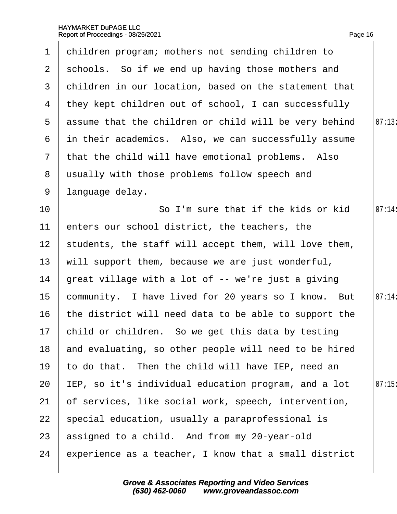| 1               | children program; mothers not sending children to       |        |
|-----------------|---------------------------------------------------------|--------|
| $\mathbf{2}$    | schools. So if we end up having those mothers and       |        |
| 3               | children in our location, based on the statement that   |        |
| 4               | they kept children out of school, I can successfully    |        |
|                 | 5 assume that the children or child will be very behind | 07:13  |
| 6               | in their academics. Also, we can successfully assume    |        |
| $7\overline{ }$ | that the child will have emotional problems. Also       |        |
| 8               | usually with those problems follow speech and           |        |
| 9               | language delay.                                         |        |
| 10              | So I'm sure that if the kids or kid                     | 07:14: |
| 11              | enters our school district, the teachers, the           |        |
| 12 <sub>2</sub> | students, the staff will accept them, will love them,   |        |
| 13              | will support them, because we are just wonderful,       |        |
| 14              | great village with a lot of -- we're just a giving      |        |
| 15              | community. I have lived for 20 years so I know. But     | 07:14: |
| 16              | the district will need data to be able to support the   |        |
|                 | 17 child or children. So we get this data by testing    |        |
| 18              | and evaluating, so other people will need to be hired   |        |
| 19              | to do that. Then the child will have IEP, need an       |        |
| 20              | EP, so it's individual education program, and a lot     | 07:15  |
| 21              | of services, like social work, speech, intervention,    |        |
| 22              | special education, usually a paraprofessional is        |        |
| 23              | assigned to a child. And from my 20-year-old            |        |
| 24              | experience as a teacher, I know that a small district   |        |
|                 |                                                         |        |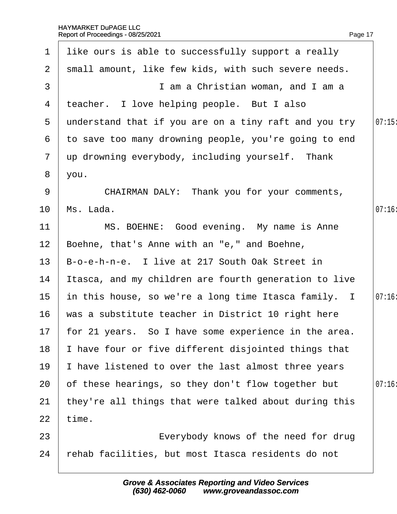| 1               | like ours is able to successfully support a really      |       |
|-----------------|---------------------------------------------------------|-------|
| $\overline{2}$  | small amount, like few kids, with such severe needs.    |       |
| 3               | I am a Christian woman, and I am a                      |       |
| 4               | teacher. I love helping people. But I also              |       |
| $5^{\circ}$     | understand that if you are on a tiny raft and you try   | 07:15 |
| 6               | to save too many drowning people, you're going to end   |       |
| $\mathbf{7}$    | up drowning everybody, including yourself. Thank        |       |
| 8               | you.                                                    |       |
| 9               | CHAIRMAN DALY: Thank you for your comments,             |       |
| 10              | Ms. Lada.                                               | 07:16 |
| 11              | MS. BOEHNE: Good evening. My name is Anne               |       |
| 12 <sub>2</sub> | Boehne, that's Anne with an "e," and Boehne,            |       |
| 13              | B-o-e-h-n-e. I live at 217 South Oak Street in          |       |
| 14              | Itasca, and my children are fourth generation to live   |       |
| 15              | in this house, so we're a long time Itasca family. I    | 07:16 |
| 16              | was a substitute teacher in District 10 right here      |       |
|                 | 17 for 21 years. So I have some experience in the area. |       |
| 18              | have four or five different disjointed things that      |       |
| 19              | have listened to over the last almost three years       |       |
| 20              | of these hearings, so they don't flow together but      | 07:16 |
| 21              | they're all things that were talked about during this   |       |
| 22              | time.                                                   |       |
| 23              | Everybody knows of the need for drug                    |       |
| 24              | rehab facilities, but most Itasca residents do not      |       |
|                 |                                                         |       |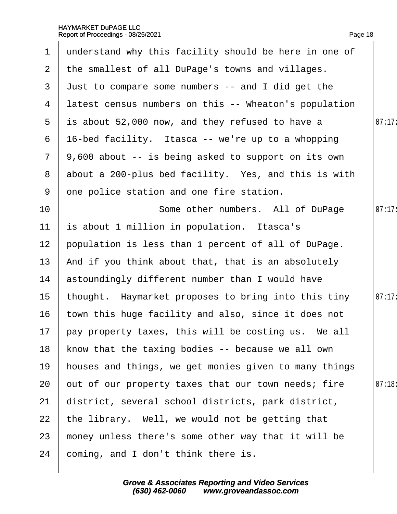|                 | 1 understand why this facility should be here in one of |        |
|-----------------|---------------------------------------------------------|--------|
| $\mathbf{2}$    | the smallest of all DuPage's towns and villages.        |        |
| 3               | Just to compare some numbers -- and I did get the       |        |
| 4               | latest census numbers on this -- Wheaton's population   |        |
| 5               | is about 52,000 now, and they refused to have a         | 07:17: |
| 6               | 16-bed facility. Itasca -- we're up to a whopping       |        |
| $\overline{7}$  | 9,600 about -- is being asked to support on its own     |        |
| 8               | about a 200-plus bed facility. Yes, and this is with    |        |
| 9               | one police station and one fire station.                |        |
| 10              | Some other numbers. All of DuPage                       | 07:17: |
| 11              | is about 1 million in population. Itasca's              |        |
| 12 <sub>2</sub> | population is less than 1 percent of all of DuPage.     |        |
| 13              | And if you think about that, that is an absolutely      |        |
| 14              | astoundingly different number than I would have         |        |
| 15              | thought. Haymarket proposes to bring into this tiny     | 07:17: |
| 16              | town this huge facility and also, since it does not     |        |
|                 | 17 pay property taxes, this will be costing us. We all  |        |
| 18              | know that the taxing bodies -- because we all own       |        |
| 19              | houses and things, we get monies given to many things   |        |
| 20              | out of our property taxes that our town needs; fire     | 07:18  |
| 21              | district, several school districts, park district,      |        |
| 22              | the library. Well, we would not be getting that         |        |
| 23              | money unless there's some other way that it will be     |        |
| 24              | coming, and I don't think there is.                     |        |
|                 |                                                         |        |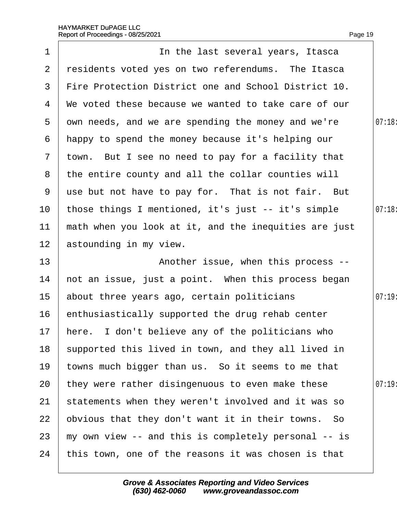|                 | Report of Proceedings - 08/25/2021                    | Page 19 |
|-----------------|-------------------------------------------------------|---------|
| $\mathbf 1$     | In the last several years, Itasca                     |         |
| 2               | residents voted yes on two referendums. The Itasca    |         |
| 3               | Fire Protection District one and School District 10.  |         |
| 4               | We voted these because we wanted to take care of our  |         |
| 5               | own needs, and we are spending the money and we're    | 07:18   |
| 6               | happy to spend the money because it's helping our     |         |
|                 | 7 town. But I see no need to pay for a facility that  |         |
| 8               | the entire county and all the collar counties will    |         |
| 9               | use but not have to pay for. That is not fair. But    |         |
| 10              | those things I mentioned, it's just -- it's simple    | 07:18:  |
| 11              | math when you look at it, and the inequities are just |         |
| 12 <sub>2</sub> | astounding in my view.                                |         |
| 13              | Another issue, when this process --                   |         |
| 14              | not an issue, just a point. When this process began   |         |
| 15              | about three years ago, certain politicians            | 07:19:  |
| 16              | enthusiastically supported the drug rehab center      |         |
| 17              | here. I don't believe any of the politicians who      |         |
| 18              | supported this lived in town, and they all lived in   |         |
| 19              | towns much bigger than us. So it seems to me that     |         |
| 20              | they were rather disingenuous to even make these      | 07:19   |
| 21              | statements when they weren't involved and it was so   |         |
| 22              | obvious that they don't want it in their towns. So    |         |
| 23              | my own view -- and this is completely personal -- is  |         |
| 24              | this town, one of the reasons it was chosen is that   |         |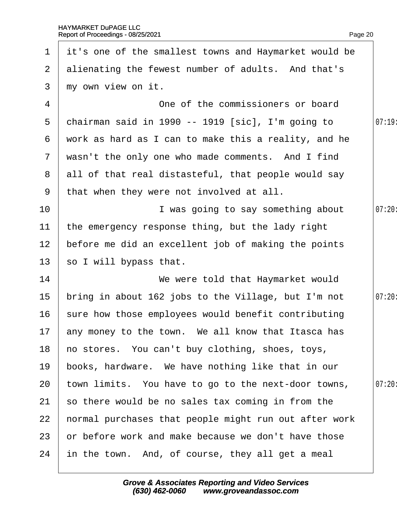|                 | 1 it's one of the smallest towns and Haymarket would be |        |
|-----------------|---------------------------------------------------------|--------|
|                 | 2 alienating the fewest number of adults. And that's    |        |
| 3               | my own view on it.                                      |        |
| 4               | One of the commissioners or board                       |        |
| 5               | chairman said in 1990 -- 1919 [sic], I'm going to       | 07:19  |
| 6               | work as hard as I can to make this a reality, and he    |        |
|                 | 7 wasn't the only one who made comments. And I find     |        |
|                 | 8 all of that real distasteful, that people would say   |        |
|                 | 9 that when they were not involved at all.              |        |
| 10              | I was going to say something about                      | 07:20: |
| 11              | the emergency response thing, but the lady right        |        |
| 12 <sub>2</sub> | before me did an excellent job of making the points     |        |
| 13 <sup>7</sup> | so I will bypass that.                                  |        |
| 14              | We were told that Haymarket would                       |        |
| 15              | bring in about 162 jobs to the Village, but I'm not     | 07:20: |
| 16              | sure how those employees would benefit contributing     |        |
|                 | 17 any money to the town. We all know that Itasca has   |        |
| 18              | ho stores. You can't buy clothing, shoes, toys,         |        |
| 19              | books, hardware. We have nothing like that in our       |        |
| 20              | town limits. You have to go to the next-door towns,     | 07:20  |
| 21              | so there would be no sales tax coming in from the       |        |
| 22              | hormal purchases that people might run out after work   |        |
| 23              | or before work and make because we don't have those     |        |
| 24              | in the town. And, of course, they all get a meal        |        |
|                 |                                                         |        |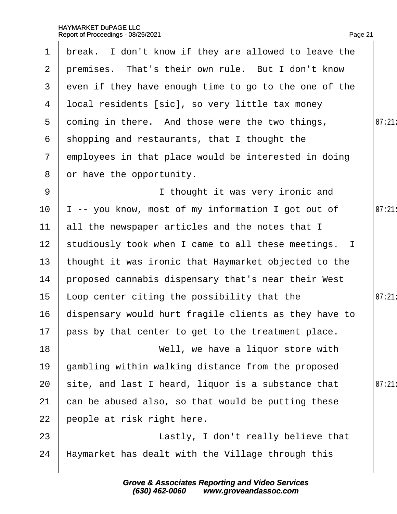|                 | 1 break. I don't know if they are allowed to leave the |       |
|-----------------|--------------------------------------------------------|-------|
|                 | 2 premises. That's their own rule. But I don't know    |       |
| 3               | even if they have enough time to go to the one of the  |       |
| 4               | Ibcal residents [sic], so very little tax money        |       |
| 5               | doming in there. And those were the two things,        | 07:21 |
| 6               | shopping and restaurants, that I thought the           |       |
| $\mathbf{7}$    | employees in that place would be interested in doing   |       |
| 8               | or have the opportunity.                               |       |
| 9               | I thought it was very ironic and                       |       |
| 10 <sup>°</sup> | -- you know, most of my information I got out of       | 07:21 |
| 11              | all the newspaper articles and the notes that I        |       |
| 12 <sub>2</sub> | studiously took when I came to all these meetings. I   |       |
| 13              | thought it was ironic that Haymarket objected to the   |       |
| 14              | proposed cannabis dispensary that's near their West    |       |
| 15              | Loop center citing the possibility that the            | 07:21 |
| 16              | dispensary would hurt fragile clients as they have to  |       |
|                 | 17 pass by that center to get to the treatment place.  |       |
| 18              | Well, we have a liquor store with                      |       |
| 19              | gambling within walking distance from the proposed     |       |
| 20              | site, and last I heard, liquor is a substance that     | 07:21 |
| 21              | can be abused also, so that would be putting these     |       |
| 22              | people at risk right here.                             |       |
| 23              | Lastly, I don't really believe that                    |       |
| 24              | Haymarket has dealt with the Village through this      |       |
|                 |                                                        |       |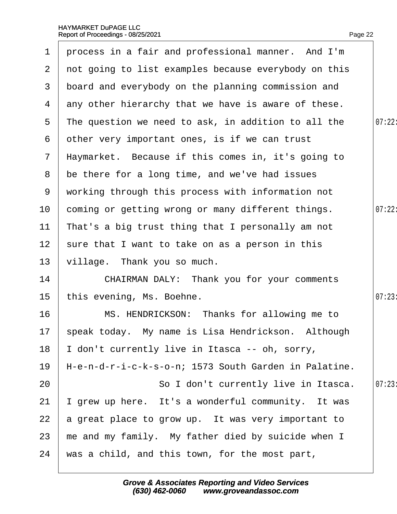| 1               | process in a fair and professional manner. And I'm     |        |
|-----------------|--------------------------------------------------------|--------|
|                 | 2 not going to list examples because everybody on this |        |
| 3 <sup>°</sup>  | board and everybody on the planning commission and     |        |
| 4               | any other hierarchy that we have is aware of these.    |        |
| 5               | The question we need to ask, in addition to all the    | 07:22: |
| 6               | other very important ones, is if we can trust          |        |
| $\mathbf{7}$    | Haymarket. Because if this comes in, it's going to     |        |
| 8               | be there for a long time, and we've had issues         |        |
| 9               | working through this process with information not      |        |
| 10 <sup>°</sup> | coming or getting wrong or many different things.      | 07:22: |
| 11              | That's a big trust thing that I personally am not      |        |
| 12 <sub>2</sub> | sure that I want to take on as a person in this        |        |
| 13              | village. Thank you so much.                            |        |
| 14              | <b>CHAIRMAN DALY: Thank you for your comments</b>      |        |
| 15              | this evening, Ms. Boehne.                              | 07:23  |
| 16              | MS. HENDRICKSON: Thanks for allowing me to             |        |
|                 | 17 speak today. My name is Lisa Hendrickson. Although  |        |
| 18              | don't currently live in Itasca -- oh, sorry,           |        |
| 19              | H-e-n-d-r-i-c-k-s-o-n; 1573 South Garden in Palatine.  |        |
| 20              | So I don't currently live in Itasca.                   | 07:23  |
| 21              | grew up here. It's a wonderful community. It was       |        |
| 22              | a great place to grow up. It was very important to     |        |
| 23              | me and my family. My father died by suicide when I     |        |
| 24              | was a child, and this town, for the most part,         |        |
|                 |                                                        |        |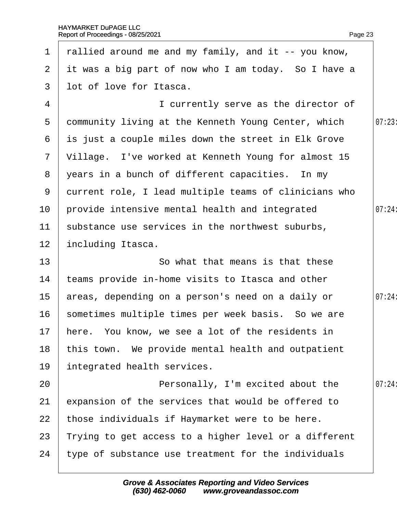|                 | 1 rallied around me and my family, and it -- you know, |        |
|-----------------|--------------------------------------------------------|--------|
|                 | 2 it was a big part of now who I am today. So I have a |        |
| $\mathbf{3}$    | lot of love for Itasca.                                |        |
| 4               | I currently serve as the director of                   |        |
| 5               | dommunity living at the Kenneth Young Center, which    | 07:23  |
|                 | 6 is just a couple miles down the street in Elk Grove  |        |
|                 | 7 Village. I've worked at Kenneth Young for almost 15  |        |
|                 | 8 years in a bunch of different capacities. In my      |        |
| 9               | durrent role, I lead multiple teams of clinicians who  |        |
| 10 <sup>°</sup> | provide intensive mental health and integrated         | 07:24: |
| 11              | substance use services in the northwest suburbs,       |        |
| 12 <sub>2</sub> | including Itasca.                                      |        |
| 13              | So what that means is that these                       |        |
| 14              | teams provide in-home visits to Itasca and other       |        |
| 15 <sub>1</sub> | areas, depending on a person's need on a daily or      | 07:24: |
| 16              | sometimes multiple times per week basis. So we are     |        |
|                 | 17 here. You know, we see a lot of the residents in    |        |
| 18              | this town. We provide mental health and outpatient     |        |
| 19              | integrated health services.                            |        |
| 20              | Personally, I'm excited about the                      | 07:24: |
| 21              | expansion of the services that would be offered to     |        |
| 22              | those individuals if Haymarket were to be here.        |        |
| 23              | Trying to get access to a higher level or a different  |        |
| 24              | type of substance use treatment for the individuals    |        |
|                 |                                                        |        |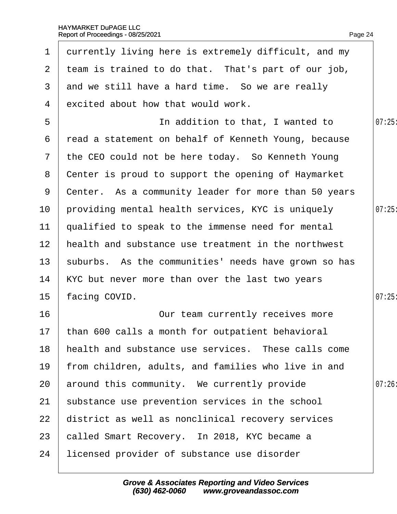| $\mathbf 1$     | durrently living here is extremely difficult, and my |       |
|-----------------|------------------------------------------------------|-------|
| 2 <sup>1</sup>  | team is trained to do that. That's part of our job,  |       |
| 3               | and we still have a hard time. So we are really      |       |
| 4               | excited about how that would work.                   |       |
| 5               | In addition to that, I wanted to                     | 07:25 |
| 6               | read a statement on behalf of Kenneth Young, because |       |
| $7\phantom{.}$  | the CEO could not be here today. So Kenneth Young    |       |
| 8               | Center is proud to support the opening of Haymarket  |       |
| 9               | Center. As a community leader for more than 50 years |       |
| 10              | providing mental health services, KYC is uniquely    | 07:25 |
| 11              | qualified to speak to the immense need for mental    |       |
| 12 <sub>2</sub> | health and substance use treatment in the northwest  |       |
| 13 <sup>2</sup> | suburbs. As the communities' needs have grown so has |       |
| 14              | KYC but never more than over the last two years      |       |
| 15 <sub>2</sub> | facing COVID.                                        | 07:25 |
| 16              | Our team currently receives more                     |       |
|                 | 17 than 600 calls a month for outpatient behavioral  |       |
| 18              | health and substance use services. These calls come  |       |
| 19              | from children, adults, and families who live in and  |       |
| 20              | around this community. We currently provide          | 07:26 |
| 21              | substance use prevention services in the school      |       |
| 22              | district as well as nonclinical recovery services    |       |
| 23              | called Smart Recovery. In 2018, KYC became a         |       |
| 24              | licensed provider of substance use disorder          |       |
|                 |                                                      |       |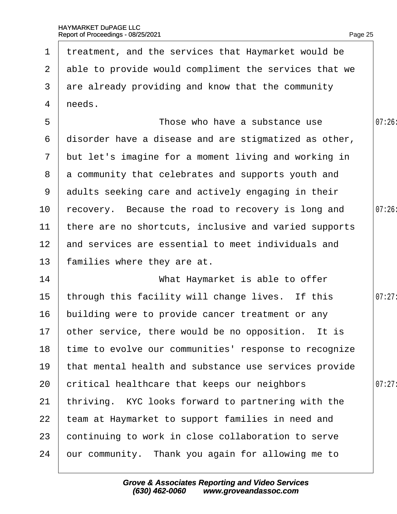h

|                 | 1 treatment, and the services that Haymarket would be   |        |
|-----------------|---------------------------------------------------------|--------|
|                 | 2 able to provide would compliment the services that we |        |
| 3               | are already providing and know that the community       |        |
| 4               | needs.                                                  |        |
| 5               | Those who have a substance use                          | 07:26  |
| 6               | disorder have a disease and are stigmatized as other,   |        |
| $\overline{7}$  | but let's imagine for a moment living and working in    |        |
| 8               | a community that celebrates and supports youth and      |        |
|                 | 9 adults seeking care and actively engaging in their    |        |
| 10              | recovery. Because the road to recovery is long and      | 07:26  |
| 11              | there are no shortcuts, inclusive and varied supports   |        |
| 12 <sup>2</sup> | and services are essential to meet individuals and      |        |
| 13              | families where they are at.                             |        |
| 14              | What Haymarket is able to offer                         |        |
| 15              | through this facility will change lives. If this        | 07:27: |
| 16              | building were to provide cancer treatment or any        |        |
|                 | 17 other service, there would be no opposition. It is   |        |
| 18              | time to evolve our communities' response to recognize   |        |
| 19              | that mental health and substance use services provide   |        |
| 20              | critical healthcare that keeps our neighbors            | 07:27  |
| 21              | thriving. KYC looks forward to partnering with the      |        |
| 22              | team at Haymarket to support families in need and       |        |
| 23              | continuing to work in close collaboration to serve      |        |
| 24              | bur community. Thank you again for allowing me to       |        |
|                 |                                                         |        |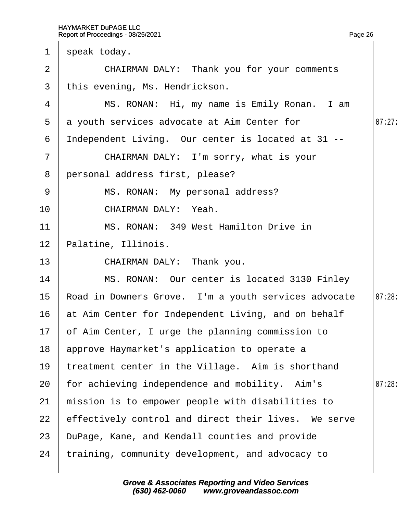| $\mathbf 1$    | speak today.                                         |        |
|----------------|------------------------------------------------------|--------|
| 2              | <b>CHAIRMAN DALY: Thank you for your comments</b>    |        |
| 3              | this evening, Ms. Hendrickson.                       |        |
| 4              | MS. RONAN: Hi, my name is Emily Ronan. I am          |        |
| 5              | a youth services advocate at Aim Center for          | 07:27: |
| 6              | Independent Living. Our center is located at 31 --   |        |
| $\overline{7}$ | CHAIRMAN DALY: I'm sorry, what is your               |        |
| 8              | personal address first, please?                      |        |
| 9              | MS. RONAN: My personal address?                      |        |
| 10             | CHAIRMAN DALY: Yeah.                                 |        |
| 11             | MS. RONAN: 349 West Hamilton Drive in                |        |
| 12             | Palatine, Illinois.                                  |        |
| 13             | CHAIRMAN DALY: Thank you.                            |        |
| 14             | MS. RONAN: Our center is located 3130 Finley         |        |
| 15             | Road in Downers Grove. I'm a youth services advocate | 07:28: |
| 16             | at Aim Center for Independent Living, and on behalf  |        |
|                | 17 of Aim Center, I urge the planning commission to  |        |
| 18             | approve Haymarket's application to operate a         |        |
| 19             | treatment center in the Village. Aim is shorthand    |        |
| 20             | for achieving independence and mobility. Aim's       | 07:28  |
| 21             | mission is to empower people with disabilities to    |        |
| 22             | effectively control and direct their lives. We serve |        |
| 23             | DuPage, Kane, and Kendall counties and provide       |        |
| 24             | training, community development, and advocacy to     |        |
|                |                                                      |        |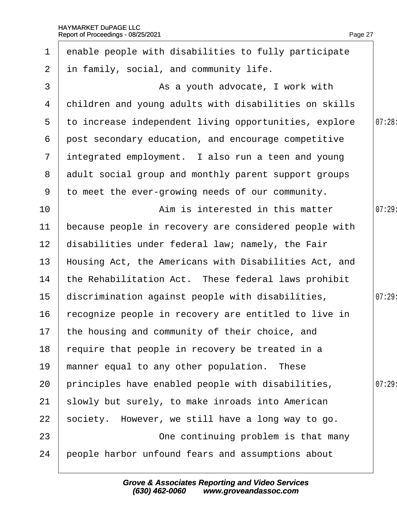| $\mathbf 1$     | enable people with disabilities to fully participate  |       |
|-----------------|-------------------------------------------------------|-------|
| $\overline{2}$  | in family, social, and community life.                |       |
| 3               | As a youth advocate, I work with                      |       |
| 4               | children and young adults with disabilities on skills |       |
| $5^{\circ}$     | to increase independent living opportunities, explore | 07:28 |
| 6               | post secondary education, and encourage competitive   |       |
| $\overline{7}$  | integrated employment. I also run a teen and young    |       |
| 8               | adult social group and monthly parent support groups  |       |
| 9               | to meet the ever-growing needs of our community.      |       |
| 10              | Aim is interested in this matter                      | 07:29 |
| 11              | because people in recovery are considered people with |       |
| 12 <sub>2</sub> | disabilities under federal law; namely, the Fair      |       |
| 13              | Housing Act, the Americans with Disabilities Act, and |       |
| 14              | the Rehabilitation Act. These federal laws prohibit   |       |
| 15              | discrimination against people with disabilities,      | 07:29 |
| 16              | recognize people in recovery are entitled to live in  |       |
|                 | 17 the housing and community of their choice, and     |       |
| 18              | require that people in recovery be treated in a       |       |
| 19              | manner equal to any other population. These           |       |
| 20              | principles have enabled people with disabilities,     | 07:29 |
| 21              | slowly but surely, to make inroads into American      |       |
| 22              | society. However, we still have a long way to go.     |       |
| 23              | One continuing problem is that many                   |       |
| 24              | people harbor unfound fears and assumptions about     |       |
|                 |                                                       |       |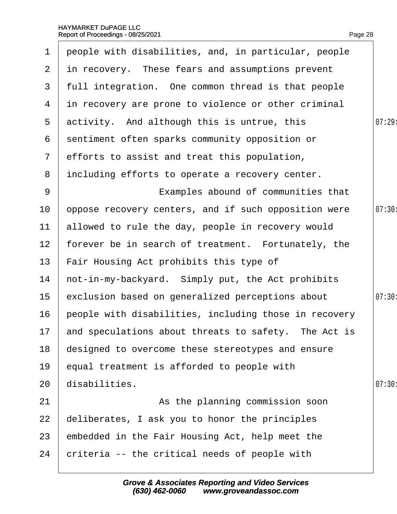| $\mathbf 1$      | people with disabilities, and, in particular, people    |       |
|------------------|---------------------------------------------------------|-------|
|                  | 2 in recovery. These fears and assumptions prevent      |       |
| 3 <sup>1</sup>   | full integration. One common thread is that people      |       |
|                  | 4 in recovery are prone to violence or other criminal   |       |
| 5 <sup>5</sup>   | activity. And although this is untrue, this             | 07:29 |
| 6                | sentiment often sparks community opposition or          |       |
| $\mathbf{7}$     | efforts to assist and treat this population,            |       |
| 8                | including efforts to operate a recovery center.         |       |
| 9                | Examples abound of communities that                     |       |
| 10               | oppose recovery centers, and if such opposition were    | 07:30 |
| 11               | allowed to rule the day, people in recovery would       |       |
| 12 <sub>2</sub>  | forever be in search of treatment. Fortunately, the     |       |
| 13 <sup>°</sup>  | Fair Housing Act prohibits this type of                 |       |
| 14               | hot-in-my-backyard. Simply put, the Act prohibits       |       |
| 15 <sub>15</sub> | exclusion based on generalized perceptions about        | 07:30 |
| 16               | people with disabilities, including those in recovery   |       |
|                  | 17 and speculations about threats to safety. The Act is |       |
| 18               | designed to overcome these stereotypes and ensure       |       |
| 19               | equal treatment is afforded to people with              |       |
| 20               | disabilities.                                           | 07:30 |
| 21               | As the planning commission soon                         |       |
| 22               | deliberates, I ask you to honor the principles          |       |
| 23               | embedded in the Fair Housing Act, help meet the         |       |
| 24               | criteria -- the critical needs of people with           |       |
|                  |                                                         |       |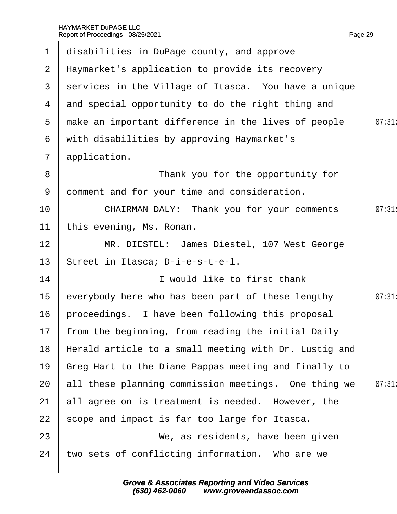| $\mathbf 1$     | disabilities in DuPage county, and approve             |       |
|-----------------|--------------------------------------------------------|-------|
|                 | 2 Haymarket's application to provide its recovery      |       |
|                 | 3 services in the Village of Itasca. You have a unique |       |
| 4               | and special opportunity to do the right thing and      |       |
| 5               | make an important difference in the lives of people    | 07:31 |
| 6               | with disabilities by approving Haymarket's             |       |
| $\overline{7}$  | application.                                           |       |
| 8               | Thank you for the opportunity for                      |       |
| 9               | domment and for your time and consideration.           |       |
| 10              | <b>CHAIRMAN DALY: Thank you for your comments</b>      | 07:31 |
| 11              | this evening, Ms. Ronan.                               |       |
| 12              | MR. DIESTEL: James Diestel, 107 West George            |       |
| 13              | Street in Itasca; D-i-e-s-t-e-l.                       |       |
| 14              | I would like to first thank                            |       |
| 15 <sub>2</sub> | everybody here who has been part of these lengthy      | 07:31 |
| 16              | proceedings. I have been following this proposal       |       |
|                 | 17 from the beginning, from reading the initial Daily  |       |
| 18              | Herald article to a small meeting with Dr. Lustig and  |       |
| 19              | Greg Hart to the Diane Pappas meeting and finally to   |       |
| 20              | all these planning commission meetings. One thing we   | 07:31 |
| 21              | all agree on is treatment is needed. However, the      |       |
| 22              | scope and impact is far too large for Itasca.          |       |
| 23              | We, as residents, have been given                      |       |
| 24              | two sets of conflicting information. Who are we        |       |
|                 |                                                        |       |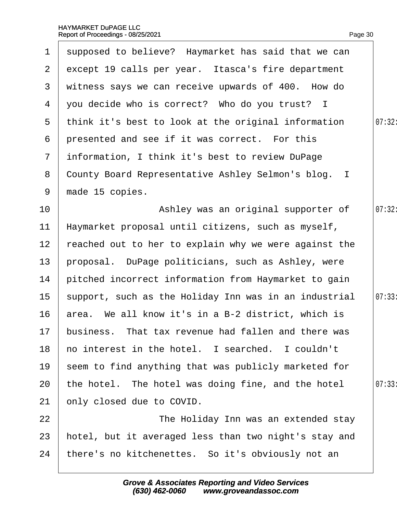| $\mathbf 1$     | supposed to believe? Haymarket has said that we can   |        |
|-----------------|-------------------------------------------------------|--------|
| 2 <sup>1</sup>  | except 19 calls per year. Itasca's fire department    |        |
| 3               | witness says we can receive upwards of 400. How do    |        |
| 4               | you decide who is correct? Who do you trust? I        |        |
|                 | 5 think it's best to look at the original information | 07:32: |
| 6               | presented and see if it was correct. For this         |        |
| $\mathbf{7}$    | information, I think it's best to review DuPage       |        |
| 8               | County Board Representative Ashley Selmon's blog. I   |        |
| 9               | made 15 copies.                                       |        |
| 10 <sup>°</sup> | Ashley was an original supporter of                   | 07:32: |
| 11              | Haymarket proposal until citizens, such as myself,    |        |
| 12 <sub>2</sub> | reached out to her to explain why we were against the |        |
| 13              | proposal. DuPage politicians, such as Ashley, were    |        |
| 14              | pitched incorrect information from Haymarket to gain  |        |
| 15              | support, such as the Holiday Inn was in an industrial | 07:33  |
| 16              | area. We all know it's in a B-2 district, which is    |        |
| 17 <sub>2</sub> | business. That tax revenue had fallen and there was   |        |
| 18              | ho interest in the hotel. I searched. I couldn't      |        |
| 19              | seem to find anything that was publicly marketed for  |        |
| 20              | the hotel. The hotel was doing fine, and the hotel    | 07:33  |
| 21              | only closed due to COVID.                             |        |
| 22              | The Holiday Inn was an extended stay                  |        |
| 23              | hotel, but it averaged less than two night's stay and |        |
| 24              | there's no kitchenettes. So it's obviously not an     |        |
|                 |                                                       |        |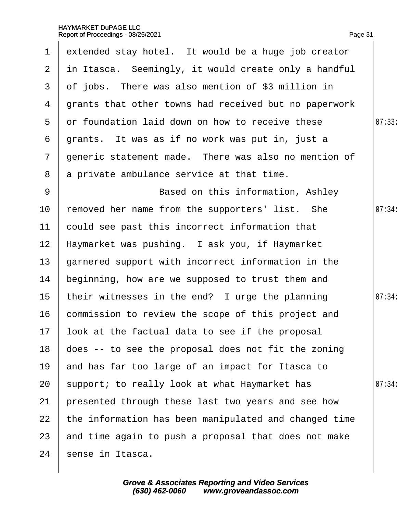|                  | 1 extended stay hotel. It would be a huge job creator  |        |
|------------------|--------------------------------------------------------|--------|
|                  | 2 in Itasca. Seemingly, it would create only a handful |        |
| 3                | of jobs. There was also mention of \$3 million in      |        |
| 4                | grants that other towns had received but no paperwork  |        |
| 5                | or foundation laid down on how to receive these        | 07:33  |
| 6                | grants. It was as if no work was put in, just a        |        |
| $\overline{7}$   | generic statement made. There was also no mention of   |        |
| 8                | a private ambulance service at that time.              |        |
| 9                | Based on this information, Ashley                      |        |
| 10               | removed her name from the supporters' list. She        | 07:34: |
| 11               | could see past this incorrect information that         |        |
| 12 <sub>2</sub>  | Haymarket was pushing. I ask you, if Haymarket         |        |
| 13               | garnered support with incorrect information in the     |        |
| 14               | beginning, how are we supposed to trust them and       |        |
| 15 <sub>1</sub>  | their witnesses in the end? I urge the planning        | 07:34: |
| 16               | commission to review the scope of this project and     |        |
| 17 <sup>17</sup> | look at the factual data to see if the proposal        |        |
| 18               | does -- to see the proposal does not fit the zoning    |        |
| 19               | and has far too large of an impact for Itasca to       |        |
| 20               | support; to really look at what Haymarket has          | 07:34: |
| 21               | presented through these last two years and see how     |        |
| 22               | the information has been manipulated and changed time  |        |
| 23               | and time again to push a proposal that does not make   |        |
| 24               | sense in Itasca.                                       |        |
|                  |                                                        |        |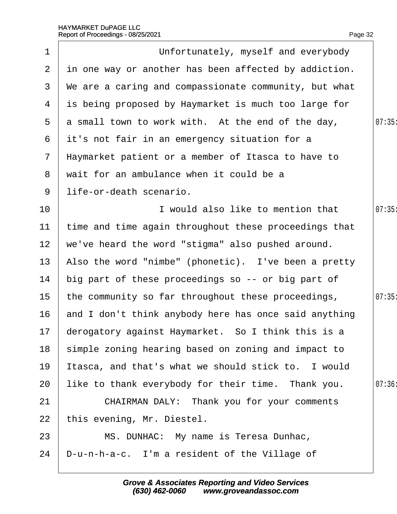Page 32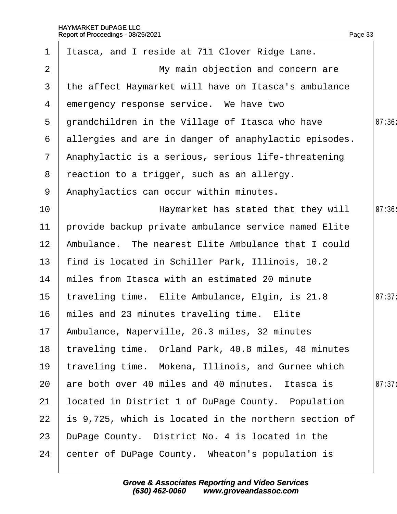| 1               | Itasca, and I reside at 711 Clover Ridge Lane.        |        |
|-----------------|-------------------------------------------------------|--------|
| $\overline{2}$  | My main objection and concern are                     |        |
| 3               | the affect Haymarket will have on Itasca's ambulance  |        |
| 4               | emergency response service. We have two               |        |
| 5               | grandchildren in the Village of Itasca who have       | 07:36  |
| 6               | allergies and are in danger of anaphylactic episodes. |        |
| $7\phantom{.}$  | Anaphylactic is a serious, serious life-threatening   |        |
| 8               | reaction to a trigger, such as an allergy.            |        |
| 9               | Anaphylactics can occur within minutes.               |        |
| 10              | Haymarket has stated that they will                   | 07:36  |
| 11              | provide backup private ambulance service named Elite  |        |
| 12 <sub>2</sub> | Ambulance. The nearest Elite Ambulance that I could   |        |
| 13              | find is located in Schiller Park, Illinois, 10.2      |        |
| 14              | miles from Itasca with an estimated 20 minute         |        |
| 15              | traveling time. Elite Ambulance, Elgin, is 21.8       | 07:37: |
| 16              | miles and 23 minutes traveling time. Elite            |        |
|                 | 17 Ambulance, Naperville, 26.3 miles, 32 minutes      |        |
| 18              | traveling time. Orland Park, 40.8 miles, 48 minutes   |        |
| 19              | traveling time. Mokena, Illinois, and Gurnee which    |        |
| 20              | are both over 40 miles and 40 minutes. Itasca is      | 07:37  |
| 21              | located in District 1 of DuPage County. Population    |        |
| 22              | is 9,725, which is located in the northern section of |        |
| 23              | DuPage County. District No. 4 is located in the       |        |
| 24              | center of DuPage County. Wheaton's population is      |        |
|                 |                                                       |        |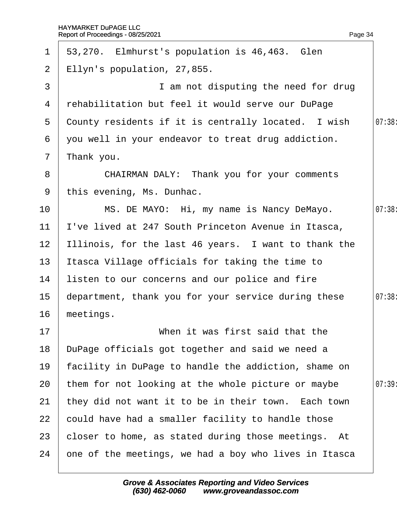| $\mathbf 1$     | 53,270. Elmhurst's population is 46,463. Glen         |        |
|-----------------|-------------------------------------------------------|--------|
| $\overline{2}$  | Ellyn's population, 27,855.                           |        |
| 3               | I am not disputing the need for drug                  |        |
| 4               | rehabilitation but feel it would serve our DuPage     |        |
| 5               | County residents if it is centrally located. I wish   | 07:38  |
| 6               | you well in your endeavor to treat drug addiction.    |        |
| $\overline{7}$  | Thank you.                                            |        |
| 8               | <b>CHAIRMAN DALY: Thank you for your comments</b>     |        |
| 9               | this evening, Ms. Dunhac.                             |        |
| 10              | MS. DE MAYO: Hi, my name is Nancy DeMayo.             | 07:38  |
| 11              | 've lived at 247 South Princeton Avenue in Itasca,    |        |
| 12 <sub>2</sub> | Illinois, for the last 46 years. I want to thank the  |        |
| 13              | Itasca Village officials for taking the time to       |        |
| 14              | listen to our concerns and our police and fire        |        |
| 15 <sub>1</sub> | department, thank you for your service during these   | 07:38: |
| 16              | meetings.                                             |        |
| 17              | When it was first said that the                       |        |
| 18              | DuPage officials got together and said we need a      |        |
| 19              | facility in DuPage to handle the addiction, shame on  |        |
| 20              | them for not looking at the whole picture or maybe    | 07:39  |
| 21              | they did not want it to be in their town. Each town   |        |
| 22              | could have had a smaller facility to handle those     |        |
| 23              | closer to home, as stated during those meetings. At   |        |
| 24              | one of the meetings, we had a boy who lives in Itasca |        |
|                 |                                                       |        |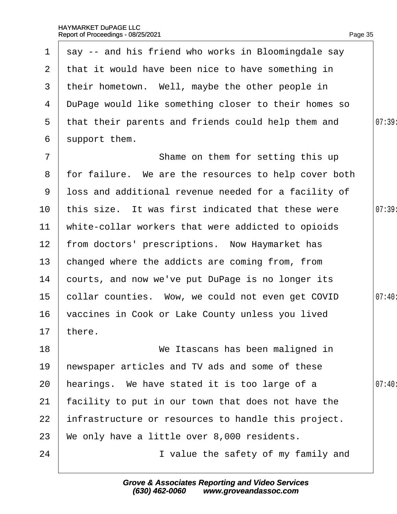| $\mathbf{1}$    | say -- and his friend who works in Bloomingdale say  |       |
|-----------------|------------------------------------------------------|-------|
| $\overline{2}$  | that it would have been nice to have something in    |       |
| 3               | their hometown. Well, maybe the other people in      |       |
| 4               | DuPage would like something closer to their homes so |       |
| 5               | that their parents and friends could help them and   | 07:39 |
| 6               | support them.                                        |       |
| $\overline{7}$  | Shame on them for setting this up                    |       |
| 8               | for failure. We are the resources to help cover both |       |
| 9               | loss and additional revenue needed for a facility of |       |
| 10              | this size. It was first indicated that these were    | 07:39 |
| 11              | white-collar workers that were addicted to opioids   |       |
| 12 <sub>2</sub> | from doctors' prescriptions. Now Haymarket has       |       |
| 13 <sup>°</sup> | changed where the addicts are coming from, from      |       |
| 14              | courts, and now we've put DuPage is no longer its    |       |
| 15 <sub>1</sub> | collar counties. Wow, we could not even get COVID    | 07:40 |
| 16              | vaccines in Cook or Lake County unless you lived     |       |
|                 | 17 there.                                            |       |
| 18              | We Itascans has been maligned in                     |       |
| 19              | hewspaper articles and TV ads and some of these      |       |
| 20              | hearings. We have stated it is too large of a        | 07:40 |
| 21              | facility to put in our town that does not have the   |       |
| 22              | infrastructure or resources to handle this project.  |       |
| 23              | We only have a little over 8,000 residents.          |       |
| 24              | I value the safety of my family and                  |       |
|                 |                                                      |       |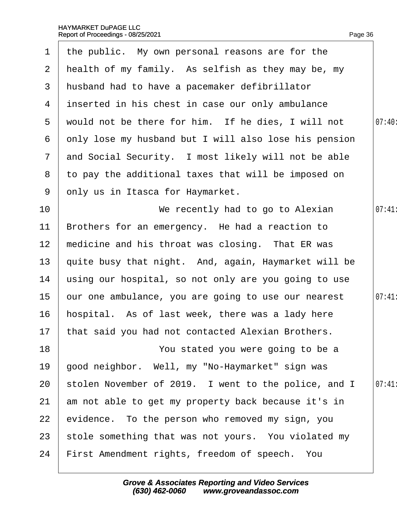| $\mathbf 1$     | the public. My own personal reasons are for the       |        |
|-----------------|-------------------------------------------------------|--------|
| $\mathbf{2}$    | health of my family. As selfish as they may be, my    |        |
| 3               | husband had to have a pacemaker defibrillator         |        |
|                 | 4 inserted in his chest in case our only ambulance    |        |
| 5               | would not be there for him. If he dies, I will not    | 07:40: |
| 6               | only lose my husband but I will also lose his pension |        |
| $\mathbf{7}$    | and Social Security. I most likely will not be able   |        |
|                 | 8 to pay the additional taxes that will be imposed on |        |
| 9               | only us in Itasca for Haymarket.                      |        |
| 10 <sup>°</sup> | We recently had to go to Alexian                      | 07:41  |
| 11              | Brothers for an emergency. He had a reaction to       |        |
| 12 <sup>2</sup> | medicine and his throat was closing. That ER was      |        |
| 13              | quite busy that night. And, again, Haymarket will be  |        |
| 14              | using our hospital, so not only are you going to use  |        |
| 15              | bur one ambulance, you are going to use our nearest   | 07:41  |
| 16              | hospital. As of last week, there was a lady here      |        |
|                 | 17 that said you had not contacted Alexian Brothers.  |        |
| 18              | You stated you were going to be a                     |        |
| 19              | good neighbor. Well, my "No-Haymarket" sign was       |        |
| 20              | stolen November of 2019. I went to the police, and I  | 07:41  |
| 21              | am not able to get my property back because it's in   |        |
| 22              | evidence. To the person who removed my sign, you      |        |
| 23              | stole something that was not yours. You violated my   |        |
| 24              | First Amendment rights, freedom of speech. You        |        |
|                 |                                                       |        |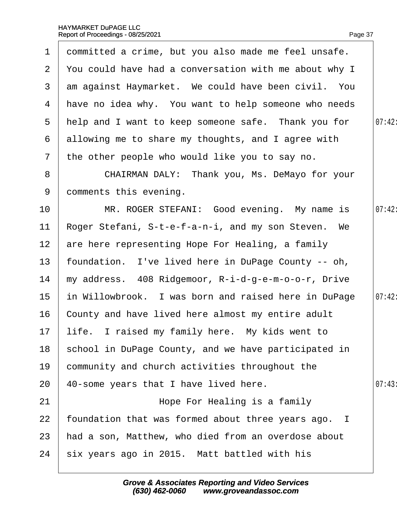|                 | 1 dommitted a crime, but you also made me feel unsafe.  |        |
|-----------------|---------------------------------------------------------|--------|
|                 | 2 You could have had a conversation with me about why I |        |
|                 | 3 am against Haymarket. We could have been civil. You   |        |
|                 | 4 Have no idea why. You want to help someone who needs  |        |
|                 | 5 help and I want to keep someone safe. Thank you for   | 07:42: |
|                 | 6 allowing me to share my thoughts, and I agree with    |        |
| $\overline{7}$  | the other people who would like you to say no.          |        |
| 8               | CHAIRMAN DALY: Thank you, Ms. DeMayo for your           |        |
| 9               | domments this evening.                                  |        |
| 10 <sup>1</sup> | MR. ROGER STEFANI: Good evening. My name is             | 07:42: |
| 11              | Roger Stefani, S-t-e-f-a-n-i, and my son Steven. We     |        |
| 12 <sup>7</sup> | are here representing Hope For Healing, a family        |        |
| 13 <sup>°</sup> | foundation. I've lived here in DuPage County -- oh,     |        |
| 14              | my address. 408 Ridgemoor, R-i-d-g-e-m-o-o-r, Drive     |        |
| 15 <sub>1</sub> | in Willowbrook. I was born and raised here in DuPage    | 07:42: |
| 16 <sup>1</sup> | County and have lived here almost my entire adult       |        |
|                 | 17 life. I raised my family here. My kids went to       |        |
| 18              | school in DuPage County, and we have participated in    |        |
| 19              | community and church activities throughout the          |        |
| 20              | 40-some years that I have lived here.                   | 07:43  |
| 21              | Hope For Healing is a family                            |        |
| 22              | foundation that was formed about three years ago. I     |        |
| 23              | had a son, Matthew, who died from an overdose about     |        |
| 24              | six years ago in 2015. Matt battled with his            |        |
|                 |                                                         |        |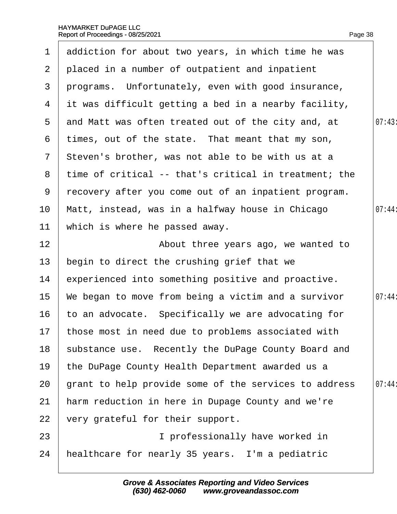|                 | 1 addiction for about two years, in which time he was |        |
|-----------------|-------------------------------------------------------|--------|
| 2 <sup>1</sup>  | placed in a number of outpatient and inpatient        |        |
| 3               | programs. Unfortunately, even with good insurance,    |        |
| 4               | it was difficult getting a bed in a nearby facility,  |        |
| 5               | and Matt was often treated out of the city and, at    | 07:43  |
| 6               | times, out of the state. That meant that my son,      |        |
| $7\phantom{.}$  | Steven's brother, was not able to be with us at a     |        |
| 8               | time of critical -- that's critical in treatment; the |        |
| 9               | recovery after you come out of an inpatient program.  |        |
| 10 <sup>°</sup> | Matt, instead, was in a halfway house in Chicago      | 07:44: |
| 11              | which is where he passed away.                        |        |
| 12              | About three years ago, we wanted to                   |        |
| 13              | begin to direct the crushing grief that we            |        |
| 14              | experienced into something positive and proactive.    |        |
| 15              | We began to move from being a victim and a survivor   | 07:44: |
| 16              | to an advocate. Specifically we are advocating for    |        |
|                 | 17 those most in need due to problems associated with |        |
| 18              | substance use. Recently the DuPage County Board and   |        |
| 19              | the DuPage County Health Department awarded us a      |        |
| 20              | grant to help provide some of the services to address | 07:44: |
| 21              | harm reduction in here in Dupage County and we're     |        |
| 22              | very grateful for their support.                      |        |
| 23              | I professionally have worked in                       |        |
| 24              | healthcare for nearly 35 years. I'm a pediatric       |        |
|                 |                                                       |        |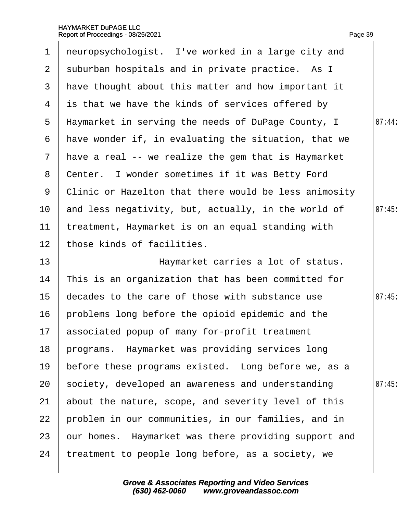| $\mathbf 1$     | neuropsychologist. I've worked in a large city and    |       |
|-----------------|-------------------------------------------------------|-------|
| 2 <sup>1</sup>  | suburban hospitals and in private practice. As I      |       |
| 3               | have thought about this matter and how important it   |       |
| 4               | is that we have the kinds of services offered by      |       |
| 5               | Haymarket in serving the needs of DuPage County, I    | 07:44 |
| 6               | have wonder if, in evaluating the situation, that we  |       |
| $\mathbf{7}$    | have a real -- we realize the gem that is Haymarket   |       |
| 8               | Center. I wonder sometimes if it was Betty Ford       |       |
| 9               | Clinic or Hazelton that there would be less animosity |       |
| 10              | and less negativity, but, actually, in the world of   | 07:45 |
| 11              | treatment, Haymarket is on an equal standing with     |       |
| 12 <sub>2</sub> | those kinds of facilities.                            |       |
| 13              | Haymarket carries a lot of status.                    |       |
| 14              | This is an organization that has been committed for   |       |
| 15              | decades to the care of those with substance use       | 07:45 |
| 16              | problems long before the opioid epidemic and the      |       |
|                 | 17 associated popup of many for-profit treatment      |       |
| 18              | programs. Haymarket was providing services long       |       |
| 19              | before these programs existed. Long before we, as a   |       |
| 20              | society, developed an awareness and understanding     | 07:45 |
| 21              | about the nature, scope, and severity level of this   |       |
| 22              | problem in our communities, in our families, and in   |       |
| 23              | our homes. Haymarket was there providing support and  |       |
| 24              | treatment to people long before, as a society, we     |       |
|                 |                                                       |       |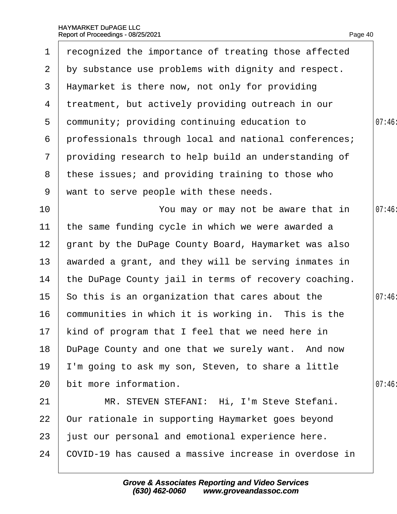| 1               | recognized the importance of treating those affected  |       |
|-----------------|-------------------------------------------------------|-------|
| $\overline{2}$  | by substance use problems with dignity and respect.   |       |
| 3               | Haymarket is there now, not only for providing        |       |
| 4               | treatment, but actively providing outreach in our     |       |
| 5               | dommunity; providing continuing education to          | 07:46 |
| 6               | professionals through local and national conferences; |       |
| $\overline{7}$  | providing research to help build an understanding of  |       |
| 8               | these issues; and providing training to those who     |       |
| 9               | want to serve people with these needs.                |       |
| 10              | You may or may not be aware that in                   | 07:46 |
| 11              | the same funding cycle in which we were awarded a     |       |
| 12 <sup>2</sup> | grant by the DuPage County Board, Haymarket was also  |       |
| 13 <sup>°</sup> | awarded a grant, and they will be serving inmates in  |       |
| 14              | the DuPage County jail in terms of recovery coaching. |       |
| 15              | So this is an organization that cares about the       | 07:46 |
| 16              | communities in which it is working in. This is the    |       |
|                 | 17 kind of program that I feel that we need here in   |       |
| 18              | DuPage County and one that we surely want. And now    |       |
| 19              | I'm going to ask my son, Steven, to share a little    |       |
| 20              | bit more information.                                 | 07:46 |
| 21              | MR. STEVEN STEFANI: Hi, I'm Steve Stefani.            |       |
| 22              | Our rationale in supporting Haymarket goes beyond     |       |
| 23              | just our personal and emotional experience here.      |       |
| 24              | COVID-19 has caused a massive increase in overdose in |       |
|                 |                                                       |       |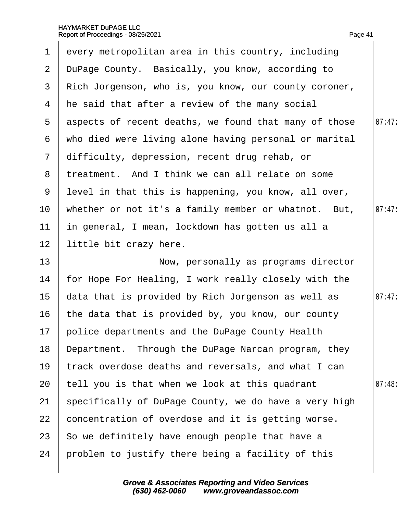| 1               | every metropolitan area in this country, including    |        |
|-----------------|-------------------------------------------------------|--------|
| 2 <sup>1</sup>  | DuPage County. Basically, you know, according to      |        |
| 3               | Rich Jorgenson, who is, you know, our county coroner, |        |
| 4               | he said that after a review of the many social        |        |
| 5               | aspects of recent deaths, we found that many of those | 07:47: |
| 6               | who died were living alone having personal or marital |        |
| $\overline{7}$  | difficulty, depression, recent drug rehab, or         |        |
| 8               | treatment. And I think we can all relate on some      |        |
| 9               | level in that this is happening, you know, all over,  |        |
| 10 <sup>°</sup> | whether or not it's a family member or whatnot. But,  | 07:47  |
| 11              | in general, I mean, lockdown has gotten us all a      |        |
| 12 <sub>2</sub> | little bit crazy here.                                |        |
| 13              | Now, personally as programs director                  |        |
| 14              | for Hope For Healing, I work really closely with the  |        |
| 15              | data that is provided by Rich Jorgenson as well as    | 07:47: |
| 16              | the data that is provided by, you know, our county    |        |
|                 | 17 police departments and the DuPage County Health    |        |
| 18              | Department. Through the DuPage Narcan program, they   |        |
| 19              | track overdose deaths and reversals, and what I can   |        |
| 20              | tell you is that when we look at this quadrant        | 07:48  |
| 21              | specifically of DuPage County, we do have a very high |        |
| 22              | concentration of overdose and it is getting worse.    |        |
| 23              | So we definitely have enough people that have a       |        |
| 24              | problem to justify there being a facility of this     |        |
|                 |                                                       |        |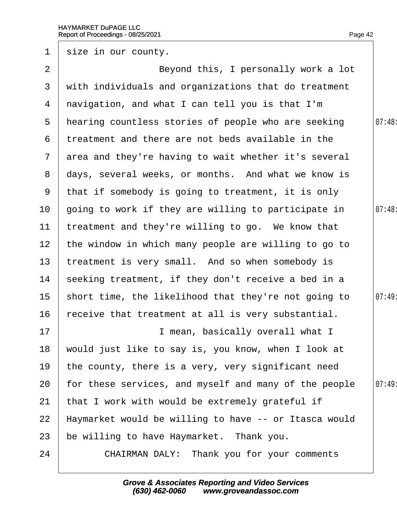| $\mathbf 1$     | size in our county.                                   |        |
|-----------------|-------------------------------------------------------|--------|
| 2               | Beyond this, I personally work a lot                  |        |
| 3               | with individuals and organizations that do treatment  |        |
| 4               | navigation, and what I can tell you is that I'm       |        |
| 5               | hearing countless stories of people who are seeking   | 07:48  |
| 6               | treatment and there are not beds available in the     |        |
| $\overline{7}$  | area and they're having to wait whether it's several  |        |
| 8               | days, several weeks, or months. And what we know is   |        |
| 9               | that if somebody is going to treatment, it is only    |        |
| 10              | going to work if they are willing to participate in   | 07:48: |
| 11              | treatment and they're willing to go. We know that     |        |
| 12 <sub>2</sub> | the window in which many people are willing to go to  |        |
| 13              | treatment is very small. And so when somebody is      |        |
| 14              | seeking treatment, if they don't receive a bed in a   |        |
| 15 <sub>1</sub> | short time, the likelihood that they're not going to  | 07:49  |
| 16              | receive that treatment at all is very substantial.    |        |
| 17              | I mean, basically overall what I                      |        |
| 18              | would just like to say is, you know, when I look at   |        |
| 19              | the county, there is a very, very significant need    |        |
| 20              | for these services, and myself and many of the people | 07:49: |
| 21              | that I work with would be extremely grateful if       |        |
| 22              | Haymarket would be willing to have -- or Itasca would |        |
| 23              | be willing to have Haymarket. Thank you.              |        |
| 24              | <b>CHAIRMAN DALY: Thank you for your comments</b>     |        |
|                 |                                                       |        |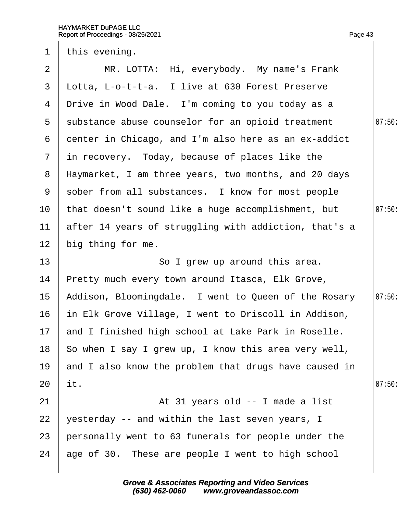| $\mathbf 1$     | this evening.                                          |        |
|-----------------|--------------------------------------------------------|--------|
| $\overline{2}$  | MR. LOTTA: Hi, everybody. My name's Frank              |        |
| 3               | Lotta, L-o-t-t-a. I live at 630 Forest Preserve        |        |
| 4               | Drive in Wood Dale. I'm coming to you today as a       |        |
| 5               | substance abuse counselor for an opioid treatment      | 07:50: |
| 6               | denter in Chicago, and I'm also here as an ex-addict   |        |
| $\mathbf{7}$    | in recovery. Today, because of places like the         |        |
|                 | 8 Haymarket, I am three years, two months, and 20 days |        |
| 9               | sober from all substances. I know for most people      |        |
| 10              | that doesn't sound like a huge accomplishment, but     | 07:50  |
| 11              | after 14 years of struggling with addiction, that's a  |        |
| 12 <sub>2</sub> | big thing for me.                                      |        |
| 13              | So I grew up around this area.                         |        |
| 14              | Pretty much every town around Itasca, Elk Grove,       |        |
| 15              | Addison, Bloomingdale. I went to Queen of the Rosary   | 07:50: |
| 16              | in Elk Grove Village, I went to Driscoll in Addison,   |        |
|                 | 17 and I finished high school at Lake Park in Roselle. |        |
| 18              | So when I say I grew up, I know this area very well,   |        |
| 19              | and I also know the problem that drugs have caused in  |        |
| 20              | it.                                                    | 07:50  |
| 21              | At 31 years old -- I made a list                       |        |
| 22              | yesterday -- and within the last seven years, I        |        |
| 23              | personally went to 63 funerals for people under the    |        |
| 24              | age of 30. These are people I went to high school      |        |
|                 |                                                        |        |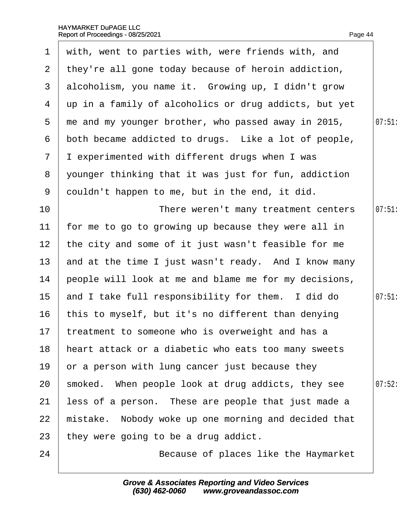| $\mathbf 1$     | with, went to parties with, were friends with, and    |        |
|-----------------|-------------------------------------------------------|--------|
| $\mathbf{2}$    | they're all gone today because of heroin addiction,   |        |
| 3 <sup>1</sup>  | alcoholism, you name it. Growing up, I didn't grow    |        |
| 4               | up in a family of alcoholics or drug addicts, but yet |        |
| 5               | the and my younger brother, who passed away in 2015,  | 07:51  |
| 6               | both became addicted to drugs. Like a lot of people,  |        |
| $\overline{7}$  | I experimented with different drugs when I was        |        |
| 8               | younger thinking that it was just for fun, addiction  |        |
| 9               | douldn't happen to me, but in the end, it did.        |        |
| 10              | There weren't many treatment centers                  | 07:51  |
| 11              | for me to go to growing up because they were all in   |        |
| 12 <sub>2</sub> | the city and some of it just wasn't feasible for me   |        |
| 13              | and at the time I just wasn't ready. And I know many  |        |
| 14              | people will look at me and blame me for my decisions, |        |
| 15 <sub>2</sub> | and I take full responsibility for them. I did do     | 07:51  |
| 16              | this to myself, but it's no different than denying    |        |
|                 | 17 treatment to someone who is overweight and has a   |        |
| 18              | heart attack or a diabetic who eats too many sweets   |        |
| 19              | or a person with lung cancer just because they        |        |
| 20              | smoked. When people look at drug addicts, they see    | 07:52: |
| 21              | less of a person. These are people that just made a   |        |
| 22              | mistake. Nobody woke up one morning and decided that  |        |
| 23              | they were going to be a drug addict.                  |        |
| 24              | Because of places like the Haymarket                  |        |
|                 |                                                       |        |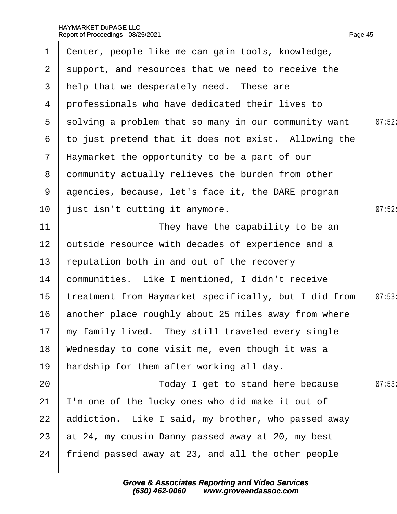| 1              | Center, people like me can gain tools, knowledge,     |        |
|----------------|-------------------------------------------------------|--------|
| $\overline{2}$ | support, and resources that we need to receive the    |        |
| 3              | help that we desperately need. These are              |        |
| 4              | professionals who have dedicated their lives to       |        |
| 5              | solving a problem that so many in our community want  | 07:52: |
| 6              | to just pretend that it does not exist. Allowing the  |        |
| $\mathbf{7}$   | Haymarket the opportunity to be a part of our         |        |
| 8              | community actually relieves the burden from other     |        |
| 9              | agencies, because, let's face it, the DARE program    |        |
| 10             | just isn't cutting it anymore.                        | 07:52  |
| 11             | They have the capability to be an                     |        |
| 12             | putside resource with decades of experience and a     |        |
| 13             | reputation both in and out of the recovery            |        |
| 14             | communities. Like I mentioned, I didn't receive       |        |
| 15             | treatment from Haymarket specifically, but I did from | 07:53  |
| 16             | another place roughly about 25 miles away from where  |        |
|                | 17 my family lived. They still traveled every single  |        |
| 18             | Wednesday to come visit me, even though it was a      |        |
| 19             | hardship for them after working all day.              |        |
| 20             | Today I get to stand here because                     | 07:53  |
| 21             | I'm one of the lucky ones who did make it out of      |        |
| 22             | addiction. Like I said, my brother, who passed away   |        |
| 23             | at 24, my cousin Danny passed away at 20, my best     |        |
| 24             | friend passed away at 23, and all the other people    |        |
|                |                                                       |        |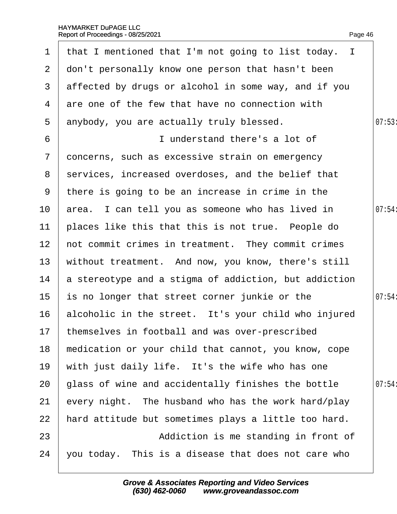|                 | 1 that I mentioned that I'm not going to list today. I |       |
|-----------------|--------------------------------------------------------|-------|
| $\overline{2}$  | don't personally know one person that hasn't been      |       |
| 3               | affected by drugs or alcohol in some way, and if you   |       |
| 4               | are one of the few that have no connection with        |       |
| 5               | anybody, you are actually truly blessed.               | 07:53 |
| 6               | I understand there's a lot of                          |       |
| $\mathcal{I}$   | doncerns, such as excessive strain on emergency        |       |
| 8               | services, increased overdoses, and the belief that     |       |
| 9               | there is going to be an increase in crime in the       |       |
| 10              | area. I can tell you as someone who has lived in       | 07:54 |
| 11              | places like this that this is not true. People do      |       |
| 12 <sub>2</sub> | not commit crimes in treatment. They commit crimes     |       |
| 13              | without treatment. And now, you know, there's still    |       |
| 14              | a stereotype and a stigma of addiction, but addiction  |       |
| 15              | is no longer that street corner junkie or the          | 07:54 |
| 16              | alcoholic in the street. It's your child who injured   |       |
|                 | 17 themselves in football and was over-prescribed      |       |
| 18              | medication or your child that cannot, you know, cope   |       |
| 19              | with just daily life. It's the wife who has one        |       |
| 20              | glass of wine and accidentally finishes the bottle     | 07:54 |
| 21              | every night. The husband who has the work hard/play    |       |
| 22              | hard attitude but sometimes plays a little too hard.   |       |
| 23              | Addiction is me standing in front of                   |       |
| 24              | you today. This is a disease that does not care who    |       |
|                 |                                                        |       |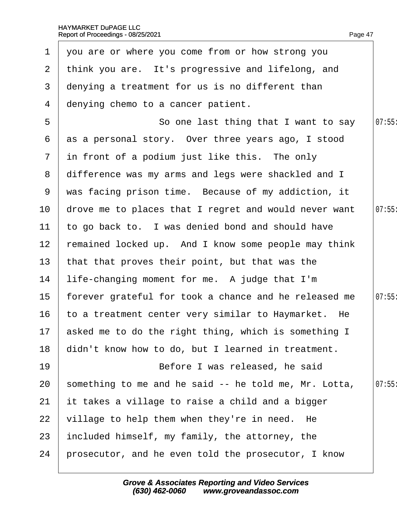| $\mathbf 1$     | you are or where you come from or how strong you        |       |
|-----------------|---------------------------------------------------------|-------|
| 2 <sup>7</sup>  | think you are. It's progressive and lifelong, and       |       |
| 3               | denying a treatment for us is no different than         |       |
| 4               | denying chemo to a cancer patient.                      |       |
| 5               | So one last thing that I want to say                    | 07:55 |
| 6               | as a personal story. Over three years ago, I stood      |       |
| $7\overline{ }$ | in front of a podium just like this. The only           |       |
|                 | 8 difference was my arms and legs were shackled and I   |       |
| 9               | was facing prison time. Because of my addiction, it     |       |
| 10              | drove me to places that I regret and would never want   | 07:55 |
| 11              | to go back to. I was denied bond and should have        |       |
| 12 <sub>2</sub> | remained locked up. And I know some people may think    |       |
| 13 <sup>°</sup> | that that proves their point, but that was the          |       |
| 14              | life-changing moment for me. A judge that I'm           |       |
| 15 <sub>1</sub> | forever grateful for took a chance and he released me   | 07:55 |
| 16              | to a treatment center very similar to Haymarket. He     |       |
|                 | 17 asked me to do the right thing, which is something I |       |
| 18              | didn't know how to do, but I learned in treatment.      |       |
| 19              | Before I was released, he said                          |       |
| 20              | something to me and he said -- he told me, Mr. Lotta,   | 07:55 |
| 21              | it takes a village to raise a child and a bigger        |       |
| 22              | village to help them when they're in need. He           |       |
| 23              | included himself, my family, the attorney, the          |       |
| 24              | prosecutor, and he even told the prosecutor, I know     |       |
|                 |                                                         |       |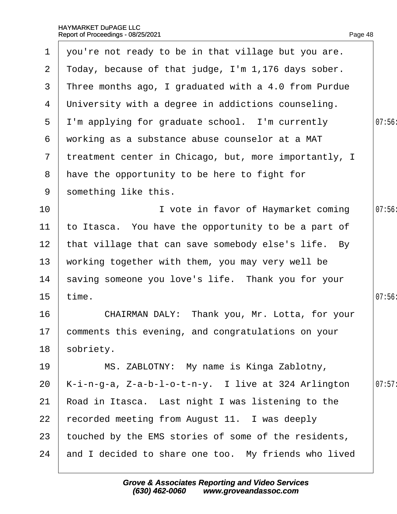| $\mathbf 1$      | you're not ready to be in that village but you are.   |       |
|------------------|-------------------------------------------------------|-------|
| $\overline{2}$   | Today, because of that judge, I'm 1,176 days sober.   |       |
| 3                | Three months ago, I graduated with a 4.0 from Purdue  |       |
| 4                | University with a degree in addictions counseling.    |       |
| 5                | I'm applying for graduate school. I'm currently       | 07:56 |
| 6                | working as a substance abuse counselor at a MAT       |       |
| 7 <sup>7</sup>   | treatment center in Chicago, but, more importantly, I |       |
|                  | 8 have the opportunity to be here to fight for        |       |
| 9                | something like this.                                  |       |
| 10               | I vote in favor of Haymarket coming                   | 07:56 |
| 11               | to Itasca. You have the opportunity to be a part of   |       |
| 12 <sub>2</sub>  | that village that can save somebody else's life. By   |       |
| 13               | working together with them, you may very well be      |       |
| 14               | saving someone you love's life. Thank you for your    |       |
| 15 <sub>15</sub> | time.                                                 | 07:56 |
| 16               | CHAIRMAN DALY: Thank you, Mr. Lotta, for your         |       |
|                  | 17 comments this evening, and congratulations on your |       |
| 18               | sobriety.                                             |       |
| 19               | MS. ZABLOTNY: My name is Kinga Zablotny,              |       |
| 20               | K-i-n-g-a, Z-a-b-l-o-t-n-y. I live at 324 Arlington   | 07:57 |
| 21               | Road in Itasca. Last night I was listening to the     |       |
| 22               | recorded meeting from August 11. I was deeply         |       |
| 23               | fouched by the EMS stories of some of the residents,  |       |
| 24               | and I decided to share one too. My friends who lived  |       |
|                  |                                                       |       |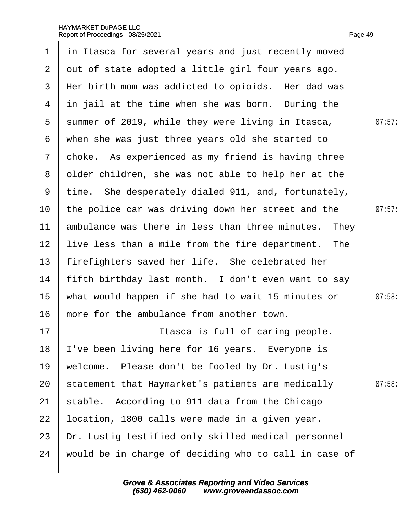|                 | 1 in Itasca for several years and just recently moved |        |
|-----------------|-------------------------------------------------------|--------|
| $\overline{2}$  | out of state adopted a little girl four years ago.    |        |
| 3               | Her birth mom was addicted to opioids. Her dad was    |        |
| 4               | in jail at the time when she was born. During the     |        |
| $5^{\circ}$     | summer of 2019, while they were living in Itasca,     | 07:57: |
| 6               | when she was just three years old she started to      |        |
| $\overline{7}$  | choke. As experienced as my friend is having three    |        |
| 8               | older children, she was not able to help her at the   |        |
|                 | 9 time. She desperately dialed 911, and, fortunately, |        |
| 10              | the police car was driving down her street and the    | 07:57: |
| 11              | ambulance was there in less than three minutes. They  |        |
| 12 <sub>2</sub> | live less than a mile from the fire department. The   |        |
| 13              | firefighters saved her life. She celebrated her       |        |
| 14              | fifth birthday last month. I don't even want to say   |        |
| 15              | what would happen if she had to wait 15 minutes or    | 07:58: |
| 16              | more for the ambulance from another town.             |        |
| 17              | Itasca is full of caring people.                      |        |
| 18              | 've been living here for 16 years. Everyone is        |        |
| 19              | welcome. Please don't be fooled by Dr. Lustig's       |        |
| 20              | statement that Haymarket's patients are medically     | 07:58  |
| 21              | stable. According to 911 data from the Chicago        |        |
| 22              | location, 1800 calls were made in a given year.       |        |
| 23              | Dr. Lustig testified only skilled medical personnel   |        |
| 24              | would be in charge of deciding who to call in case of |        |
|                 |                                                       |        |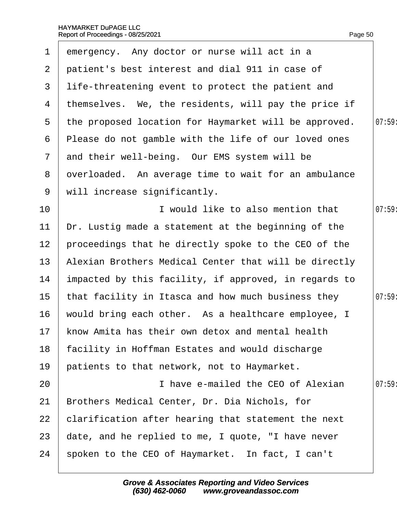| $\mathbf 1$     | emergency. Any doctor or nurse will act in a          |       |
|-----------------|-------------------------------------------------------|-------|
| $\overline{2}$  | patient's best interest and dial 911 in case of       |       |
| 3               | life-threatening event to protect the patient and     |       |
| 4               | themselves. We, the residents, will pay the price if  |       |
| 5               | the proposed location for Haymarket will be approved. | 07:59 |
| 6               | Please do not gamble with the life of our loved ones  |       |
| $7\phantom{.}$  | and their well-being. Our EMS system will be          |       |
| 8               | dverloaded. An average time to wait for an ambulance  |       |
| 9               | will increase significantly.                          |       |
| 10              | I would like to also mention that                     | 07:59 |
| $11$            | Dr. Lustig made a statement at the beginning of the   |       |
| 12 <sub>2</sub> | proceedings that he directly spoke to the CEO of the  |       |
| 13              | Alexian Brothers Medical Center that will be directly |       |
| 14              | impacted by this facility, if approved, in regards to |       |
| 15 <sub>2</sub> | that facility in Itasca and how much business they    | 07:59 |
| 16              | would bring each other. As a healthcare employee, I   |       |
|                 | 17 know Amita has their own detox and mental health   |       |
| 18              | facility in Hoffman Estates and would discharge       |       |
| 19              | patients to that network, not to Haymarket.           |       |
| 20              | I have e-mailed the CEO of Alexian                    | 07:59 |
| 21              | Brothers Medical Center, Dr. Dia Nichols, for         |       |
| 22              | clarification after hearing that statement the next   |       |
| 23              | date, and he replied to me, I quote, "I have never    |       |
| 24              | spoken to the CEO of Haymarket. In fact, I can't      |       |
|                 |                                                       |       |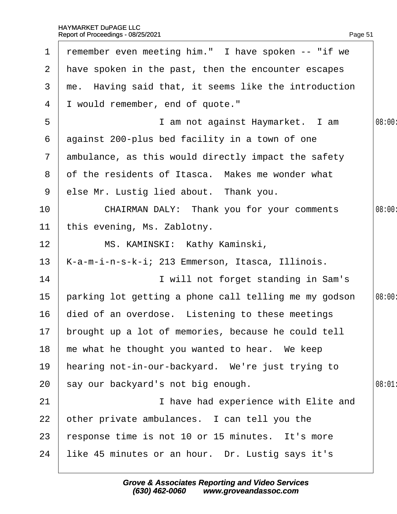|              | 1 remember even meeting him." I have spoken -- "if we  |        |
|--------------|--------------------------------------------------------|--------|
|              | 2 Have spoken in the past, then the encounter escapes  |        |
| 3            | me. Having said that, it seems like the introduction   |        |
| 4            | I would remember, end of quote."                       |        |
| 5            | I am not against Haymarket. I am                       | 08:00: |
| 6            | against 200-plus bed facility in a town of one         |        |
| $\mathbf{7}$ | ambulance, as this would directly impact the safety    |        |
| 8            | of the residents of Itasca. Makes me wonder what       |        |
| 9            | else Mr. Lustig lied about. Thank you.                 |        |
| 10           | CHAIRMAN DALY: Thank you for your comments             | 08:00: |
| 11           | this evening, Ms. Zablotny.                            |        |
| 12           | MS. KAMINSKI: Kathy Kaminski,                          |        |
| 13           | K-a-m-i-n-s-k-i; 213 Emmerson, Itasca, Illinois.       |        |
| 14           | I will not forget standing in Sam's                    |        |
| 15           | parking lot getting a phone call telling me my godson  | 08:00: |
| 16           | died of an overdose. Listening to these meetings       |        |
|              | 17 brought up a lot of memories, because he could tell |        |
| 18           | me what he thought you wanted to hear. We keep         |        |
| 19           | hearing not-in-our-backyard. We're just trying to      |        |
| 20           | say our backyard's not big enough.                     | 08:01  |
| 21           | I have had experience with Elite and                   |        |
| 22           | other private ambulances. I can tell you the           |        |
| 23           | response time is not 10 or 15 minutes. It's more       |        |
| 24           | like 45 minutes or an hour. Dr. Lustig says it's       |        |
|              |                                                        |        |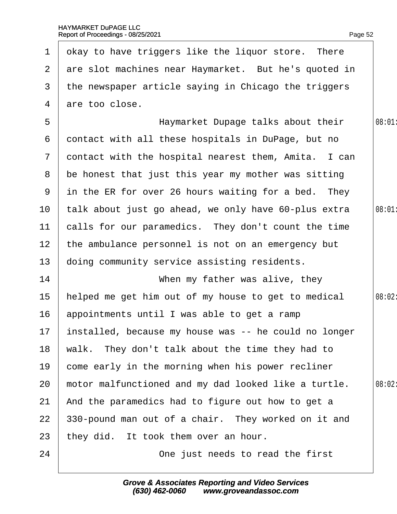| $\mathbf 1$     | okay to have triggers like the liquor store. There     |        |
|-----------------|--------------------------------------------------------|--------|
|                 | 2 are slot machines near Haymarket. But he's quoted in |        |
| 3               | the newspaper article saying in Chicago the triggers   |        |
| 4               | are too close.                                         |        |
| 5               | Haymarket Dupage talks about their                     | 08:01  |
| 6               | dontact with all these hospitals in DuPage, but no     |        |
| $\mathbf{7}$    | dontact with the hospital nearest them, Amita. I can   |        |
| 8               | be honest that just this year my mother was sitting    |        |
| 9               | in the ER for over 26 hours waiting for a bed. They    |        |
| 10              | talk about just go ahead, we only have 60-plus extra   | 08:01  |
| 11              | calls for our paramedics. They don't count the time    |        |
| 12 <sub>2</sub> | the ambulance personnel is not on an emergency but     |        |
| 13              | doing community service assisting residents.           |        |
| 14              | When my father was alive, they                         |        |
| 15              | helped me get him out of my house to get to medical    | 08:02: |
| 16              | appointments until I was able to get a ramp            |        |
| 17              | installed, because my house was -- he could no longer  |        |
| 18              | walk. They don't talk about the time they had to       |        |
| 19              | come early in the morning when his power recliner      |        |
| 20              | motor malfunctioned and my dad looked like a turtle.   | 08:02: |
| 21              | And the paramedics had to figure out how to get a      |        |
| 22              | 330-pound man out of a chair. They worked on it and    |        |
| 23              | they did. It took them over an hour.                   |        |
| 24              | One just needs to read the first                       |        |
|                 |                                                        |        |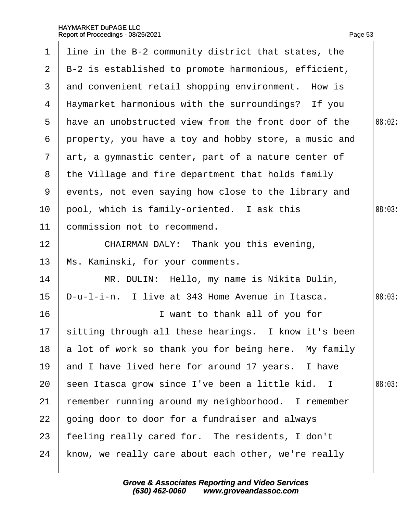| $\mathbf 1$   | line in the B-2 community district that states, the     |        |
|---------------|---------------------------------------------------------|--------|
| 2             | B-2 is established to promote harmonious, efficient,    |        |
| 3             | and convenient retail shopping environment. How is      |        |
| 4             | Haymarket harmonious with the surroundings? If you      |        |
| 5             | have an unobstructed view from the front door of the    | 08:02: |
| 6             | property, you have a toy and hobby store, a music and   |        |
| $\mathcal{I}$ | art, a gymnastic center, part of a nature center of     |        |
| 8             | the Village and fire department that holds family       |        |
| 9             | events, not even saying how close to the library and    |        |
| 10            | pool, which is family-oriented. I ask this              | 08:03  |
| 11            | commission not to recommend.                            |        |
| 12            | CHAIRMAN DALY: Thank you this evening,                  |        |
| 13            | Ms. Kaminski, for your comments.                        |        |
| 14            | MR. DULIN: Hello, my name is Nikita Dulin,              |        |
| 15            | D-u-I-i-n. I live at 343 Home Avenue in Itasca.         | 08:03  |
| 16            | I want to thank all of you for                          |        |
|               | 17 sitting through all these hearings. I know it's been |        |
| 18            | a lot of work so thank you for being here. My family    |        |
| 19            | and I have lived here for around 17 years. I have       |        |
| 20            | seen Itasca grow since I've been a little kid. I        | 08:03  |
| 21            | remember running around my neighborhood. I remember     |        |
| 22            | going door to door for a fundraiser and always          |        |
| 23            | feeling really cared for. The residents, I don't        |        |
| 24            | know, we really care about each other, we're really     |        |
|               |                                                         |        |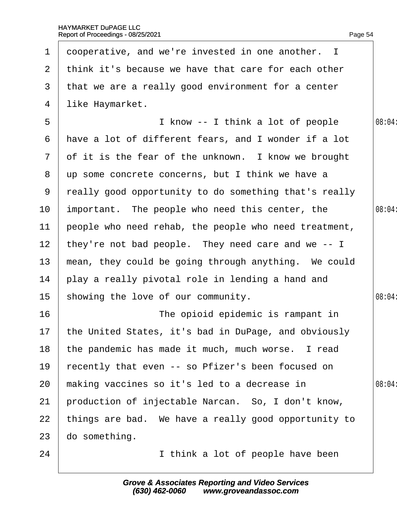| 1               | dooperative, and we're invested in one another. I       |        |
|-----------------|---------------------------------------------------------|--------|
| $\mathbf{2}$    | think it's because we have that care for each other     |        |
| 3               | that we are a really good environment for a center      |        |
| 4               | like Haymarket.                                         |        |
| 5               | I know -- I think a lot of people                       | 08:04: |
| 6               | have a lot of different fears, and I wonder if a lot    |        |
| $\mathbf{7}$    | of it is the fear of the unknown. I know we brought     |        |
| 8               | up some concrete concerns, but I think we have a        |        |
| 9               | really good opportunity to do something that's really   |        |
| 10 <sup>°</sup> | important. The people who need this center, the         | 08:04: |
| 11              | people who need rehab, the people who need treatment,   |        |
| 12              | they're not bad people. They need care and we -- I      |        |
| 13              | mean, they could be going through anything. We could    |        |
| 14              | play a really pivotal role in lending a hand and        |        |
| 15              | showing the love of our community.                      | 08:04: |
| 16              | The opioid epidemic is rampant in                       |        |
|                 | 17 the United States, it's bad in DuPage, and obviously |        |
| 18              | the pandemic has made it much, much worse. I read       |        |
| 19              | recently that even -- so Pfizer's been focused on       |        |
| 20              | making vaccines so it's led to a decrease in            | 08:04: |
| 21              | production of injectable Narcan. So, I don't know,      |        |
| 22              | things are bad. We have a really good opportunity to    |        |
| 23              | do something.                                           |        |
| 24              | I think a lot of people have been                       |        |
|                 |                                                         |        |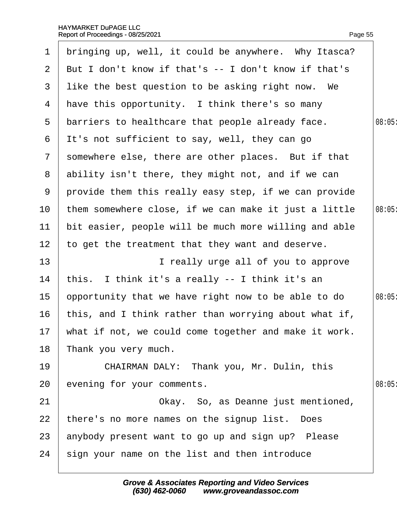| $\mathbf 1$     | bringing up, well, it could be anywhere. Why Itasca?     |       |
|-----------------|----------------------------------------------------------|-------|
| $\mathbf{2}$    | But I don't know if that's -- I don't know if that's     |       |
| 3               | like the best question to be asking right now. We        |       |
| 4               | have this opportunity. I think there's so many           |       |
| 5               | barriers to healthcare that people already face.         | 08:05 |
| 6               | It's not sufficient to say, well, they can go            |       |
| $\mathbf{7}$    | somewhere else, there are other places. But if that      |       |
| 8               | ability isn't there, they might not, and if we can       |       |
| 9               | provide them this really easy step, if we can provide    |       |
| 10 <sup>°</sup> | them somewhere close, if we can make it just a little    | 08:05 |
| 11              | bit easier, people will be much more willing and able    |       |
| 12 <sub>2</sub> | to get the treatment that they want and deserve.         |       |
| 13              | I really urge all of you to approve                      |       |
| 14              | this. I think it's a really -- I think it's an           |       |
| 15              | opportunity that we have right now to be able to do      | 08:05 |
| 16              | this, and I think rather than worrying about what if,    |       |
|                 | 17 what if not, we could come together and make it work. |       |
| 18              | Thank you very much.                                     |       |
| 19              | CHAIRMAN DALY: Thank you, Mr. Dulin, this                |       |
| 20              | evening for your comments.                               | 08:05 |
| 21              | Okay. So, as Deanne just mentioned,                      |       |
| 22              | there's no more names on the signup list. Does           |       |
| 23              | anybody present want to go up and sign up? Please        |       |
| 24              | sign your name on the list and then introduce            |       |
|                 |                                                          |       |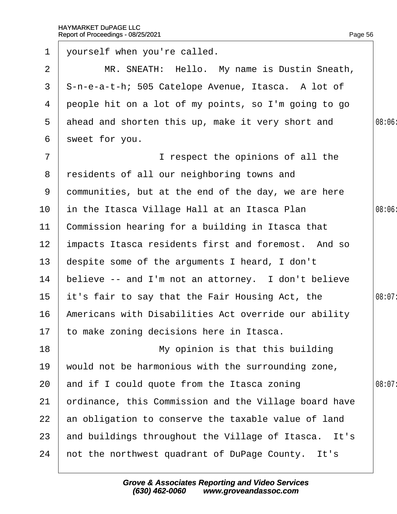| $\mathbf 1$     | yourself when you're called.                          |        |
|-----------------|-------------------------------------------------------|--------|
| 2               | MR. SNEATH: Hello. My name is Dustin Sneath,          |        |
| 3               | \$-n-e-a-t-h; 505 Catelope Avenue, Itasca. A lot of   |        |
| 4               | people hit on a lot of my points, so I'm going to go  |        |
| 5               | ahead and shorten this up, make it very short and     | 08:06: |
| 6               | sweet for you.                                        |        |
| $\overline{7}$  | I respect the opinions of all the                     |        |
| 8               | residents of all our neighboring towns and            |        |
| 9               | dommunities, but at the end of the day, we are here   |        |
| 10              | in the Itasca Village Hall at an Itasca Plan          | 08:06  |
| 11              | Commission hearing for a building in Itasca that      |        |
| 12 <sub>2</sub> | impacts Itasca residents first and foremost. And so   |        |
| 13 <sup>°</sup> | despite some of the arguments I heard, I don't        |        |
| 14              | believe -- and I'm not an attorney. I don't believe   |        |
| 15 <sub>1</sub> | it's fair to say that the Fair Housing Act, the       | 08:07: |
| 16              | Americans with Disabilities Act override our ability  |        |
|                 | 17 to make zoning decisions here in Itasca.           |        |
| 18              | My opinion is that this building                      |        |
| 19              | would not be harmonious with the surrounding zone,    |        |
| 20              | and if I could quote from the Itasca zoning           | 08:07: |
| 21              | prdinance, this Commission and the Village board have |        |
| 22              | an obligation to conserve the taxable value of land   |        |
| 23              | and buildings throughout the Village of Itasca. It's  |        |
| 24              | not the northwest quadrant of DuPage County. It's     |        |
|                 |                                                       |        |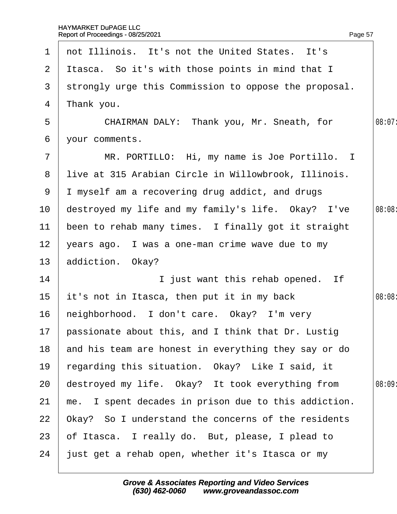| 1                | not Illinois. It's not the United States. It's        |        |
|------------------|-------------------------------------------------------|--------|
| $\mathbf{2}$     | Itasca. So it's with those points in mind that I      |        |
| 3                | strongly urge this Commission to oppose the proposal. |        |
| 4                | ¶hank you.                                            |        |
| 5                | CHAIRMAN DALY: Thank you, Mr. Sneath, for             | 08:07: |
| 6                | your comments.                                        |        |
| $\overline{7}$   | MR. PORTILLO: Hi, my name is Joe Portillo. I          |        |
| 8                | live at 315 Arabian Circle in Willowbrook, Illinois.  |        |
| 9                | I myself am a recovering drug addict, and drugs       |        |
| 10               | destroyed my life and my family's life. Okay? I've    | 08:08  |
| 11               | been to rehab many times. I finally got it straight   |        |
| 12 <sub>2</sub>  | years ago. I was a one-man crime wave due to my       |        |
| 13               | addiction. Okay?                                      |        |
| 14               | I just want this rehab opened. If                     |        |
| 15               | it's not in Itasca, then put it in my back            | 08:08  |
| 16               | heighborhood. I don't care. Okay? I'm very            |        |
| 17 <sup>17</sup> | passionate about this, and I think that Dr. Lustig    |        |
| 18               | and his team are honest in everything they say or do  |        |
| 19               | regarding this situation. Okay? Like I said, it       |        |
| 20               | destroyed my life. Okay? It took everything from      | 08:09  |
| 21               | me. I spent decades in prison due to this addiction.  |        |
| 22               | Okay? So I understand the concerns of the residents   |        |
| 23               | of Itasca. I really do. But, please, I plead to       |        |
| 24               | just get a rehab open, whether it's Itasca or my      |        |
|                  |                                                       |        |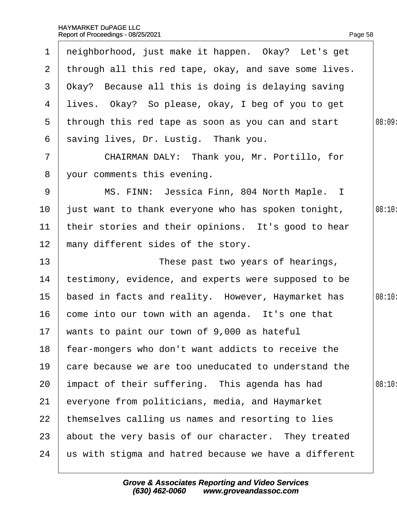|                 | 1 neighborhood, just make it happen. Okay? Let's get    |        |
|-----------------|---------------------------------------------------------|--------|
|                 | 2 through all this red tape, okay, and save some lives. |        |
|                 | 3 Okay? Because all this is doing is delaying saving    |        |
|                 | 4 lives. Okay? So please, okay, I beg of you to get     |        |
|                 | 5 through this red tape as soon as you can and start    | 08:09  |
| 6               | saving lives, Dr. Lustig. Thank you.                    |        |
| $\overline{7}$  | CHAIRMAN DALY: Thank you, Mr. Portillo, for             |        |
| 8               | your comments this evening.                             |        |
| 9               | MS. FINN: Jessica Finn, 804 North Maple. I              |        |
| 10 <sup>°</sup> | just want to thank everyone who has spoken tonight,     | 08:10: |
| 11              | their stories and their opinions. It's good to hear     |        |
| 12 <sub>2</sub> | many different sides of the story.                      |        |
| 13              | These past two years of hearings,                       |        |
| 14              | testimony, evidence, and experts were supposed to be    |        |
| 15 <sub>1</sub> | based in facts and reality. However, Haymarket has      | 08:10: |
| 16              | come into our town with an agenda. It's one that        |        |
|                 | 17 wants to paint our town of 9,000 as hateful          |        |
| 18              | fear-mongers who don't want addicts to receive the      |        |
| 19              | care because we are too uneducated to understand the    |        |
| 20              | impact of their suffering. This agenda has had          | 08:10: |
| 21              | everyone from politicians, media, and Haymarket         |        |
| 22              | themselves calling us names and resorting to lies       |        |
| 23              | about the very basis of our character. They treated     |        |
| 24              | us with stigma and hatred because we have a different   |        |
|                 |                                                         |        |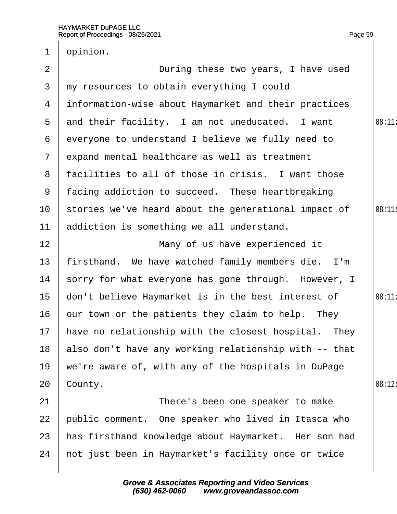| 1               | opinion.                                                |        |
|-----------------|---------------------------------------------------------|--------|
| 2               | During these two years, I have used                     |        |
| 3               | my resources to obtain everything I could               |        |
| 4               | information-wise about Haymarket and their practices    |        |
| 5               | and their facility. I am not uneducated. I want         | 08:11: |
| 6               | everyone to understand I believe we fully need to       |        |
| $\overline{7}$  | expand mental healthcare as well as treatment           |        |
|                 | 8 facilities to all of those in crisis. I want those    |        |
| 9               | facing addiction to succeed. These heartbreaking        |        |
| 10              | stories we've heard about the generational impact of    | 08:11  |
| 11              | addiction is something we all understand.               |        |
| 12              | Many of us have experienced it                          |        |
| 13              | firsthand. We have watched family members die. I'm      |        |
| 14              | sorry for what everyone has gone through. However, I    |        |
| 15 <sub>1</sub> | don't believe Haymarket is in the best interest of      | 08:11  |
| 16              | bur town or the patients they claim to help. They       |        |
|                 | 17 have no relationship with the closest hospital. They |        |
| 18              | also don't have any working relationship with -- that   |        |
| 19              | we're aware of, with any of the hospitals in DuPage     |        |
| 20              | County.                                                 | 08:12: |
| 21              | There's been one speaker to make                        |        |
| 22              | public comment. One speaker who lived in Itasca who     |        |
| 23              | has firsthand knowledge about Haymarket. Her son had    |        |
| 24              | not just been in Haymarket's facility once or twice     |        |
|                 |                                                         |        |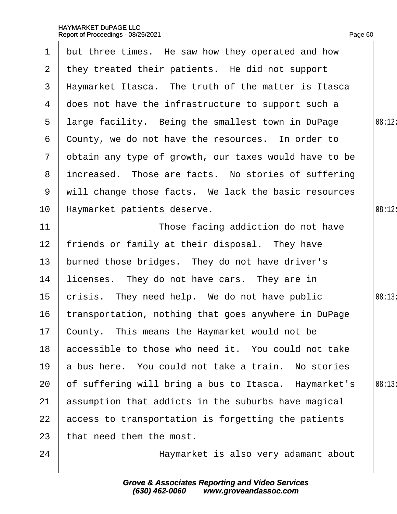|                       | 1 but three times. He saw how they operated and how   |        |
|-----------------------|-------------------------------------------------------|--------|
| $\mathbf{2}^{\prime}$ | they treated their patients. He did not support       |        |
| 3                     | Haymarket Itasca. The truth of the matter is Itasca   |        |
| 4                     | does not have the infrastructure to support such a    |        |
| 5                     | Iarge facility. Being the smallest town in DuPage     | 08:12: |
| 6                     | County, we do not have the resources. In order to     |        |
| $\mathbf{7}$          | obtain any type of growth, our taxes would have to be |        |
| 8                     | increased. Those are facts. No stories of suffering   |        |
| 9                     | will change those facts. We lack the basic resources  |        |
| 10                    | Haymarket patients deserve.                           | 08:12: |
| 11                    | Those facing addiction do not have                    |        |
| $12 \overline{ }$     | friends or family at their disposal. They have        |        |
| 13 <sup>°</sup>       | burned those bridges. They do not have driver's       |        |
| 14                    | licenses. They do not have cars. They are in          |        |
| 15                    | crisis. They need help. We do not have public         | 08:13: |
| 16                    | transportation, nothing that goes anywhere in DuPage  |        |
| 17                    | County. This means the Haymarket would not be         |        |
| 18                    | accessible to those who need it. You could not take   |        |
| 19                    | a bus here. You could not take a train. No stories    |        |
| 20                    | of suffering will bring a bus to Itasca. Haymarket's  | 08:13  |
| 21                    | assumption that addicts in the suburbs have magical   |        |
| 22                    | access to transportation is forgetting the patients   |        |
| 23                    | that need them the most.                              |        |
| 24                    | Haymarket is also very adamant about                  |        |
|                       |                                                       |        |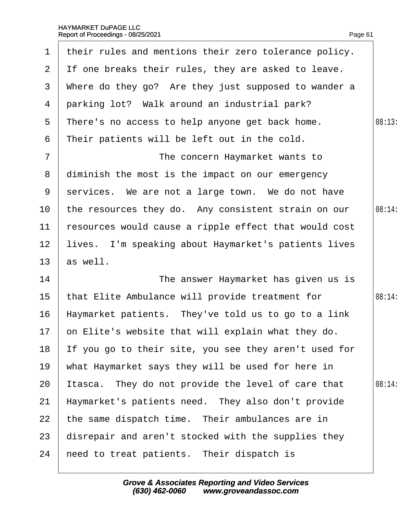| $\mathbf 1$     | their rules and mentions their zero tolerance policy. |        |
|-----------------|-------------------------------------------------------|--------|
|                 | 2 If one breaks their rules, they are asked to leave. |        |
| 3               | Where do they go? Are they just supposed to wander a  |        |
| 4               | parking lot? Walk around an industrial park?          |        |
| 5               | There's no access to help anyone get back home.       | 08:13  |
| 6               | Their patients will be left out in the cold.          |        |
| $\overline{7}$  | The concern Haymarket wants to                        |        |
| 8               | diminish the most is the impact on our emergency      |        |
| 9               | services. We are not a large town. We do not have     |        |
| 10              | the resources they do. Any consistent strain on our   | 08:14: |
| 11              | resources would cause a ripple effect that would cost |        |
| 12 <sub>2</sub> | lives. I'm speaking about Haymarket's patients lives  |        |
| 13              | as well.                                              |        |
| 14              | The answer Haymarket has given us is                  |        |
| 15 <sub>1</sub> | that Elite Ambulance will provide treatment for       | 08:14: |
| 16              | Haymarket patients. They've told us to go to a link   |        |
|                 | 17 on Elite's website that will explain what they do. |        |
| 18              | If you go to their site, you see they aren't used for |        |
| 19              | what Haymarket says they will be used for here in     |        |
| 20              | tasca. They do not provide the level of care that     | 08:14: |
| 21              | Haymarket's patients need. They also don't provide    |        |
| 22              | the same dispatch time. Their ambulances are in       |        |
| 23              | disrepair and aren't stocked with the supplies they   |        |
| 24              | heed to treat patients. Their dispatch is             |        |
|                 |                                                       |        |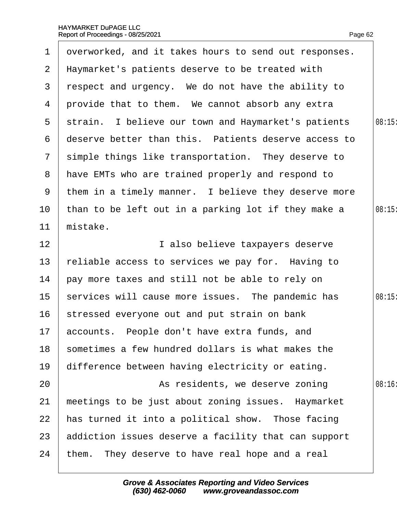| $\mathbf 1$    | dverworked, and it takes hours to send out responses. |       |
|----------------|-------------------------------------------------------|-------|
| 2 <sup>1</sup> | Haymarket's patients deserve to be treated with       |       |
| 3              | respect and urgency. We do not have the ability to    |       |
|                |                                                       |       |
| 4              | provide that to them. We cannot absorb any extra      |       |
| 5              | strain. I believe our town and Haymarket's patients   | 08:15 |
| 6              | deserve better than this. Patients deserve access to  |       |
| $\mathbf{7}$   | simple things like transportation. They deserve to    |       |
| 8              | have EMTs who are trained properly and respond to     |       |
| 9              | them in a timely manner. I believe they deserve more  |       |
| 10             | than to be left out in a parking lot if they make a   | 08:15 |
| 11             | mistake.                                              |       |
| 12             | I also believe taxpayers deserve                      |       |
| 13             | reliable access to services we pay for. Having to     |       |
| 14             | pay more taxes and still not be able to rely on       |       |
| $15\,$         | services will cause more issues. The pandemic has     | 08:15 |
| 16             | stressed everyone out and put strain on bank          |       |
|                | 17 accounts. People don't have extra funds, and       |       |
| 18             | sometimes a few hundred dollars is what makes the     |       |
| 19             | difference between having electricity or eating.      |       |
| 20             | As residents, we deserve zoning                       | 08:16 |
| 21             | meetings to be just about zoning issues. Haymarket    |       |
| 22             | has turned it into a political show. Those facing     |       |
| 23             | addiction issues deserve a facility that can support  |       |
| 24             | them. They deserve to have real hope and a real       |       |
|                |                                                       |       |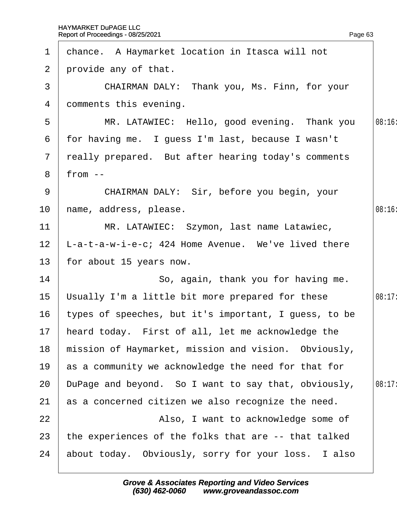| $\mathbf 1$     | chance. A Haymarket location in Itasca will not       |        |
|-----------------|-------------------------------------------------------|--------|
|                 | 2 provide any of that.                                |        |
| 3               | CHAIRMAN DALY: Thank you, Ms. Finn, for your          |        |
| 4               | domments this evening.                                |        |
| 5               | MR. LATAWIEC: Hello, good evening. Thank you          | 08:16  |
| 6               | for having me. I guess I'm last, because I wasn't     |        |
|                 | 7 really prepared. But after hearing today's comments |        |
| 8               | from $-$                                              |        |
| 9               | CHAIRMAN DALY: Sir, before you begin, your            |        |
| 10              | hame, address, please.                                | 08:16  |
| 11              | MR. LATAWIEC: Szymon, last name Latawiec,             |        |
| 12              | L-a-t-a-w-i-e-c; 424 Home Avenue. We've lived there   |        |
| 13 <sup>2</sup> | for about 15 years now.                               |        |
| 14              | So, again, thank you for having me.                   |        |
| $15\,$          | Usually I'm a little bit more prepared for these      | 08:17: |
| 16              | types of speeches, but it's important, I guess, to be |        |
| 17 <sub>1</sub> | heard today. First of all, let me acknowledge the     |        |
| 18              | mission of Haymarket, mission and vision. Obviously,  |        |
| 19              | as a community we acknowledge the need for that for   |        |
| 20              | DuPage and beyond. So I want to say that, obviously,  | 08:17: |
| 21              | as a concerned citizen we also recognize the need.    |        |
| 22              | Also, I want to acknowledge some of                   |        |
| 23              | the experiences of the folks that are -- that talked  |        |
| 24              | about today. Obviously, sorry for your loss. I also   |        |
|                 |                                                       |        |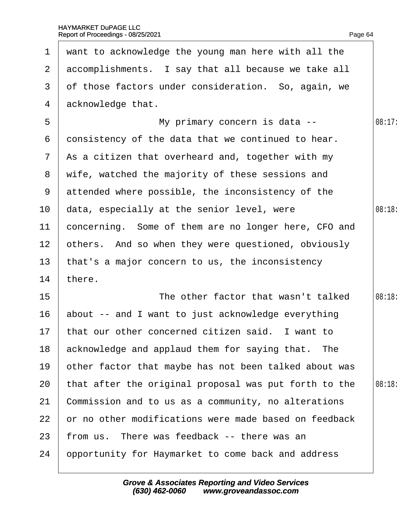|                 | 1 want to acknowledge the young man here with all the |        |
|-----------------|-------------------------------------------------------|--------|
| $\mathbf{2}$    | accomplishments. I say that all because we take all   |        |
| 3               | of those factors under consideration. So, again, we   |        |
| 4               | acknowledge that.                                     |        |
| 5               | My primary concern is data --                         | 08:17: |
| 6               | donsistency of the data that we continued to hear.    |        |
| $7\phantom{.}$  | As a citizen that overheard and, together with my     |        |
|                 | 8 wife, watched the majority of these sessions and    |        |
|                 | 9 attended where possible, the inconsistency of the   |        |
| 10              | data, especially at the senior level, were            | 08:18: |
| 11              | concerning. Some of them are no longer here, CFO and  |        |
| 12 <sub>2</sub> | others. And so when they were questioned, obviously   |        |
| 13              | that's a major concern to us, the inconsistency       |        |
| 14              | there.                                                |        |
| 15              | The other factor that wasn't talked                   | 08:18: |
| 16              | about -- and I want to just acknowledge everything    |        |
|                 | 17 that our other concerned citizen said. I want to   |        |
| 18              | acknowledge and applaud them for saying that. The     |        |
| 19              | other factor that maybe has not been talked about was |        |
| 20              | that after the original proposal was put forth to the | 08:18  |
| 21              | Commission and to us as a community, no alterations   |        |
| 22              | or no other modifications were made based on feedback |        |
| 23              | from us. There was feedback -- there was an           |        |
| 24              | opportunity for Haymarket to come back and address    |        |
|                 |                                                       |        |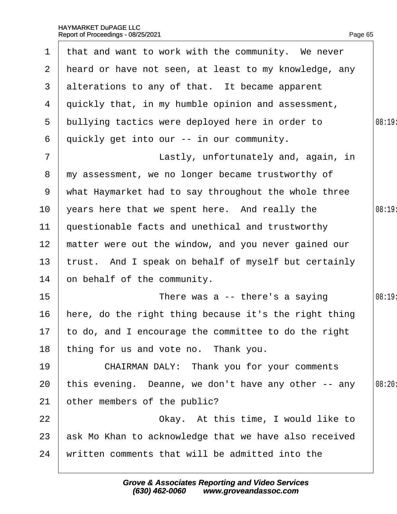| $\mathbf 1$     | that and want to work with the community. We never      |        |
|-----------------|---------------------------------------------------------|--------|
|                 | 2 heard or have not seen, at least to my knowledge, any |        |
|                 | 3 alterations to any of that. It became apparent        |        |
|                 | 4 quickly that, in my humble opinion and assessment,    |        |
| 5               | bullying tactics were deployed here in order to         | 08:19: |
| 6               | quickly get into our -- in our community.               |        |
| $\overline{7}$  | Lastly, unfortunately and, again, in                    |        |
| 8               | my assessment, we no longer became trustworthy of       |        |
| 9               | what Haymarket had to say throughout the whole three    |        |
| 10              | years here that we spent here. And really the           | 08:19  |
| 11              | questionable facts and unethical and trustworthy        |        |
| 12 <sub>2</sub> | matter were out the window, and you never gained our    |        |
| 13 <sup>°</sup> | trust. And I speak on behalf of myself but certainly    |        |
| 14              | on behalf of the community.                             |        |
| 15 <sub>1</sub> | There was a -- there's a saying                         | 08:19: |
| 16              | here, do the right thing because it's the right thing   |        |
|                 | 17 to do, and I encourage the committee to do the right |        |
| 18              | thing for us and vote no. Thank you.                    |        |
| 19              | <b>CHAIRMAN DALY: Thank you for your comments</b>       |        |
| 20              | this evening. Deanne, we don't have any other -- any    | 08:20  |
| 21              | other members of the public?                            |        |
| 22              | Okay. At this time, I would like to                     |        |
| 23              | ask Mo Khan to acknowledge that we have also received   |        |
| 24              | written comments that will be admitted into the         |        |
|                 |                                                         |        |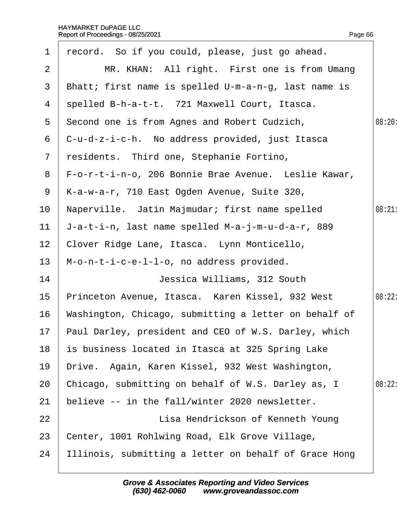| 1               | record. So if you could, please, just go ahead.         |        |
|-----------------|---------------------------------------------------------|--------|
| $\overline{2}$  | MR. KHAN: All right. First one is from Umang            |        |
| 3 <sup>1</sup>  | Bhatt; first name is spelled U-m-a-n-g, last name is    |        |
| 4               | spelled B-h-a-t-t. 721 Maxwell Court, Itasca.           |        |
| 5               | Second one is from Agnes and Robert Cudzich,            | 08:20: |
| 6               | C-u-d-z-i-c-h. No address provided, just Itasca         |        |
| $\overline{7}$  | residents. Third one, Stephanie Fortino,                |        |
| 8               | F-o-r-t-i-n-o, 206 Bonnie Brae Avenue. Leslie Kawar,    |        |
| 9               | K-a-w-a-r, 710 East Ogden Avenue, Suite 320,            |        |
| 10              | Naperville. Jatin Majmudar; first name spelled          | 08:21  |
| 11              | J-a-t-i-n, last name spelled M-a-j-m-u-d-a-r, 889       |        |
| 12 <sub>2</sub> | Clover Ridge Lane, Itasca. Lynn Monticello,             |        |
| 13              | M-o-n-t-i-c-e-l-l-o, no address provided.               |        |
| 14              | Jessica Williams, 312 South                             |        |
| 15              | Princeton Avenue, Itasca. Karen Kissel, 932 West        | 08:22: |
| 16              | Washington, Chicago, submitting a letter on behalf of   |        |
|                 | 17 Paul Darley, president and CEO of W.S. Darley, which |        |
| 18              | is business located in Itasca at 325 Spring Lake        |        |
| 19              | Drive. Again, Karen Kissel, 932 West Washington,        |        |
| 20              | Chicago, submitting on behalf of W.S. Darley as, I      | 08:22: |
| 21              | believe -- in the fall/winter 2020 newsletter.          |        |
| 22              | Lisa Hendrickson of Kenneth Young                       |        |
| 23              | Center, 1001 Rohlwing Road, Elk Grove Village,          |        |
| 24              | Illinois, submitting a letter on behalf of Grace Hong   |        |
|                 |                                                         |        |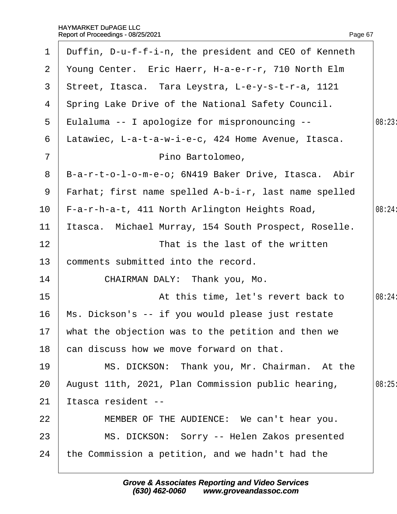| $\mathbf 1$    | Duffin, D-u-f-f-i-n, the president and CEO of Kenneth |        |
|----------------|-------------------------------------------------------|--------|
| $\overline{2}$ | Young Center. Eric Haerr, H-a-e-r-r, 710 North Elm    |        |
| 3              | Street, Itasca. Tara Leystra, L-e-y-s-t-r-a, 1121     |        |
| 4              | Spring Lake Drive of the National Safety Council.     |        |
| 5              | Eulaluma -- I apologize for mispronouncing --         | 08:23  |
| 6              | Latawiec, L-a-t-a-w-i-e-c, 424 Home Avenue, Itasca.   |        |
| $\overline{7}$ | Pino Bartolomeo,                                      |        |
| 8              | B-a-r-t-o-l-o-m-e-o; 6N419 Baker Drive, Itasca. Abir  |        |
| 9              | Farhat; first name spelled A-b-i-r, last name spelled |        |
| 10             | F-a-r-h-a-t, 411 North Arlington Heights Road,        | 08:24: |
| 11             | Itasca. Michael Murray, 154 South Prospect, Roselle.  |        |
| 12             | That is the last of the written                       |        |
| 13             | comments submitted into the record.                   |        |
| 14             | CHAIRMAN DALY: Thank you, Mo.                         |        |
| 15             | At this time, let's revert back to                    | 08:24: |
| 16             | Ms. Dickson's -- if you would please just restate     |        |
|                | 17 what the objection was to the petition and then we |        |
| 18             | can discuss how we move forward on that.              |        |
| 19             | MS. DICKSON: Thank you, Mr. Chairman. At the          |        |
| 20             | August 11th, 2021, Plan Commission public hearing,    | 08:25  |
| 21             | Itasca resident --                                    |        |
| 22             | MEMBER OF THE AUDIENCE: We can't hear you.            |        |
| 23             | MS. DICKSON: Sorry -- Helen Zakos presented           |        |
| 24             | the Commission a petition, and we hadn't had the      |        |
|                |                                                       |        |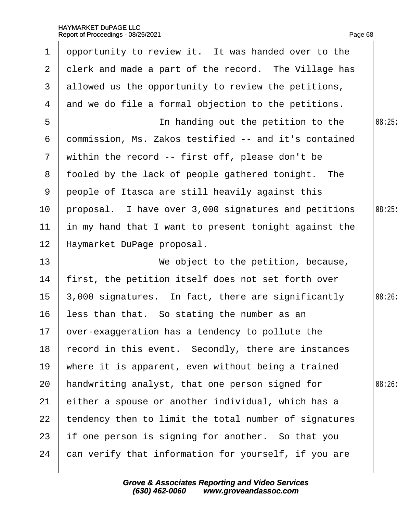| 1                | opportunity to review it. It was handed over to the   |        |
|------------------|-------------------------------------------------------|--------|
| $\overline{2}$   | derk and made a part of the record. The Village has   |        |
| 3                | allowed us the opportunity to review the petitions,   |        |
| 4                | and we do file a formal objection to the petitions.   |        |
| 5                | In handing out the petition to the                    | 08:25  |
| 6                | dommission, Ms. Zakos testified -- and it's contained |        |
| 7 <sup>7</sup>   | within the record -- first off, please don't be       |        |
|                  | 8 fooled by the lack of people gathered tonight. The  |        |
| 9                | people of Itasca are still heavily against this       |        |
| 10 <sup>°</sup>  | proposal. I have over 3,000 signatures and petitions  | 08:25  |
| 11               | in my hand that I want to present tonight against the |        |
| 12               | Haymarket DuPage proposal.                            |        |
| 13               | We object to the petition, because,                   |        |
| 14               | first, the petition itself does not set forth over    |        |
| 15 <sub>15</sub> | 3,000 signatures. In fact, there are significantly    | 08:26: |
| 16               | less than that. So stating the number as an           |        |
|                  | 17 bver-exaggeration has a tendency to pollute the    |        |
| 18               | record in this event. Secondly, there are instances   |        |
| 19               | where it is apparent, even without being a trained    |        |
| 20               | handwriting analyst, that one person signed for       | 08:26  |
| 21               | either a spouse or another individual, which has a    |        |
| 22               | tendency then to limit the total number of signatures |        |
| 23               | if one person is signing for another. So that you     |        |
| 24               | can verify that information for yourself, if you are  |        |
|                  |                                                       |        |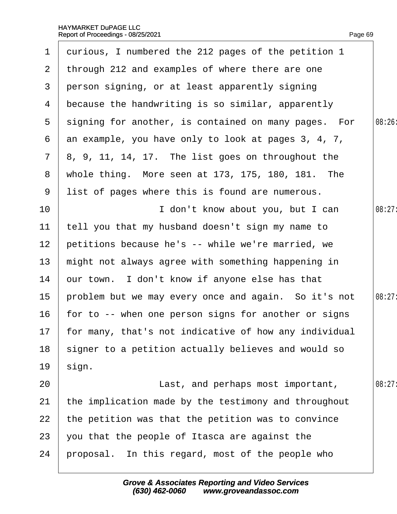$\overline{\phantom{a}}$ 

|                 | 1 durious, I numbered the 212 pages of the petition 1 |        |
|-----------------|-------------------------------------------------------|--------|
|                 | 2 through 212 and examples of where there are one     |        |
| 3 <sup>1</sup>  | person signing, or at least apparently signing        |        |
| 4               | because the handwriting is so similar, apparently     |        |
| 5 <sup>5</sup>  | signing for another, is contained on many pages. For  | 08:26: |
| 6               | an example, you have only to look at pages 3, 4, 7,   |        |
| $\overline{7}$  | $8, 9, 11, 14, 17$ . The list goes on throughout the  |        |
| 8               | whole thing. More seen at 173, 175, 180, 181. The     |        |
| 9               | list of pages where this is found are numerous.       |        |
| 10 <sup>°</sup> | I don't know about you, but I can                     | 08:27: |
| 11              | tell you that my husband doesn't sign my name to      |        |
| 12 <sub>2</sub> | petitions because he's -- while we're married, we     |        |
| 13              | might not always agree with something happening in    |        |
| 14              | bur town. I don't know if anyone else has that        |        |
| 15              | problem but we may every once and again. So it's not  | 08:27: |
| 16              | for to -- when one person signs for another or signs  |        |
| 17              | for many, that's not indicative of how any individual |        |
| 18              | signer to a petition actually believes and would so   |        |
| 19              | sign.                                                 |        |
| 20              | Last, and perhaps most important,                     | 08:27  |
| 21              | the implication made by the testimony and throughout  |        |
| 22              | the petition was that the petition was to convince    |        |
| 23              | you that the people of Itasca are against the         |        |
| 24              | proposal. In this regard, most of the people who      |        |
|                 |                                                       |        |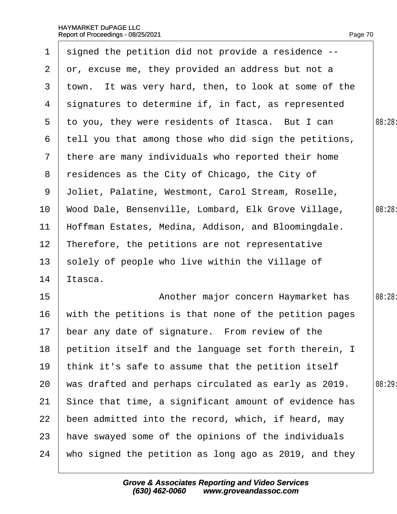| $\mathbf 1$     | signed the petition did not provide a residence --    |        |
|-----------------|-------------------------------------------------------|--------|
| $\mathbf{2}$    | or, excuse me, they provided an address but not a     |        |
| 3               | town. It was very hard, then, to look at some of the  |        |
| 4               | signatures to determine if, in fact, as represented   |        |
| 5               | to you, they were residents of Itasca. But I can      | 08:28  |
| 6               | tell you that among those who did sign the petitions, |        |
|                 | 7 there are many individuals who reported their home  |        |
| 8               | residences as the City of Chicago, the City of        |        |
| 9               | Joliet, Palatine, Westmont, Carol Stream, Roselle,    |        |
| 10 <sub>1</sub> | Wood Dale, Bensenville, Lombard, Elk Grove Village,   | 08:28: |
| 11              | Hoffman Estates, Medina, Addison, and Bloomingdale.   |        |
| 12 <sub>2</sub> | Therefore, the petitions are not representative       |        |
| 13 <sub>2</sub> | solely of people who live within the Village of       |        |
| 14              | ltasca.                                               |        |
| 15              | Another major concern Haymarket has                   | 08:28  |
| 16              | with the petitions is that none of the petition pages |        |
| 17              | bear any date of signature. From review of the        |        |
| 18              | petition itself and the language set forth therein, I |        |
| 19              | think it's safe to assume that the petition itself    |        |
| 20              | was drafted and perhaps circulated as early as 2019.  | 08:29  |
| 21              | Since that time, a significant amount of evidence has |        |
| 22              | been admitted into the record, which, if heard, may   |        |
| 23              | have swayed some of the opinions of the individuals   |        |
| 24              | who signed the petition as long ago as 2019, and they |        |
|                 |                                                       |        |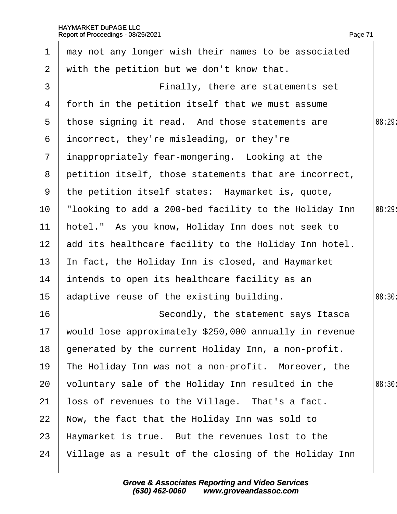| $\mathbf 1$     | may not any longer wish their names to be associated   |        |
|-----------------|--------------------------------------------------------|--------|
| $\overline{2}$  | with the petition but we don't know that.              |        |
| 3               | Finally, there are statements set                      |        |
| 4               | forth in the petition itself that we must assume       |        |
| $5^{\circ}$     | those signing it read. And those statements are        | 08:29: |
| 6               | incorrect, they're misleading, or they're              |        |
|                 | 7 inappropriately fear-mongering. Looking at the       |        |
| 8               | petition itself, those statements that are incorrect,  |        |
| 9               | the petition itself states: Haymarket is, quote,       |        |
| 10 <sub>1</sub> | "looking to add a 200-bed facility to the Holiday Inn  | 08:29: |
| 11              | hotel." As you know, Holiday Inn does not seek to      |        |
| 12 <sub>2</sub> | add its healthcare facility to the Holiday Inn hotel.  |        |
| 13 <sup>°</sup> | In fact, the Holiday Inn is closed, and Haymarket      |        |
| 14              | intends to open its healthcare facility as an          |        |
| 15 <sub>1</sub> | adaptive reuse of the existing building.               | 08:30: |
| 16              | Secondly, the statement says Itasca                    |        |
| 17              | would lose approximately \$250,000 annually in revenue |        |
| 18              | generated by the current Holiday Inn, a non-profit.    |        |
| 19              | The Holiday Inn was not a non-profit. Moreover, the    |        |
| 20              | voluntary sale of the Holiday Inn resulted in the      | 08:30  |
| 21              | loss of revenues to the Village. That's a fact.        |        |
| 22              | Now, the fact that the Holiday Inn was sold to         |        |
| 23              | Haymarket is true. But the revenues lost to the        |        |
| 24              | Village as a result of the closing of the Holiday Inn  |        |
|                 |                                                        |        |

Page 71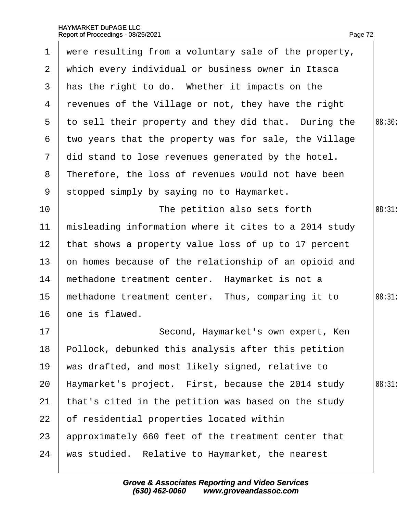<span id="page-72-0"></span>

|                 | 1 were resulting from a voluntary sale of the property, |        |
|-----------------|---------------------------------------------------------|--------|
| 2 <sup>1</sup>  | which every individual or business owner in Itasca      |        |
| 3 <sup>1</sup>  | has the right to do. Whether it impacts on the          |        |
|                 | 4 revenues of the Village or not, they have the right   |        |
|                 | 5 to sell their property and they did that. During the  | 08:30  |
| 6               | two years that the property was for sale, the Village   |        |
| 7 <sup>1</sup>  | did stand to lose revenues generated by the hotel.      |        |
| 8               | Therefore, the loss of revenues would not have been     |        |
|                 | 9 stopped simply by saying no to Haymarket.             |        |
| 10              | The petition also sets forth                            | 08:31  |
| 11              | misleading information where it cites to a 2014 study   |        |
| 12 <sub>2</sub> | that shows a property value loss of up to 17 percent    |        |
| 13 <sup>°</sup> | on homes because of the relationship of an opioid and   |        |
| 14              | methadone treatment center. Haymarket is not a          |        |
| 15 <sub>1</sub> | methadone treatment center. Thus, comparing it to       | 08:31: |
| 16 <sup>°</sup> | one is flawed.                                          |        |
| $17 \,$         | Second, Haymarket's own expert, Ken                     |        |
| 18              | Pollock, debunked this analysis after this petition     |        |
| 19              | was drafted, and most likely signed, relative to        |        |
| 20              | Haymarket's project. First, because the 2014 study      | 08:31  |
| 21              | that's cited in the petition was based on the study     |        |
| 22              | of residential properties located within                |        |
| 23              | approximately 660 feet of the treatment center that     |        |
| 24              | was studied. Relative to Haymarket, the nearest         |        |
|                 |                                                         |        |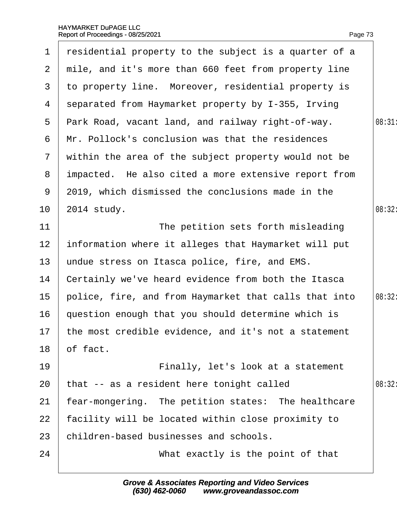<span id="page-73-0"></span>

| $\mathbf 1$    | residential property to the subject is a quarter of a   |        |
|----------------|---------------------------------------------------------|--------|
|                | 2 mile, and it's more than 660 feet from property line  |        |
| 3              | to property line. Moreover, residential property is     |        |
| 4              | separated from Haymarket property by I-355, Irving      |        |
| $5^{\circ}$    | Park Road, vacant land, and railway right-of-way.       | 08:31  |
| 6              | Mr. Pollock's conclusion was that the residences        |        |
| $7\phantom{.}$ | within the area of the subject property would not be    |        |
| 8              | impacted. He also cited a more extensive report from    |        |
| 9              | 2019, which dismissed the conclusions made in the       |        |
| 10             | 2014 study.                                             | 08:32: |
| 11             | The petition sets forth misleading                      |        |
| 12             | information where it alleges that Haymarket will put    |        |
| 13             | undue stress on Itasca police, fire, and EMS.           |        |
| 14             | Certainly we've heard evidence from both the Itasca     |        |
| 15             | police, fire, and from Haymarket that calls that into   | 08:32: |
| 16             | question enough that you should determine which is      |        |
|                | 17 the most credible evidence, and it's not a statement |        |
| 18             | of fact.                                                |        |
| 19             | Finally, let's look at a statement                      |        |
| 20             | that -- as a resident here tonight called               | 08:32  |
| 21             | fear-mongering. The petition states: The healthcare     |        |
| 22             | facility will be located within close proximity to      |        |
| 23             | children-based businesses and schools.                  |        |
| 24             | What exactly is the point of that                       |        |
|                |                                                         |        |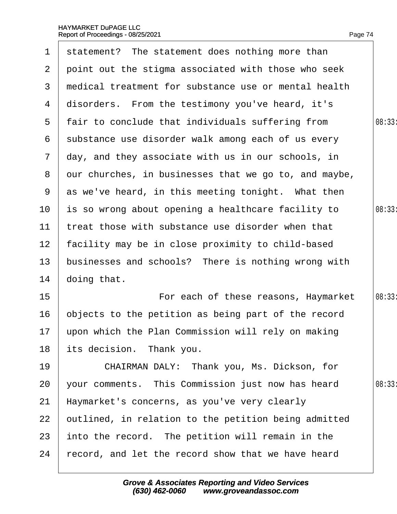<span id="page-74-0"></span>

| $\mathbf 1$           | statement? The statement does nothing more than       |        |
|-----------------------|-------------------------------------------------------|--------|
| $\mathbf{2}^{\prime}$ | point out the stigma associated with those who seek   |        |
| 3                     | medical treatment for substance use or mental health  |        |
| 4                     | disorders. From the testimony you've heard, it's      |        |
|                       | 5 fair to conclude that individuals suffering from    | 08:33: |
| 6                     | substance use disorder walk among each of us every    |        |
| $\mathbf{7}$          | day, and they associate with us in our schools, in    |        |
| 8                     | dur churches, in businesses that we go to, and maybe, |        |
| 9                     | as we've heard, in this meeting tonight. What then    |        |
| 10                    | is so wrong about opening a healthcare facility to    | 08:33: |
| 11                    | treat those with substance use disorder when that     |        |
| 12 <sup>2</sup>       | facility may be in close proximity to child-based     |        |
| 13                    | businesses and schools? There is nothing wrong with   |        |
| 14                    | doing that.                                           |        |
| 15                    | For each of these reasons, Haymarket                  | 08:33: |
| 16                    | objects to the petition as being part of the record   |        |
|                       | 17 upon which the Plan Commission will rely on making |        |
| 18                    | its decision. Thank you.                              |        |
| 19                    | CHAIRMAN DALY: Thank you, Ms. Dickson, for            |        |
| 20                    | your comments. This Commission just now has heard     | 08:33  |
| 21                    | Haymarket's concerns, as you've very clearly          |        |
| 22                    | putlined, in relation to the petition being admitted  |        |
| 23                    | into the record. The petition will remain in the      |        |
| 24                    | record, and let the record show that we have heard    |        |
|                       |                                                       |        |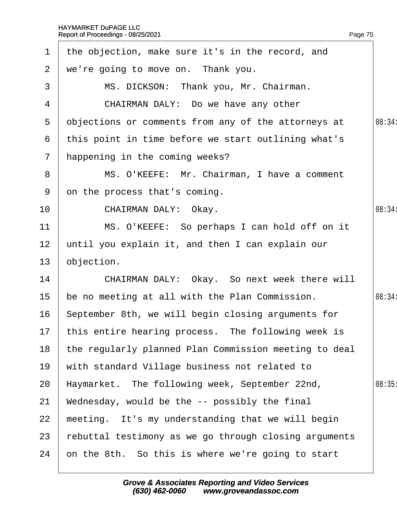<span id="page-75-0"></span>

| $\mathbf 1$    | the objection, make sure it's in the record, and      |        |
|----------------|-------------------------------------------------------|--------|
| $\overline{2}$ | we're going to move on. Thank you.                    |        |
| 3              | MS. DICKSON: Thank you, Mr. Chairman.                 |        |
| 4              | CHAIRMAN DALY: Do we have any other                   |        |
| 5              | objections or comments from any of the attorneys at   | 08:34: |
| 6              | this point in time before we start outlining what's   |        |
| $\overline{7}$ | happening in the coming weeks?                        |        |
| 8              | MS. O'KEEFE: Mr. Chairman, I have a comment           |        |
| 9              | on the process that's coming.                         |        |
| 10             | CHAIRMAN DALY: Okay.                                  | 08:34: |
| 11             | MS. O'KEEFE: So perhaps I can hold off on it          |        |
| 12             | until you explain it, and then I can explain our      |        |
| 13             | objection.                                            |        |
| 14             | CHAIRMAN DALY: Okay. So next week there will          |        |
| 15             | be no meeting at all with the Plan Commission.        | 08:34: |
| 16             | September 8th, we will begin closing arguments for    |        |
|                | 17 this entire hearing process. The following week is |        |
| 18             | the regularly planned Plan Commission meeting to deal |        |
| 19             | with standard Village business not related to         |        |
| 20             | Haymarket. The following week, September 22nd,        | 08:35  |
| 21             | Wednesday, would be the -- possibly the final         |        |
| 22             | meeting. It's my understanding that we will begin     |        |
| 23             | rebuttal testimony as we go through closing arguments |        |
| 24             | on the 8th. So this is where we're going to start     |        |
|                |                                                       |        |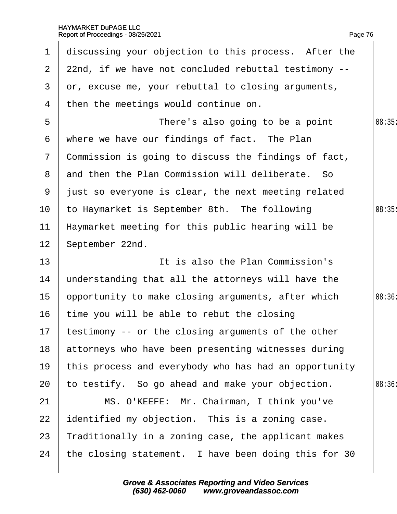<span id="page-76-0"></span>

| $\mathbf 1$     | discussing your objection to this process. After the   |        |
|-----------------|--------------------------------------------------------|--------|
|                 | 2 22nd, if we have not concluded rebuttal testimony -- |        |
| 3               | dr, excuse me, your rebuttal to closing arguments,     |        |
| 4               | then the meetings would continue on.                   |        |
| 5               | There's also going to be a point                       | 08:35  |
| 6               | where we have our findings of fact. The Plan           |        |
| $\overline{7}$  | Commission is going to discuss the findings of fact,   |        |
|                 | 8 and then the Plan Commission will deliberate. So     |        |
|                 | 9 just so everyone is clear, the next meeting related  |        |
| 10              | to Haymarket is September 8th. The following           | 08:35  |
| 11              | Haymarket meeting for this public hearing will be      |        |
| 12 <sub>2</sub> | September 22nd.                                        |        |
| 13              | It is also the Plan Commission's                       |        |
| 14              | understanding that all the attorneys will have the     |        |
| 15 <sub>1</sub> | opportunity to make closing arguments, after which     | 08:36: |
| 16              | time you will be able to rebut the closing             |        |
|                 | 17 testimony -- or the closing arguments of the other  |        |
| 18              | attorneys who have been presenting witnesses during    |        |
| 19              | this process and everybody who has had an opportunity  |        |
| 20              | to testify. So go ahead and make your objection.       | 08:36  |
| 21              | MS. O'KEEFE: Mr. Chairman, I think you've              |        |
| 22              | dentified my objection. This is a zoning case.         |        |
| 23              | Traditionally in a zoning case, the applicant makes    |        |
| 24              | the closing statement. I have been doing this for 30   |        |
|                 |                                                        |        |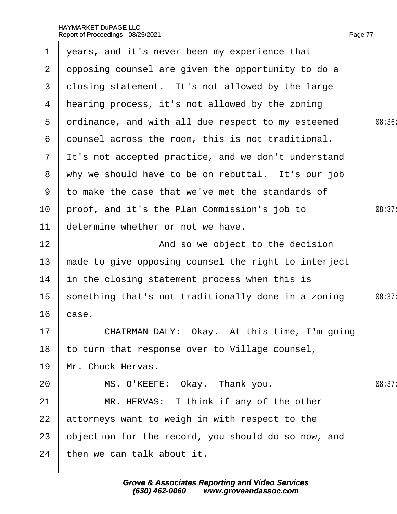<span id="page-77-0"></span>

| $\mathbf 1$     | years, and it's never been my experience that         |        |
|-----------------|-------------------------------------------------------|--------|
| $\mathbf{2}$    | opposing counsel are given the opportunity to do a    |        |
| 3               | closing statement. It's not allowed by the large      |        |
|                 | 4 Hearing process, it's not allowed by the zoning     |        |
| 5               | drdinance, and with all due respect to my esteemed    | 08:36  |
| 6               | dounsel across the room, this is not traditional.     |        |
|                 | 7 It's not accepted practice, and we don't understand |        |
|                 | 8 why we should have to be on rebuttal. It's our job  |        |
| 9               | to make the case that we've met the standards of      |        |
| 10              | proof, and it's the Plan Commission's job to          | 08:37: |
| 11              | determine whether or not we have.                     |        |
| 12              | And so we object to the decision                      |        |
| 13              | made to give opposing counsel the right to interject  |        |
| 14              | in the closing statement process when this is         |        |
| 15 <sub>1</sub> | something that's not traditionally done in a zoning   | 08:37: |
| 16              | case.                                                 |        |
| 17              | CHAIRMAN DALY: Okay. At this time, I'm going          |        |
| 18              | to turn that response over to Village counsel,        |        |
| 19              | Mr. Chuck Hervas.                                     |        |
| 20              | MS. O'KEEFE: Okay. Thank you.                         | 08:37: |
| 21              | MR. HERVAS: I think if any of the other               |        |
| 22              | attorneys want to weigh in with respect to the        |        |
| 23              | objection for the record, you should do so now, and   |        |
| 24              | then we can talk about it.                            |        |
|                 |                                                       |        |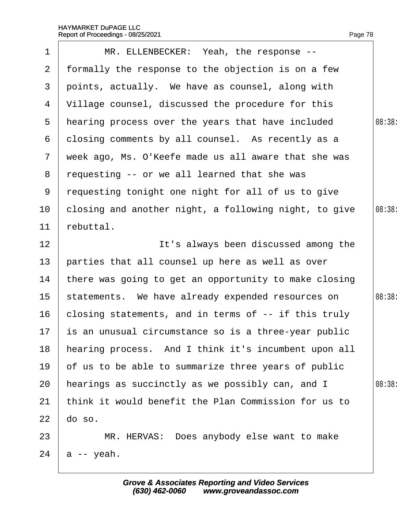<span id="page-78-0"></span>

| 1              | MR. ELLENBECKER: Yeah, the response --                  |        |
|----------------|---------------------------------------------------------|--------|
| $\mathbf{2}$   | formally the response to the objection is on a few      |        |
| 3              | points, actually. We have as counsel, along with        |        |
| 4              | Village counsel, discussed the procedure for this       |        |
| 5              | hearing process over the years that have included       | 08:38  |
| 6              | dosing comments by all counsel. As recently as a        |        |
| $7\phantom{.}$ | week ago, Ms. O'Keefe made us all aware that she was    |        |
| 8              | requesting -- or we all learned that she was            |        |
| 9              | requesting tonight one night for all of us to give      |        |
| 10             | closing and another night, a following night, to give   | 08:38: |
| 11             | rebuttal.                                               |        |
| 12             | It's always been discussed among the                    |        |
| 13             | parties that all counsel up here as well as over        |        |
| 14             | there was going to get an opportunity to make closing   |        |
| 15             | statements. We have already expended resources on       | 08:38: |
| 16             | closing statements, and in terms of -- if this truly    |        |
|                | 17 is an unusual circumstance so is a three-year public |        |
| 18             | hearing process. And I think it's incumbent upon all    |        |
| 19             | of us to be able to summarize three years of public     |        |
| 20             | hearings as succinctly as we possibly can, and I        | 08:38  |
| 21             | think it would benefit the Plan Commission for us to    |        |
| 22             | do so.                                                  |        |
| 23             | MR. HERVAS: Does anybody else want to make              |        |
| 24             | a -- yeah.                                              |        |
|                |                                                         |        |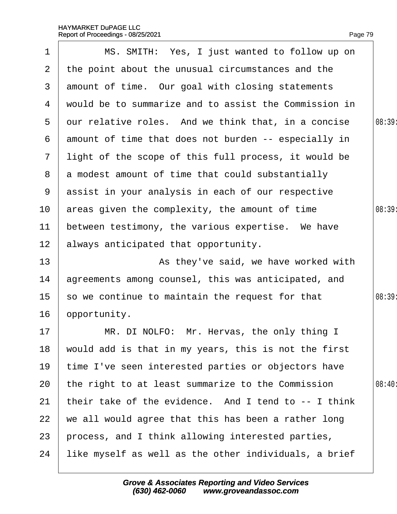<span id="page-79-0"></span>

| 1               | MS. SMITH: Yes, I just wanted to follow up on         |        |
|-----------------|-------------------------------------------------------|--------|
| $\overline{2}$  | the point about the unusual circumstances and the     |        |
| 3               | amount of time. Our goal with closing statements      |        |
| 4               | would be to summarize and to assist the Commission in |        |
| $5^{\circ}$     | dur relative roles. And we think that, in a concise   | 08:39  |
| 6               | amount of time that does not burden -- especially in  |        |
| $\mathbf{7}$    | light of the scope of this full process, it would be  |        |
|                 | 8 a modest amount of time that could substantially    |        |
|                 | 9 assist in your analysis in each of our respective   |        |
| 10              | areas given the complexity, the amount of time        | 08:39: |
| 11              | between testimony, the various expertise. We have     |        |
| 12 <sub>2</sub> | always anticipated that opportunity.                  |        |
| 13              | As they've said, we have worked with                  |        |
| 14              | agreements among counsel, this was anticipated, and   |        |
| 15 <sub>2</sub> | so we continue to maintain the request for that       | 08:39  |
| 16              | opportunity.                                          |        |
| 17              | MR. DI NOLFO: Mr. Hervas, the only thing I            |        |
| 18              | would add is that in my years, this is not the first  |        |
| 19              | time I've seen interested parties or objectors have   |        |
| 20              | the right to at least summarize to the Commission     | 08:40  |
| 21              | their take of the evidence. And I tend to -- I think  |        |
| 22              | we all would agree that this has been a rather long   |        |
| 23              | process, and I think allowing interested parties,     |        |
| 24              | like myself as well as the other individuals, a brief |        |
|                 |                                                       |        |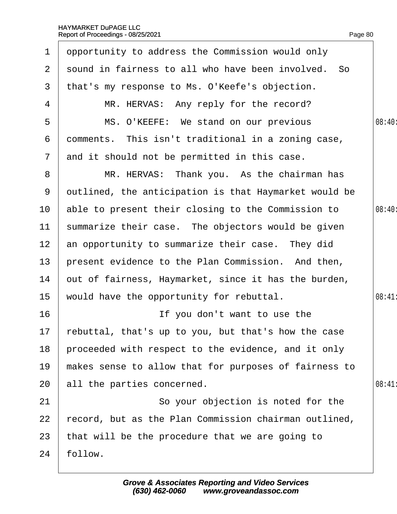<span id="page-80-0"></span>

| 1               | opportunity to address the Commission would only       |        |
|-----------------|--------------------------------------------------------|--------|
| $\overline{2}$  | sound in fairness to all who have been involved. So    |        |
| 3               | that's my response to Ms. O'Keefe's objection.         |        |
| 4               | MR. HERVAS: Any reply for the record?                  |        |
| 5               | MS. O'KEEFE: We stand on our previous                  | 08:40: |
| 6               | domments. This isn't traditional in a zoning case,     |        |
| $\mathbf{7}$    | and it should not be permitted in this case.           |        |
| 8               | MR. HERVAS: Thank you. As the chairman has             |        |
| 9               | dutlined, the anticipation is that Haymarket would be  |        |
| 10              | able to present their closing to the Commission to     | 08:40  |
| 11              | summarize their case. The objectors would be given     |        |
| 12 <sup>2</sup> | an opportunity to summarize their case. They did       |        |
| 13              | present evidence to the Plan Commission. And then,     |        |
| 14              | out of fairness, Haymarket, since it has the burden,   |        |
| 15              | would have the opportunity for rebuttal.               | 08:41  |
| 16              | If you don't want to use the                           |        |
|                 | 17 rebuttal, that's up to you, but that's how the case |        |
| 18              | proceeded with respect to the evidence, and it only    |        |
| 19              | makes sense to allow that for purposes of fairness to  |        |
| 20              | all the parties concerned.                             | 08:41  |
| 21              | So your objection is noted for the                     |        |
| 22              | record, but as the Plan Commission chairman outlined,  |        |
| 23              | that will be the procedure that we are going to        |        |
| 24              | follow.                                                |        |
|                 |                                                        |        |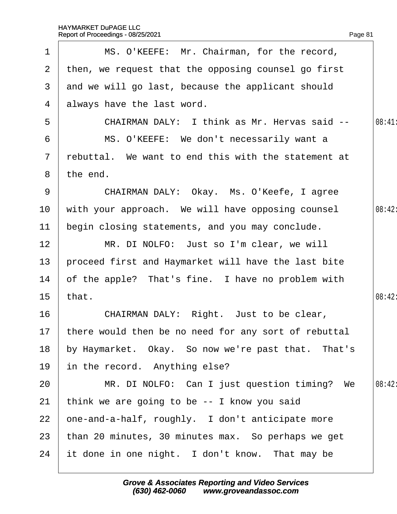<span id="page-81-0"></span>

| 1               | MS. O'KEEFE: Mr. Chairman, for the record,              |        |
|-----------------|---------------------------------------------------------|--------|
| 2 <sup>1</sup>  | then, we request that the opposing counsel go first     |        |
|                 | 3 and we will go last, because the applicant should     |        |
|                 | 4 always have the last word.                            |        |
| 5               | CHAIRMAN DALY: I think as Mr. Hervas said --            | 08:41  |
| 6               | MS. O'KEEFE: We don't necessarily want a                |        |
| $\overline{7}$  | rebuttal. We want to end this with the statement at     |        |
| 8               | the end.                                                |        |
| 9               | CHAIRMAN DALY: Okay. Ms. O'Keefe, I agree               |        |
| 10              | with your approach. We will have opposing counsel       | 08:42: |
| 11              | begin closing statements, and you may conclude.         |        |
| 12 <sub>2</sub> | MR. DI NOLFO: Just so I'm clear, we will                |        |
| 13              | proceed first and Haymarket will have the last bite     |        |
| 14              | of the apple? That's fine. I have no problem with       |        |
| 15 <sub>1</sub> | that.                                                   | 08:42: |
| 16              | CHAIRMAN DALY: Right. Just to be clear,                 |        |
|                 | 17 there would then be no need for any sort of rebuttal |        |
| 18              | by Haymarket. Okay. So now we're past that. That's      |        |
| 19              | in the record. Anything else?                           |        |
| 20              | MR. DI NOLFO: Can I just question timing? We            | 08:42: |
| 21              | think we are going to be -- I know you said             |        |
| 22              | one-and-a-half, roughly. I don't anticipate more        |        |
| 23              | than 20 minutes, 30 minutes max. So perhaps we get      |        |
| 24              | it done in one night. I don't know. That may be         |        |
|                 |                                                         |        |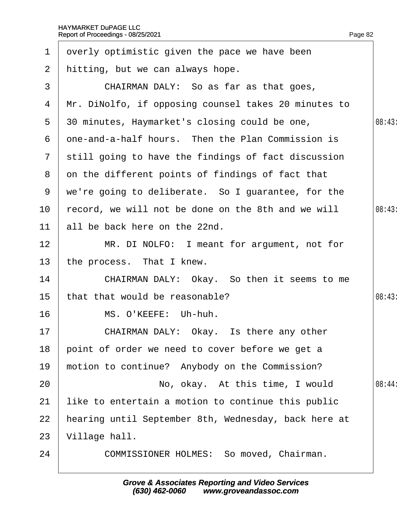<span id="page-82-0"></span>

| 1             | dverly optimistic given the pace we have been        |        |
|---------------|------------------------------------------------------|--------|
| $\mathbf{2}$  | hitting, but we can always hope.                     |        |
| 3             | CHAIRMAN DALY: So as far as that goes,               |        |
| 4             | Mr. DiNolfo, if opposing counsel takes 20 minutes to |        |
| 5             | 30 minutes, Haymarket's closing could be one,        | 08:43  |
| 6             | one-and-a-half hours. Then the Plan Commission is    |        |
| $\mathcal{I}$ | still going to have the findings of fact discussion  |        |
| 8             | on the different points of findings of fact that     |        |
| 9             | we're going to deliberate. So I guarantee, for the   |        |
| 10            | record, we will not be done on the 8th and we will   | 08:43  |
| 11            | all be back here on the 22nd.                        |        |
| 12            | MR. DI NOLFO: I meant for argument, not for          |        |
| 13            | the process. That I knew.                            |        |
| 14            | CHAIRMAN DALY: Okay. So then it seems to me          |        |
| 15            | that that would be reasonable?                       | 08:43  |
| 16            | MS. O'KEEFE: Uh-huh.                                 |        |
| 17            | CHAIRMAN DALY: Okay. Is there any other              |        |
| 18            | point of order we need to cover before we get a      |        |
| 19            | motion to continue? Anybody on the Commission?       |        |
| 20            | No, okay. At this time, I would                      | 08:44: |
| 21            | like to entertain a motion to continue this public   |        |
| 22            | hearing until September 8th, Wednesday, back here at |        |
| 23            | Village hall.                                        |        |
| 24            | COMMISSIONER HOLMES: So moved, Chairman.             |        |
|               |                                                      |        |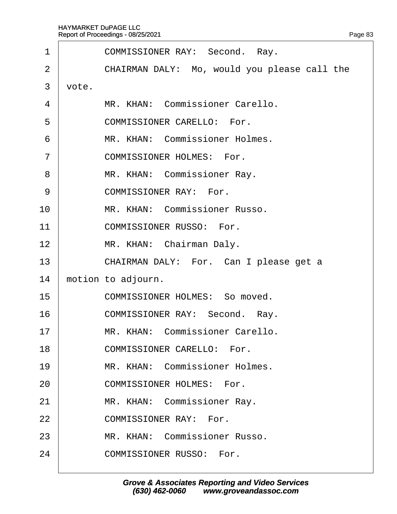<span id="page-83-0"></span>

| 1  | <b>COMMISSIONER RAY: Second. Ray.</b>        |
|----|----------------------------------------------|
| 2  | CHAIRMAN DALY: Mo, would you please call the |
| 3  | vote.                                        |
| 4  | MR. KHAN: Commissioner Carello.              |
| 5  | <b>COMMISSIONER CARELLO: For.</b>            |
| 6  | MR. KHAN: Commissioner Holmes.               |
| 7  | <b>COMMISSIONER HOLMES: For.</b>             |
| 8  | MR. KHAN: Commissioner Ray.                  |
| 9  | <b>COMMISSIONER RAY: For.</b>                |
| 10 | MR. KHAN: Commissioner Russo.                |
| 11 | <b>COMMISSIONER RUSSO: For.</b>              |
| 12 | MR. KHAN: Chairman Daly.                     |
| 13 | CHAIRMAN DALY: For. Can I please get a       |
| 14 | motion to adjourn.                           |
| 15 | <b>COMMISSIONER HOLMES: So moved.</b>        |
| 16 | COMMISSIONER RAY: Second. Ray.               |
| 17 | MR. KHAN: Commissioner Carello.              |
| 18 | <b>COMMISSIONER CARELLO: For.</b>            |
| 19 | MR. KHAN: Commissioner Holmes.               |
| 20 | <b>COMMISSIONER HOLMES: For.</b>             |
| 21 | MR. KHAN: Commissioner Ray.                  |
| 22 | <b>COMMISSIONER RAY: For.</b>                |
| 23 | MR. KHAN: Commissioner Russo.                |
| 24 | <b>COMMISSIONER RUSSO: For.</b>              |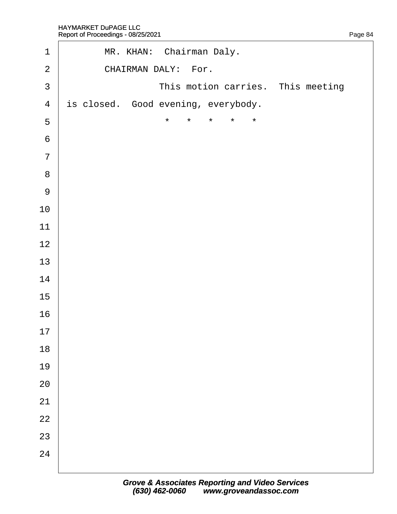<span id="page-84-0"></span>

| $\mathbf 1$      | MR. KHAN: Chairman Daly.                            |
|------------------|-----------------------------------------------------|
| $\overline{2}$   | CHAIRMAN DALY: For.                                 |
| $\mathfrak{S}$   | This motion carries. This meeting                   |
| $\overline{4}$   | is closed. Good evening, everybody.                 |
| $\sqrt{5}$       | $\star$<br>$\star$<br>$\star$<br>$\star$<br>$\star$ |
| $\,6\,$          |                                                     |
| $\overline{7}$   |                                                     |
| $\, 8$           |                                                     |
| $\boldsymbol{9}$ |                                                     |
| 10               |                                                     |
| 11               |                                                     |
| 12               |                                                     |
| 13               |                                                     |
| 14               |                                                     |
| 15               |                                                     |
| 16               |                                                     |
| 17               |                                                     |
| 18               |                                                     |
| 19               |                                                     |
| 20               |                                                     |
| 21               |                                                     |
| 22               |                                                     |
| 23               |                                                     |
| 24               |                                                     |
|                  |                                                     |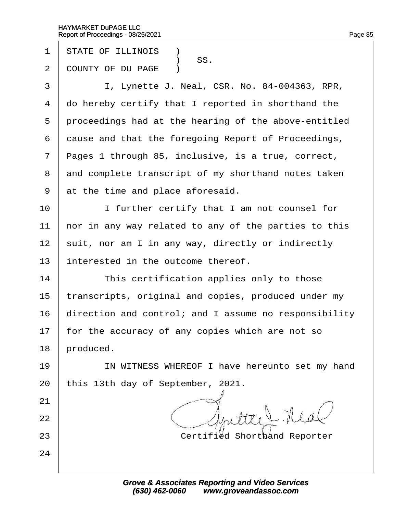- 1 STATE OF ILLINOIS **1**
- SS.<br>2 COUNTY OF DU I COUNTY OF DU PAGE )
- 3 | I, Lynette J. Neal, CSR. No. 84-004363, RPR,
- 4 do hereby certify that I reported in shorthand the
- 5 proceedings had at the hearing of the above-entitled
- 6 dause and that the foregoing Report of Proceedings,
- 7 Pages 1 through 85, inclusive, is a true, correct,
- 8 and complete transcript of my shorthand notes taken
- 9 at the time and place aforesaid.
- 10 **I** I further certify that I am not counsel for
- 11 hor in any way related to any of the parties to this
- 12 suit, nor am I in any way, directly or indirectly
- 13 interested in the outcome thereof.
- $14$  This certification applies only to those
- 15 transcripts, original and copies, produced under my
- 16 direction and control; and I assume no responsibility
- 17 for the accuracy of any copies which are not so
- 18 **produced**.

21

22

24

- 19 | IN WITNESS WHEREOF I have hereunto set my hand
- 20 this 13th day of September, 2021.
- 23 **Certified Shorthand Reporter**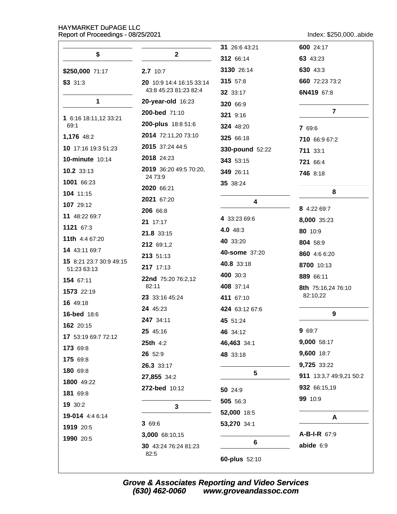Index: \$250,000..abide

|                                        |                                   | 31 26:6 43:21             | 600 24:17               |
|----------------------------------------|-----------------------------------|---------------------------|-------------------------|
| \$                                     | $\mathbf{2}$                      | 312 66:14                 | 63 43:23                |
| \$250,000 71:17                        | 2.7 10:7                          | 3130 26:14                | 630 43:3                |
| \$3331:3                               | 20 10:9 14:4 16:15 33:14          | 315 57:8                  | 660 72:23 73:2          |
|                                        | 43:8 45:23 81:23 82:4             | 32 33:17                  | 6N419 67:8              |
| 1                                      | 20-year-old 16:23                 | 320 66:9                  | $\overline{7}$          |
| 1 6:16 18:11,12 33:21                  | 200-bed 71:10                     | 321 9:16                  |                         |
| 69:1                                   | 200-plus 18:8 51:6                | 324 48:20                 | 7 69:6                  |
| 1,176 48:2                             | 2014 72:11,20 73:10               | 325 66:18                 | 710 66:9 67:2           |
| 10 17:16 19:3 51:23                    | 2015 37:24 44:5                   | 330-pound 52:22           | 711 33:1                |
| <b>10-minute 10:14</b>                 | 2018 24:23                        | 343 53:15                 | 721 66:4                |
| 10.2 33:13                             | 2019 36:20 49:5 70:20,<br>24 73:9 | 349 26:11                 | <b>746 8:18</b>         |
| 1001 66:23                             | 2020 66:21                        | 35 38:24                  |                         |
| 104 11:15                              | 2021 67:20                        | 4                         | 8                       |
| 107 29:12                              | 206 66:8                          |                           | 8 4:22 69:7             |
| 11 48:22 69:7                          | 21 17:17                          | 4 33:23 69:6              | 8,000 35:23             |
| 1121 67:3                              | 21.8 33:15                        | 4.0 48:3                  | 80 10:9                 |
| 11th 4:4 67:20                         | 212 69:1,2                        | 40 33:20                  | 804 58:9                |
| 14 43:11 69:7                          | 213 51:13                         | 40-some 37:20             | 860 4:6 6:20            |
| 15 8:21 23:7 30:9 49:15<br>51:23 63:13 | 217 17:13                         | 40.8 33:18                | 8700 10:13              |
| 154 67:11                              | 22nd 75:20 76:2,12                | 400 30:3                  | 889 66:11               |
| 1573 22:19                             | 82:11                             | 408 37:14                 | 8th 75:16,24 76:10      |
| 16 49:18                               | 23 33:16 45:24                    | 411 67:10                 | 82:10,22                |
| <b>16-bed</b> 18:6                     | 24 45:23                          | 424 63:12 67:6            | 9                       |
| 162 20:15                              | 247 34:11                         | 45 51:24                  |                         |
| 17 53:19 69:7 72:12                    | 25 45:16                          | 46 34:12                  | 9 69:7                  |
| 173 69:8                               | 25th 4:2                          | 46,463 34:1               | 9,000 58:17             |
| 175 69:8                               | 26 52:9                           | 48 33:18                  | 9,600 18:7              |
| 180 69:8                               | 26.3 33:17                        | 5                         | 9,725 33:22             |
| 1800 49:22                             | 27,855 34:2                       |                           | 911 13:3,7 49:9,21 50:2 |
| 181 69:8                               | 272-bed 10:12                     | 50 24:9                   | 932 66:15,19            |
| 19 30:2                                | 3                                 | 505 56:3                  | 99 10:9                 |
| 19-014 4:4 6:14                        |                                   | 52,000 18:5               | A                       |
| 1919 20:5                              | 3 69:6                            | 53,270 34:1               |                         |
| 1990 20:5                              | 3,000 68:10,15                    |                           | A-B-I-R 67:9            |
|                                        | 30 43:24 76:24 81:23<br>82:5      | 6<br><b>60-plus</b> 52:10 | abide 6:9               |

Grove & Associates Reporting and Video Services<br>(630) 462-0060 www.groveandassoc.com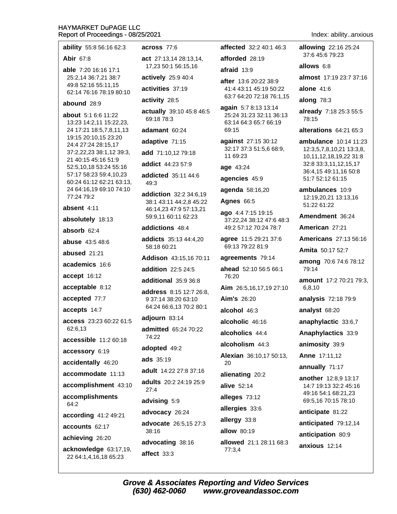| ability 55:8 56:16 62:3                               | across 77:6                                       | affected 32:2 40:1 46:3                            | <b>allowing</b> 22:16 25:24                             |
|-------------------------------------------------------|---------------------------------------------------|----------------------------------------------------|---------------------------------------------------------|
| <b>Abir 67:8</b>                                      | act 27:13,14 28:13,14,                            | afforded 28:19                                     | 37:6 45:6 79:23                                         |
| able 7:20 16:16 17:1                                  | 17,23 50:1 56:15,16                               | afraid 13:9                                        | allows 6:8                                              |
| 25:2,14 36:7,21 38:7<br>49:8 52:16 55:11,15           | actively 25:9 40:4                                | after 13:6 20:22 38:9                              | almost 17:19 23:7 37:16                                 |
| 62:14 76:16 78:19 80:10                               | activities 37:19                                  | 41:4 43:11 45:19 50:22<br>63:7 64:20 72:18 76:1,15 | alone $41:6$                                            |
| abound 28:9                                           | activity 28:5                                     | again 5:7 8:13 13:14                               | along $78:3$                                            |
| <b>about</b> 5:1 6:6 11:22<br>13:23 14:2,11 15:22,23, | actually 39:10 45:8 46:5<br>69:18 78:3            | 25:24 31:23 32:11 36:13<br>63:14 64:3 65:7 66:19   | already 7:18 25:3 55:5<br>78:15                         |
| 24 17:21 18:5,7,8,11,13                               | adamant 60:24                                     | 69:15                                              | alterations 64:21 65:3                                  |
| 19:15 20:10,15 23:20<br>24:4 27:24 28:15,17           | adaptive 71:15                                    | against 27:15 30:12                                | ambulance 10:14 11:23                                   |
| 37:2,22,23 38:1,12 39:3,                              | add 71:10,12 79:18                                | 32:17 37:3 51:5,6 68:9,<br>11 69:23                | 12:3,5,7,8,10,21 13:3,8,<br>10,11,12,18,19,22 31:8      |
| 21 40:15 45:16 51:9<br>52:5,10,18 53:24 55:16         | <b>addict</b> 44:23 57:9                          | age 43:24                                          | 32:8 33:3,11,12,15,17                                   |
| 57:17 58:23 59:4,10,23<br>60:24 61:12 62:21 63:13,    | addicted 35:11 44:6<br>49:3                       | agencies 45:9                                      | 36:4,15 49:11,16 50:8<br>51:7 52:12 61:15               |
| 24 64:16,19 69:10 74:10<br>77:24 79:2                 | addiction 32:2 34:6,19                            | agenda 58:16,20                                    | ambulances 10:9<br>12:19,20,21 13:13,16                 |
| absent 4:11                                           | 38:1 43:11 44:2,8 45:22<br>46:14,23 47:9 57:13,21 | <b>Agnes 66:5</b>                                  | 51:22 61:22                                             |
| absolutely 18:13                                      | 59:9,11 60:11 62:23                               | ago 4:4 7:15 19:15<br>37:22,24 38:12 47:6 48:3     | Amendment 36:24                                         |
| absorb 62:4                                           | addictions 48:4                                   | 49:2 57:12 70:24 78:7                              | American 27:21                                          |
| <b>abuse</b> 43:5 48:6                                | addicts 35:13 44:4,20<br>58:18 60:21              | agree 11:5 29:21 37:6<br>69:13 79:22 81:9          | <b>Americans</b> 27:13 56:16<br><b>Amita</b> 50:17 52:7 |
| abused 21:21                                          | Addison 43:15,16 70:11                            | agreements 79:14                                   |                                                         |
| academics 16:6                                        | addition 22:5 24:5                                | ahead 52:10 56:5 66:1                              | among 70:6 74:6 78:12<br>79:14                          |
| accept 16:12                                          | additional 35:9 36:8                              | 76:20                                              | <b>amount</b> 17:2 70:21 79:3,                          |
| acceptable 8:12                                       | address 8:15 12:7 26:8,                           | Aim 26:5,16,17,19 27:10                            | 6,8,10                                                  |
| accepted 77:7                                         | 9 37:14 38:20 63:10                               | <b>Aim's 26:20</b>                                 | analysis 72:18 79:9                                     |
| accepts 14:7                                          | 64:24 66:6,13 70:2 80:1                           | alcohol 46:3                                       | analyst 68:20                                           |
| access 23:23 60:22 61:5                               | adjourn 83:14                                     | alcoholic 46:16                                    | anaphylactic 33:6,7                                     |
| 62:6,13                                               | <b>admitted</b> 65:24 70:22<br>74:22              | alcoholics 44:4                                    | Anaphylactics 33:9                                      |
| accessible 11:2 60:18                                 | adopted 49:2                                      | alcoholism 44:3                                    | animosity 39:9                                          |
| accessory 6:19                                        | <b>ads</b> 35:19                                  | Alexian 36:10,17 50:13,                            | <b>Anne 17:11,12</b>                                    |
| accidentally 46:20                                    | adult 14:22 27:8 37:16                            | 20                                                 | annually 71:17                                          |
| accommodate 11:13                                     | adults 20:2 24:19 25:9                            | alienating 20:2                                    | another 12:8,9 13:17                                    |
| accomplishment 43:10                                  | 27:4                                              | alive 52:14                                        | 14:7 19:13 32:2 45:16<br>49:16 54:1 68:21,23            |
| accomplishments<br>64:2                               | advising 5:9                                      | alleges 73:12                                      | 69:5,16 70:15 78:10                                     |
| according 41:2 49:21                                  | advocacy 26:24                                    | allergies 33:6                                     | anticipate 81:22                                        |
| accounts 62:17                                        | advocate 26:5,15 27:3                             | allergy 33:8                                       | anticipated 79:12,14                                    |
| achieving 26:20                                       | 38:16                                             | allow 80:19                                        | anticipation 80:9                                       |
| acknowledge 63:17,19,                                 | advocating 38:16                                  | allowed 21:1 28:11 68:3<br>77:3,4                  | anxious 12:14                                           |
| 22 64:1,4,16,18 65:23                                 | affect 33:3                                       |                                                    |                                                         |

Index: ability..anxious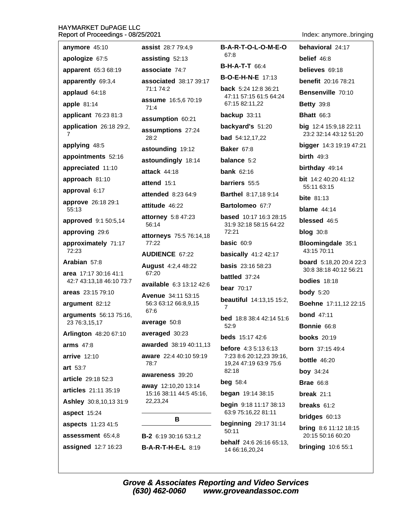Index: anymore..bringing

| Report of Proceedings - 00/20/2021                |                                                   |                                                         | muex. anymorebingin                                      |
|---------------------------------------------------|---------------------------------------------------|---------------------------------------------------------|----------------------------------------------------------|
| anymore 45:10                                     | assist 28:7 79:4,9                                | <b>B-A-R-T-O-L-O-M-E-O</b>                              | behavioral 24:17                                         |
| apologize 67:5                                    | assisting 52:13                                   | 67:8                                                    | belief 46:8                                              |
| apparent 65:3 68:19                               | associate 74:7                                    | <b>B-H-A-T-T</b> 66:4                                   | believes 69:18                                           |
| apparently 69:3,4                                 | associated 38:17 39:17                            | <b>B-O-E-H-N-E</b> 17:13                                | <b>benefit</b> 20:16 78:21                               |
| applaud 64:18                                     | 71:1 74:2                                         | <b>back</b> 5:24 12:8 36:21<br>47:11 57:15 61:5 64:24   | Bensenville 70:10                                        |
| apple $81:14$                                     | <b>assume</b> 16:5,6 70:19<br>71:4                | 67:15 82:11,22                                          | <b>Betty 39:8</b>                                        |
| applicant 76:23 81:3                              | assumption 60:21                                  | backup 33:11                                            | <b>Bhatt 66:3</b>                                        |
| application 26:18 29:2,                           | assumptions 27:24                                 | backyard's 51:20                                        | big 12:4 15:9,18 22:11                                   |
| 7                                                 | 28:2                                              | <b>bad</b> 54:12,17,22                                  | 23:2 32:14 43:12 51:20                                   |
| applying 48:5                                     | astounding 19:12                                  | <b>Baker 67:8</b>                                       | bigger 14:3 19:19 47:21                                  |
| appointments 52:16                                | astoundingly 18:14                                | balance 5:2                                             | birth $49:3$                                             |
| appreciated 11:10                                 | <b>attack 44:18</b>                               | bank $62:16$                                            | birthday 49:14                                           |
| approach 81:10                                    | attend 15:1                                       | barriers 55:5                                           | <b>bit</b> $14:240:2041:12$<br>55:11 63:15               |
| approval 6:17                                     | <b>attended</b> 8:23 64:9                         | <b>Barthel</b> 8:17,18 9:14                             | <b>bite</b> $81:13$                                      |
| approve 26:18 29:1<br>55:13                       | attitude 46:22                                    | Bartolomeo 67:7                                         | blame $44:14$                                            |
| approved 9:1 50:5,14                              | attorney 5:8 47:23<br>56:14                       | <b>based</b> 10:17 16:3 28:15<br>31:9 32:18 58:15 64:22 | blessed 46:5                                             |
| approving 29:6                                    | attorneys 75:5 76:14,18                           | 72:21                                                   | $blog$ 30:8                                              |
| approximately 71:17                               | 77:22                                             | basic $60:9$                                            | Bloomingdale 35:1                                        |
| 72:23                                             | <b>AUDIENCE 67:22</b>                             | <b>basically</b> 41:2 42:17                             | 43:15 70:11                                              |
| Arabian 57:8                                      | <b>August</b> 4:2,4 48:22                         | <b>basis</b> 23:16 58:23                                | <b>board</b> 5:18,20 20:4 22:3<br>30:8 38:18 40:12 56:21 |
| area 17:17 30:16 41:1<br>42:7 43:13,18 46:10 73:7 | 67:20                                             | battled 37:24                                           | <b>bodies</b> $18:18$                                    |
| areas 23:15 79:10                                 | available 6:3 13:12 42:6                          | <b>bear</b> 70:17                                       | <b>body</b> 5:20                                         |
| argument 82:12                                    | <b>Avenue</b> 34:11 53:15<br>56:3 63:12 66:8,9,15 | <b>beautiful</b> 14:13,15 15:2,<br>7                    | <b>Boehne</b> 17:11,12 22:15                             |
| arguments 56:13 75:16,                            | 67:6                                              | <b>bed</b> 18:8 38:4 42:14 51:6                         | <b>bond</b> 47:11                                        |
| 23 76:3,15,17                                     | average 50:8                                      | 52:9                                                    | Bonnie 66:8                                              |
| Arlington 48:20 67:10                             | averaged 30:23                                    | <b>beds</b> $15:17$ 42:6                                | <b>books</b> 20:19                                       |
| arms $47:8$                                       | awarded 38:19 40:11,13                            | <b>before</b> 4:3 5:13 6:13                             | <b>born</b> 37:15 49:4                                   |
| <b>arrive</b> 12:10                               | aware 22:4 40:10 59:19<br>78:7                    | 7:23 8:6 20:12,23 39:16,<br>19,24 47:19 63:9 75:6       | <b>bottle</b> 46:20                                      |
| art 53:7                                          | awareness 39:20                                   | 82:18                                                   | <b>boy</b> 34:24                                         |
| article 29:18 52:3                                | away 12:10,20 13:14                               | beg 58:4                                                | <b>Brae</b> 66:8                                         |
| articles 21:11 35:19                              | 15:16 38:11 44:5 45:16,                           | began 19:14 38:15                                       | break $21:1$                                             |
| Ashley 30:8,10,13 31:9                            | 22,23,24                                          | <b>begin</b> $9:18$ 11:17 38:13                         | breaks $61:2$                                            |
| aspect 15:24                                      | В                                                 | 63:9 75:16,22 81:11                                     | bridges $60:13$                                          |
| aspects 11:23 41:5                                |                                                   | <b>beginning</b> 29:17 31:14<br>50:11                   | <b>bring</b> 8:6 11:12 18:15                             |
| assessment 65:4,8                                 | B-2 6:19 30:16 53:1,2                             | <b>behalf</b> 24:6 26:16 65:13,                         | 20:15 50:16 60:20                                        |
| assigned 12:7 16:23                               | <b>B-A-R-T-H-E-L 8:19</b>                         | 14 66:16,20,24                                          | <b>bringing 10:6 55:1</b>                                |
|                                                   |                                                   |                                                         |                                                          |

Grove & Associates Reporting and Video Services<br>(630) 462-0060 www.groveandassoc.com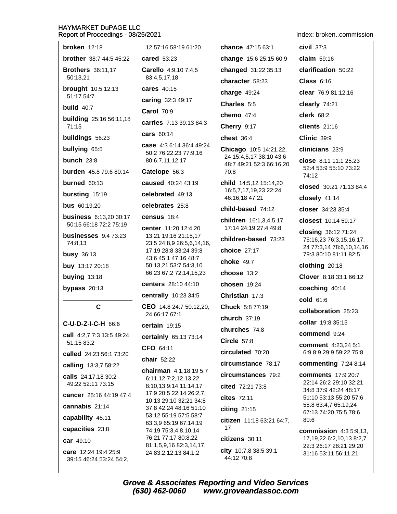| Report of Proceedings - 08/25/2021      |                                                   |                                         | Index: brokencommission                                   |
|-----------------------------------------|---------------------------------------------------|-----------------------------------------|-----------------------------------------------------------|
| broken $12:18$                          | 12 57:16 58:19 61:20                              | <b>chance</b> 47:15 63:1                | civil $37:3$                                              |
| <b>brother</b> 38:7 44:5 45:22          | <b>cared</b> 53:23                                | change 15:6 25:15 60:9                  | claim $59:16$                                             |
| <b>Brothers</b> 36:11,17                | Carello 4:9,10 7:4,5                              | changed 31:22 35:13                     | clarification 50:22                                       |
| 50:13,21                                | 83:4,5,17,18                                      | character 58:23                         | Class $6:16$                                              |
| <b>brought</b> 10:5 12:13<br>51:17 54:7 | cares 40:15                                       | charge 49:24                            | clear 76:9 81:12,16                                       |
| build $40:7$                            | caring 32:3 49:17                                 | Charles 5:5                             | clearly 74:21                                             |
|                                         | <b>Carol 70:9</b>                                 | chemo $47:4$                            | clerk 68:2                                                |
| <b>building</b> 25:16 56:11,18<br>71:15 | carries 7:13 39:13 84:3                           | Cherry 9:17                             | clients $21:16$                                           |
| buildings 56:23                         | cars 60:14                                        | chest 36:4                              | <b>Clinic 39:9</b>                                        |
| bullying 65:5                           | case 4:3 6:14 36:4 49:24                          | Chicago 10:5 14:21,22,                  | clinicians 23:9                                           |
| bunch $23:8$                            | 50:2 76:22,23 77:9,16<br>80:6,7,11,12,17          | 24 15:4,5,17 38:10 43:6                 | close $8:11$ 11:1 25:23                                   |
| burden 45:8 79:6 80:14                  | Catelope 56:3                                     | 48:7 49:21 52:3 66:16,20<br>70:8        | 52:4 53:9 55:10 73:22<br>74:12                            |
| burned 60:13                            | caused 40:24 43:19                                | <b>child</b> 14:5,12 15:14,20           | closed 30:21 71:13 84:4                                   |
| bursting 15:19                          | celebrated 49:13                                  | 16:5,7,17,19,23 22:24<br>46:16,18 47:21 | closely 41:14                                             |
| <b>bus</b> 60:19,20                     | celebrates 25:8                                   | child-based 74:12                       | closer 34:23 35:4                                         |
| <b>business</b> 6:13,20 30:17           | census 18:4                                       | children 16:1,3,4,5,17                  | closest 10:14 59:17                                       |
| 50:15 66:18 72:2 75:19                  | center 11:20 12:4,20                              | 17:14 24:19 27:4 49:8                   | closing 36:12 71:24                                       |
| businesses $9:473:23$<br>74:8.13        | 13:21 19:16 21:15,17<br>23:5 24:8,9 26:5,6,14,16, | children-based 73:23                    | 75:16,23 76:3,15,16,17,                                   |
| <b>busy</b> 36:13                       | 17,19 28:8 33:24 39:8                             | choice 27:17                            | 24 77:3,14 78:6,10,14,16<br>79:3 80:10 81:11 82:5         |
| buy 13:17 20:18                         | 43:6 45:1 47:16 48:7<br>50:13,21 53:7 54:3,10     | choke 49:7                              | clothing 20:18                                            |
| buying 13:18                            | 66:23 67:2 72:14,15,23                            | choose 13:2                             | Clover 8:18 33:1 66:12                                    |
| bypass 20:13                            | centers 28:10 44:10                               | chosen $19:24$                          | coaching 40:14                                            |
|                                         | centrally 10:23 34:5                              | Christian 17:3                          | cold 61:6                                                 |
| $\mathbf c$                             | CEO 14:8 24:7 50:12,20,                           | Chuck 5:8 77:19                         | collaboration 25:23                                       |
| C-U-D-Z-I-C-H 66:6                      | 24 66:17 67:1                                     | church 37:19                            | collar 19:8 35:15                                         |
| call 4:2,7 7:3 13:5 49:24               | certain 19:15                                     | churches 74:8                           | commend 9:24                                              |
| 51:15 83:2                              | certainly 65:13 73:14                             | <b>Circle 57:8</b>                      | comment 4:23,24 5:1                                       |
| called 24:23 56:1 73:20                 | CFO 64:11                                         | circulated 70:20                        | 6:9 8:9 29:9 59:22 75:8                                   |
| calling 13:3,7 58:22                    | chair 52:22                                       | circumstance 78:17                      | commenting 7:24 8:14                                      |
| calls 24:17,18 30:2                     | chairman 4:1,18,19 5:7<br>6:11,12 7:2,12,13,22    | circumstances 79:2                      | <b>comments</b> 17:9 20:7                                 |
| 49:22 52:11 73:15                       | 8:10,13 9:14 11:14,17                             | cited 72:21 73:8                        | 22:14 26:2 29:10 32:21<br>34:8 37:9 42:24 48:17           |
| cancer 25:16 44:19 47:4                 | 17:9 20:5 22:14 26:2,7,<br>10,13 29:10 32:21 34:8 | cites 72:11                             | 51:10 53:13 55:20 57:6                                    |
| cannabis 21:14                          | 37:8 42:24 48:16 51:10                            | citing 21:15                            | 58:8 63:4,7 65:19,24<br>67:13 74:20 75:5 78:6             |
| capability 45:11                        | 53:12 55:19 57:5 58:7<br>63:3,9 65:19 67:14,19    | citizen 11:18 63:21 64:7,               | 80:6                                                      |
| capacities 23:8                         | 74:19 75:3,4,8,10,14                              | 17                                      | <b>commission</b> 4:3 5:9,13,                             |
| car 49:10                               | 76:21 77:17 80:8,22<br>81:1,5,9,16 82:3,14,17,    | citizens 30:11                          | 17, 19, 22 6: 2, 10, 13 8: 2, 7<br>22:3 26:17 28:21 29:20 |
| care 12:24 19:4 25:9                    | 24 83:2.12.13 84:1.2                              | city 10:7,8 38:5 39:1                   | 31:16 53:11 56:11.21                                      |

care 12:24 19:4 25:9 39:15 46:24 53:24 54:2,

Grove & Associates Reporting and Video Services<br>(630) 462-0060 www.groveandassoc.com

44:12 70:8

31:16 53:11 56:11,21

24 83:2,12,13 84:1,2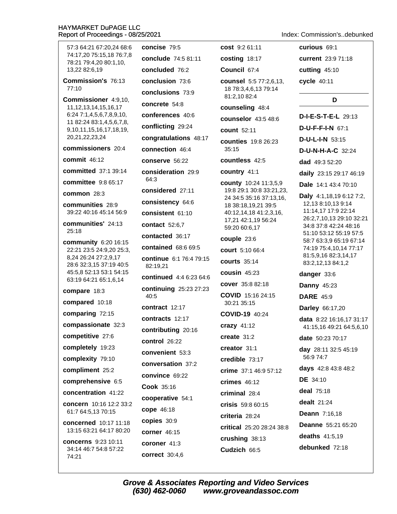curious 69:1 concise 79:5 cost 9:2 61:11 57:3 64:21 67:20,24 68:6 74:17.20 75:15.18 76:7.8 conclude 74:5 81:11 costing 18:17 current 23:9 71:18 78:21 79:4,20 80:1,10, 13,22 82:6,19 concluded 76:2 Council 67:4 cutting 45:10 conclusion 73:6 Commission's 76:13 cycle 40:11 counsel 5:5 77:2,6,13,  $77:10$ 18 78:3,4,6,13 79:14 conclusions 73:9 81:2,10 82:4 Commissioner 4:9.10. D concrete 54:8 counseling 48:4 11, 12, 13, 14, 15, 16, 17 conferences 40:6  $6:247:1,4,5,6,7,8,9,10$ D-I-E-S-T-E-L 29:13 counselor 43:5 48:6 11 82:24 83:1,4,5,6,7,8, conflicting 29:24 D-U-F-F-I-N 67:1 9, 10, 11, 15, 16, 17, 18, 19, count 52:11 20.21.22.23.24 congratulations 48:17 **D-U-L-I-N 53:15 counties** 19:8 26:23 commissioners 20:4 connection 46:4 35:15 D-U-N-H-A-C 32:24 commit  $46:12$ countless 42:5 conserve 56:22 dad 49:3 52:20 committed 37:1 39:14 consideration 29:9 country 41:1 daily 23:15 29:17 46:19 64:3 committee 9:8 65:17 county 10:24 11:3,5,9 Dale 14:1 43:4 70:10 considered 27:11 19:8 29:1 30:8 33:21,23, common 28:3 Daly 4:1,18,19 6:12 7:2, 24 34:5 35:16 37:13,16, consistency 64:6 communities 28:9 12,13 8:10,13 9:14 18 38:18,19,21 39:5 11:14,17 17:9 22:14 39:22 40:16 45:14 56:9 40:12,14,18 41:2,3,16, consistent 61:10 26:2,7,10,13 29:10 32:21 17,21 42:1,19 56:24 communities' 24:13 contact 52:6.7 34:8 37:8 42:24 48:16 59:20 60:6,17  $25:18$ 51:10 53:12 55:19 57:5 contacted 36:17 couple 23:6 58:7 63:3.9 65:19 67:14 community 6:20 16:15 contained 68:6 69:5 74:19 75:4,10,14 77:17 22:21 23:5 24:9,20 25:3, court 5:10 66:4 81:5,9,16 82:3,14,17 8,24 26:24 27:2,9,17 continue 6:1 76:4 79:15 **courts** 35:14 83:2,12,13 84:1,2 28:6 32:3,15 37:19 40:5 82:19.21 45:5.8 52:13 53:1 54:15 cousin  $45:23$ danger 33:6 continued 4:4 6:23 64:6 63:19 64:21 65:1,6,14 cover 35:8 82:18 **Danny 45:23** continuing 25:23 27:23 compare 18:3 COVID 15:16 24:15 40:5 **DARE** 45:9 compared 10:18 30:21 35:15 contract  $12.17$ **Darley 66:17,20** comparing 72:15 COVID-19 40:24 contracts 12:17 data 8:22 16:16,17 31:17 compassionate 32:3 crazy 41:12 41:15,16 49:21 64:5,6,10 contributing 20:16 competitive 27:6 create  $31:2$ date 50:23 70:17 control 26:22 completely 19:23 creator 31:1 day 28:11 32:5 45:19 convenient 53:3 56:9 74:7 complexity 79:10 credible 73:17 conversation 37:2 days 42:8 43:8 48:2 compliment 25:2 crime 37:1 46:9 57:12 convince 69:22 **DE** 34:10 comprehensive 6:5  $c$ rimes  $46:12$ Cook 35:16 deal 75:18 concentration 41:22 criminal 28:4 cooperative 54:1 dealt  $21:24$ concern 10:16 12:2 33:2 crisis 59:8 60:15 cope 46:18 61:7 64:5,13 70:15 Deann 7:16.18 criteria 28:24 copies 30:9 concerned 10:17 11:18 Deanne 55:21 65:20 critical 25:20 28:24 38:8 13:15 63:21 64:17 80:20 corner 46:15 deaths 41:5,19 crushing 38:13 concerns 9:23 10:11 coroner 41:3 debunked 72:18 34:14 46:7 54:8 57:22 Cudzich 66:5 **correct** 30:4,6 74:21

Index: Commission's..debunked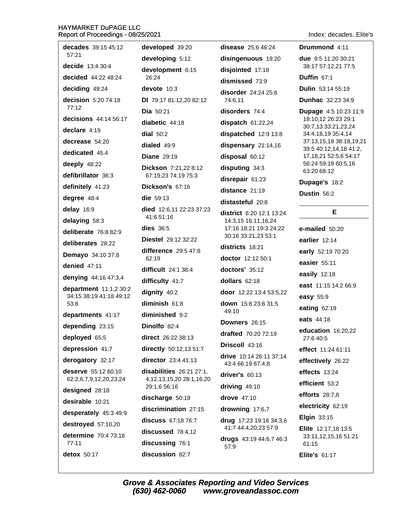disease 25:6 46:24 Drummond 4:11 decades 39:15 45:12 developed 39:20 57:21 developing 5:12 disingenuous 19:20 due 9:5 11:20 30:21 decide  $13:4.30:4$ 38:17 57:12,21 77:5 development 6:15 disjointed 17:18 decided 44:22 48:24  $26.24$ Duffin  $67:1$ dismissed 73:9 deciding 49:24 devote 10:3 Dulin 53:14 55:19 disorder 24:24 25:6 decision 5:20 74:18 DI 79:17 81:12.20 82:12 74:6.11 **Dunhac** 32:23 34:9  $77:12$ disorders 74:4 Dia 50:21 **Dupage 4:5 10:23 11:9** decisions 44:14 56:17 18:10,12 26:23 29:1 diabetic 44:18 dispatch  $61:22,24$ 30:7,13 33:21,23,24 declare 4:19 dial  $50:2$ 34:4.18.19 35:4.14 dispatched 12:9 13:8 decrease  $54.20$ 37:13,15,18 38:18,19,21 dialed 49:9 dispensary 21:14,16 39:5 40:12,14,18 41:2, dedicated 45:4 17, 18, 21 52: 5, 6 54: 17 **Diane** 29:19 disposal 60:12 56:24 59:19 60:5,16 deeply 48:22 disputing 34:3 Dickson 7:21,22 8:12 63:20 68:12 defibrillator 36:3 67:19,23 74:19 75:3 disrepair 61:23 Dupage's 18:2 definitely 41:23 Dickson's 67:16 distance 21:19 Dustin 56:2 degree 48:4 die 59:13 distasteful 20:8 delay 16:9 died 12:6,11 22:23 37:23 E district 6:20 12:1 13:24 41:6 51:16 delaying 58:3 14:3,15 16:11,16,24 dies  $36:5$ 17:16 18:21 19:3 24:22 e-mailed 50:20 deliberate 76:8 82:9 30:16 33:21,23 53:1 Diestel 29:12 32:22 earlier 12:14 deliberates 28:22 districts 18:21 difference 29:5 47:8 early 52:19 70:20 **Demavo** 34:10 37:8 62:19 doctor 12:12 50:1 easier 55:11 denied 47:11 difficult  $24:1.38:4$  $dactors'$  35:12 easily 12:18 denying 44:16 47:3,4 difficulty 41:7 dollars 62:18 east 11:15 14:2 66:9 department 11:1,2 30:2 dignity 40:2 door 12:22 13:4 53:5,22 34:15 38:19 41:18 49:12 easy 55:9 diminish 61:8 down 15:8 23:6 31:5  $53:8$ eating 62:19  $49.10$ diminished 9:2 departments 41:17 eats 44:18 Downers 26:15 Dinolfo 82:4 depending 23:15 education 16:20.22 drafted 70:20 72:19 deployed 65:5 direct 26:22 38:13  $27.640.5$ Driscoll 43:16 depression 41:7 directly 50:12,13 51:7 effect 11:24 61:11 drive 10:14 26:11 37:14 derogatory 32:17 director 23:4 41:13 effectively 26:22 43:4 66:19 67:4.8 deserve 55:12 60:10 disabilities 26:21 27:1, effects 13:24 driver's 60:13 62:2,6,7,9,12,20,23,24 4, 12, 13, 15, 20 28: 1, 16, 20 efficient 53:2 29:1.6 56:16 driving 49:10 designed 28:18 efforts  $28:7,8$ drove 47:10 discharge 50:18 desirable 10:21 electricity 62:19 discrimination 27:15 drowning 17:6,7 desperately 45:3 49:9 Elgin 33:15 discuss 67:18 76:7 drug 17:23 19:16 34:3,6 destroyed 57:10,20 41:7 44:4,20,23 57:9 Elite 12:17,18 13:5 discussed 78:4,12 determine 70:4 73:16 33:11,12,15,16 51:21 drugs 43:19 44:6,7 46:3  $77:11$ discussing 76:1 61:15 57:9 detox 50:17 discussion 82:7 Elite's  $61.17$ 

Index: decades Flite's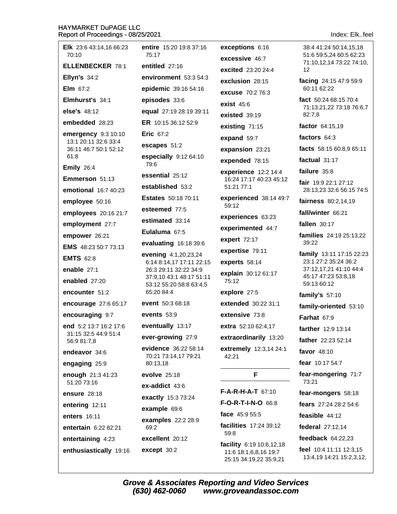| <b>Elk</b> 23:6 43:14,16 66:23<br>70:10       | entire 15:20 19:8 37:16<br>75:17                    | exceptions 6:16<br>excessive 46:7 | 38:4 41:24 50:14,15,18<br>51:6 59:5,24 60:5 62:23 |
|-----------------------------------------------|-----------------------------------------------------|-----------------------------------|---------------------------------------------------|
| <b>ELLENBECKER 78:1</b>                       | entitled 27:16                                      | <b>excited</b> 23:20 24:4         | 71:10,12,14 73:22 74:10,<br>12                    |
| <b>Ellyn's 34:2</b>                           | environment 53:3 54:3                               | exclusion 28:15                   | facing 24:15 47:9 59:9                            |
| Elm $67:2$                                    | epidemic 39:16 54:16                                | <b>excuse</b> 70:2 76:3           | 60:11 62:22                                       |
| Elmhurst's 34:1                               | episodes 33:6                                       | exist $45:6$                      | fact 50:24 68:15 70:4                             |
| else's 48:12                                  | equal 27:19 28:19 39:11                             | existed 39:19                     | 71:13,21,22 73:18 76:6,7<br>82:7.8                |
| embedded 28:23                                | ER 10:15 36:12 52:9                                 | existing 71:15                    | factor 64:15,19                                   |
| emergency 9:3 10:10                           | Eric $67:2$                                         | expand 59:7                       | factors 64:3                                      |
| 13:1 20:11 32:6 33:4<br>36:11 46:7 50:1 52:12 | escapes 51:2                                        | expansion 23:21                   | facts 58:15 60:8,9 65:11                          |
| 61:8                                          | especially 9:12 64:10                               | expended 78:15                    | factual $31:17$                                   |
| <b>Emily 26:4</b>                             | 79:6                                                | experience 12:2 14:4              | failure 35:8                                      |
| Emmerson 51:13                                | essential 25:12                                     | 16:24 17:17 40:23 45:12           | fair 19:9 22:1 27:12                              |
| emotional 16:7 40:23                          | established 53:2                                    | 51:21 77:1                        | 28:13,23 32:6 56:15 74:5                          |
| employee 50:16                                | <b>Estates</b> 50:18 70:11                          | experienced 38:14 49:7<br>59:12   | fairness 80:2,14,19                               |
| employees 20:16 21:7                          | esteemed 77:5                                       | experiences 63:23                 | fall/winter 66:21                                 |
| employment 27:7                               | estimated 33:14                                     | experimented 44:7                 | fallen 30:17                                      |
| empower 26:21                                 | Eulaluma 67:5                                       | expert 72:17                      | families 24:19 25:13,22                           |
| EMS 48:23 50:7 73:13                          | evaluating 16:18 39:6                               | expertise 79:11                   | 39:22                                             |
| <b>EMTS 62:8</b>                              | evening 4:1,20,23,24<br>6:14 8:14,17 17:11 22:15    | experts 58:14                     | family 13:11 17:15 22:23<br>23:1 27:2 35:24 36:2  |
| enable 27:1                                   | 26:3 29:11 32:22 34:9                               | explain 30:12 61:17               | 37:12,17,21 41:10 44:4                            |
| enabled 27:20                                 | 37:9,10 43:1 48:17 51:11<br>53:12 55:20 58:8 63:4,5 | 75:12                             | 45:17 47:23 53:8,18<br>59:13 60:12                |
| encounter 51:2                                | 65:20 84:4                                          | explore 27:5                      | family's $57:10$                                  |
| encourage 27:6 65:17                          | event 50:3 68:18                                    | extended 30:22 31:1               | family-oriented 53:10                             |
| encouraging 9:7                               | events $53:9$                                       | extensive 73:8                    | <b>Farhat 67:9</b>                                |
| end 5:2 13:7 16:2 17:6                        | eventually 13:17                                    | extra 52:10 62:4,17               | farther 12:9 13:14                                |
| 31:15 32:5 44:9 51:4<br>56:9 81:7,8           | ever-growing 27:9                                   | extraordinarily 13:20             | father 22:23 52:14                                |
| endeavor 34:6                                 | evidence 36:22 58:14<br>70:21 73:14,17 79:21        | extremely 12:3,14 24:1<br>42:21   | favor 48:10                                       |
| engaging 25:9                                 | 80:13,18                                            |                                   | fear 10:17 54:7                                   |
| enough 21:3 41:23                             | evolve $25:18$                                      | F                                 | fear-mongering 71:7<br>73:21                      |
| 51:20 73:16                                   | ex-addict 43:6                                      | $F-A-R-H-A-T$ 67:10               | fear-mongers 58:18                                |
| <b>ensure</b> 28:18                           | exactly 15:3 73:24                                  | <b>F-O-R-T-I-N-O 66:8</b>         |                                                   |
| entering 12:11                                | example 69:6                                        | face 45:9 55:5                    | fears 27:24 28:2 54:6                             |
| enters 16:11                                  | examples 22:2 28:9                                  | facilities 17:24 39:12            | feasible 44:12                                    |
| entertain 6:22 82:21                          | 69:2                                                | 59:8                              | federal 27:12,14                                  |
| entertaining 4:23                             | excellent 20:12                                     | <b>facility</b> $6:19$ 10:6,12,18 | feedback $64:22,23$                               |
| enthusiastically 19:16                        | except 30:2                                         |                                   | feel 10:4 11:11 12:3,15                           |

feel 10:4 11:11 12:3,15 13:4,19 14:21 15:2,3,12,

**Grove & Associates Reporting and Video Services**  $(630)$  462-0060 www.groveandassoc.com

11:6 18:1,6,8,16 19:7

25:15 34:19,22 35:9,21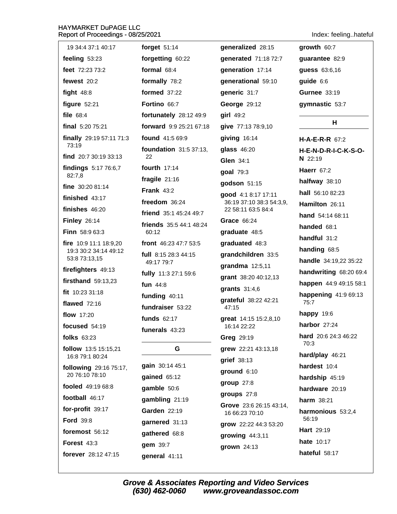# HAYMARKET DuPAGE LLC

Indev feeling hateful

| Report of Proceedings - 08/25/2021      |                                  |                                                | index: reelingnateru         |
|-----------------------------------------|----------------------------------|------------------------------------------------|------------------------------|
| 19 34:4 37:1 40:17                      | forget $51:14$                   | generalized 28:15                              | growth 60:7                  |
| feeling 53:23                           | forgetting 60:22                 | generated 71:18 72:7                           | guarantee 82:9               |
| feet 72:23 73:2                         | formal $68:4$                    | generation 17:14                               | guess 63:6,16                |
| fewest 20:2                             | formally 78:2                    | generational 59:10                             | guide 6:6                    |
| fight $48:8$                            | <b>formed</b> 37:22              | generic 31:7                                   | <b>Gurnee 33:19</b>          |
| figure $52:21$                          | Fortino 66:7                     | George 29:12                                   | gymnastic 53:7               |
| file 68:4                               | fortunately 28:12 49:9           | girl 49:2                                      |                              |
| final $5:2075:21$                       | forward 9:9 25:21 67:18          | give 77:13 78:9,10                             | H                            |
| finally 29:19 57:11 71:3                | found 41:5 69:9                  | giving 16:14                                   | $H-A-E-R-R$ 67:2             |
| 73:19                                   | <b>foundation</b> 31:5 37:13,    | glass 46:20                                    | <b>H-E-N-D-R-I-C-K-S-O-</b>  |
| find 20:7 30:19 33:13                   | 22                               | <b>Glen 34:1</b>                               | $N$ 22:19                    |
| findings 5:17 76:6,7<br>82:7,8          | fourth 17:14                     | goal 79:3                                      | Haerr $67:2$                 |
| fine 30:20 81:14                        | fragile $21:16$                  | godson 51:15                                   | halfway $38:10$              |
| finished $43:17$                        | Frank $43:2$                     | good 4:1 8:17 17:11                            | hall 56:10 82:23             |
| finishes $46:20$                        | freedom 36:24                    | 36:19 37:10 38:3 54:3,9,<br>22 58:11 63:5 84:4 | Hamilton 26:11               |
| <b>Finley 26:14</b>                     | friend 35:1 45:24 49:7           | Grace 66:24                                    | hand 54:14 68:11             |
| Finn 58:9 63:3                          | friends 35:5 44:1 48:24<br>60:12 | graduate 48:5                                  | handed 68:1                  |
| fire 10:9 11:1 18:9,20                  | front 46:23 47:7 53:5            | graduated 48:3                                 | handful 31:2                 |
| 19:3 30:2 34:14 49:12                   | full 8:15 28:3 44:15             | grandchildren 33:5                             | handing 68:5                 |
| 53:8 73:13,15                           | 49:17 79:7                       | grandma 12:5,11                                | handle 34:19,22 35:22        |
| firefighters 49:13                      | fully 11:3 27:1 59:6             | grant 38:20 40:12,13                           | handwriting 68:20 69:4       |
| firsthand $59:13,23$                    | fun 44:8                         | grants $31:4,6$                                | happen 44:9 49:15 58:1       |
| fit 10:23 31:18                         | funding 40:11                    | grateful 38:22 42:21                           | happening 41:9 69:13         |
| flawed $72:16$                          | fundraiser 53:22                 | 47:15                                          | 75:7                         |
| flow 17:20                              | <b>funds</b> 62:17               | great 14:15 15:2,8,10                          | <b>happy</b> 19:6            |
| focused 54:19                           | funerals 43:23                   | 16:14 22:22                                    | harbor 27:24                 |
| folks 63:23                             |                                  | Greg 29:19                                     | hard 20:6 24:3 46:22<br>70:3 |
| follow 13:5 15:15,21<br>16:8 79:1 80:24 | G                                | grew 22:21 43:13,18                            | hard/play 46:21              |
| following 29:16 75:17,                  | gain 30:14 45:1                  | grief 38:13                                    | hardest 10:4                 |
| 20 76:10 78:10                          | gained 65:12                     | ground 6:10                                    | hardship 45:19               |
| fooled 49:19 68:8                       | gamble 50:6                      | group $27:8$                                   | hardware 20:19               |
| football 46:17                          | gambling 21:19                   | groups $27:8$                                  | <b>harm</b> 38:21            |
| for-profit 39:17                        | <b>Garden</b> 22:19              | Grove 23:6 26:15 43:14,<br>16 66:23 70:10      | harmonious 53:2,4            |
| <b>Ford 39:8</b>                        | garnered 31:13                   | grow 22:22 44:3 53:20                          | 56:19                        |
| foremost 56:12                          | gathered 68:8                    | growing $44:3,11$                              | <b>Hart</b> 29:19            |
| Forest 43:3                             | gem 39:7                         | grown 24:13                                    | <b>hate</b> 10:17            |
| forever 28:12 47:15                     | $n$ eneral $41.11$               |                                                | hateful 58:17                |

general 41:11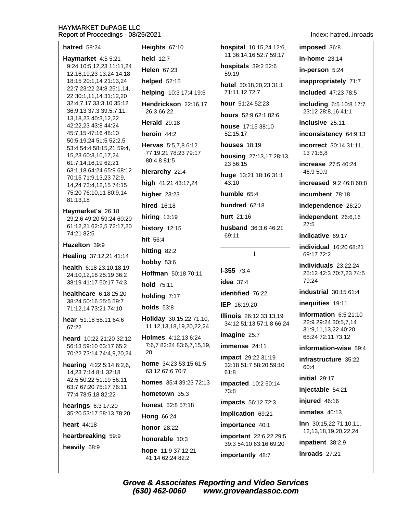| <b>hatred</b> 58:24                                                                              | Heights 67:10                                              |
|--------------------------------------------------------------------------------------------------|------------------------------------------------------------|
| Haymarket 4:5 5:21                                                                               | <b>held</b> 12:7                                           |
| 9:24 10:5,12,23 11:11,24<br>12:16,19,23 13:24 14:18                                              | Helen $67:23$                                              |
| 18:15 20:1,14 21:13,24                                                                           | helped 52:15                                               |
| 22:7 23:22 24:8 25:1,14,<br>22 30:1,11,14 31:12,20                                               | helping 10:3 17:4 19:6                                     |
| 32:4,7,17 33:3,10 35:12<br>36:9,13 37:3 39:5,7,11,                                               | Hendrickson 22:16,17<br>26:3 66:22                         |
| 13, 18, 23 40: 3, 12, 22<br>42:22,23 43:8 44:24                                                  | <b>Herald</b> 29:18                                        |
| 45:7,15 47:16 48:10                                                                              | heroin 44:2                                                |
| 50:5,19,24 51:5 52:2,5<br>53:4 54:4 58:15,21 59:4,<br>15,23 60:3,10,17,24<br>61:7,14,16,19 62:21 | Hervas 5:5,7,8 6:12<br>77:19,21 78:23 79:17<br>80:4,8 81:5 |
| 63:1,18 64:24 65:9 68:12<br>70:15 71:9,13,23 72:9,                                               | hierarchy 22:4                                             |
| 14,24 73:4,12,15 74:15                                                                           | high 41:21 43:17,24                                        |
| 75:20 76:10,11 80:9,14<br>81:13,18                                                               | higher 23:23                                               |
| Haymarket's 26:18                                                                                | <b>hired</b> 16:18                                         |
| 29:2,6 49:20 59:24 60:20                                                                         | <b>hiring 13:19</b>                                        |
| 61:12,21 62:2,5 72:17,20<br>74:21 82:5                                                           | history 12:15                                              |
| Hazelton 39:9                                                                                    | hit 56:4                                                   |
| Healing 37:12,21 41:14                                                                           | hitting 82:2                                               |
|                                                                                                  | <b>hobby 53:6</b>                                          |
| <b>health</b> $6:182:3:10,18,19$<br>24:10,12,18 25:19 36:2                                       | <b>Hoffman</b> 50:18 70:11                                 |
| 38:19 41:17 50:17 74:3                                                                           | hold 75:11                                                 |
| healthcare 6:18 25:20<br>38:24 50:16 55:5 59:7                                                   | holding 7:17                                               |
| 71:12,14 73:21 74:10                                                                             | holds 53:8                                                 |
| hear 51:18 58:11 64:6<br>67:22                                                                   | Holiday 30:15,22 71:10,<br>11, 12, 13, 18, 19, 20, 22, 24  |
| heard 10:22 21:20 32:12<br>56:13 59:10 63:17 65:2<br>70:22 73:14 74:4,9,20,24                    | Holmes 4:12,13 6:24<br>7:6,7 82:24 83:6,7,15,19,<br>20     |
| <b>hearing</b> $4:225:146:2,6$ ,<br>14,23 7:14 8:1 32:18                                         | <b>home</b> $34:235:3:1561:5$<br>63:12 67:6 70:7           |
| 42:5 50:22 51:19 56:11<br>63:7 67:20 75:17 76:11                                                 | <b>homes</b> $35:439:2372:13$                              |
| 77:4 78:5,18 82:22                                                                               | hometown 35:3                                              |
| hearings 6:3 17:20                                                                               | <b>honest</b> 52:8 57:18                                   |
| 35:20 53:17 58:13 78:20                                                                          | <b>Hong 66:24</b>                                          |
| heart $44:18$                                                                                    | <b>honor</b> 28:22                                         |
| heartbreaking 59:9                                                                               | honorable 10:3                                             |
| heavily 68:9                                                                                     | hope 11:9 37:12,21<br>41:14 62:24 82:2                     |

hospital 10:15,24 12:6, 11 36:14.16 52:7 59:17

hospitals 39:2 52:6 59:19

hotel 30:18,20,23 31:1 71:11,12 72:7

hour 51:24 52:23

hours 52:9 62:1 82:6

house 17:15 38:10 52:15.17

**houses** 18:19

housing 27:13,17 28:13, 23 56:15

huge 13:21 18:16 31:1 43:10

humble 65:4

hundred 62:18

hurt 21:16

husband 36:3,6 46:21 69:11

 $\mathbf{I}$ 

# **I-355 73:4**

idea  $37:4$ 

identified 76:22

IEP 16:19.20

**Illinois** 26:12 33:13,19 34:12 51:13 57:1,8 66:24

imagine 25:7

immense 24:11

impact 29:22 31:19 32:18 51:7 58:20 59:10  $61:8$ 

impacted 10:2 50:14 73:8

impacts 56:12 72:3

implication 69:21

importance 40:1

important 22:6,22 29:5 39:3 54:10 63:16 69:20

importantly 48:7

### Index: hatred..inroads

imposed 36:8 in-home  $23:14$ 

in-person 5:24

inappropriately 71:7

included 47:23 78:5

including 6:5 10:8 17:7 23:12 28:8,16 41:1

inclusive 25:11

inconsistency 64:9,13

incorrect 30:14 31:11. 13 71:6,8

increase 27:5 40:24 46:9 50:9

increased 9:2 46:8 60:8

incumbent 78:18

independence 26:20

independent 26:6,16  $27:5$ 

indicative 69:17

individual 16:20 68:21 69:17 72:2

individuals 23:22.24 25:12 42:3 70:7,23 74:5 79:24

**industrial** 30:15 61:4

inequities 19:11

information  $6:521:10$ 22:9 29:24 30:5,7,14 31:9,11,13,22 40:20 68:24 72:11 73:12

information-wise 59:4

infrastructure 35:22 60:4

initial 29:17

injectable 54:21

injured 46:16

inmates  $40:13$ 

Inn 30:15,22 71:10,11, 12, 13, 18, 19, 20, 22, 24

inpatient 38:2,9

inroads 27:21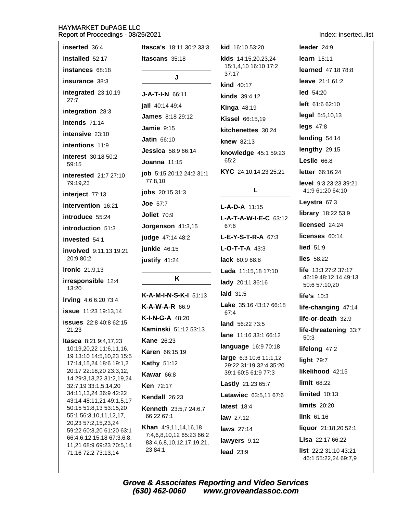Index: inserted..list

| inserted 36:4                                                           | <b>Itasca's</b> 18:11 30:2 33:3                         | kid 16:10 53:20                | leader 24:9                                         |
|-------------------------------------------------------------------------|---------------------------------------------------------|--------------------------------|-----------------------------------------------------|
| installed 52:17                                                         | Itascans 35:18                                          | kids 14:15,20,23,24            | learn $15:11$                                       |
| instances 68:18                                                         |                                                         | 15:1,4,10 16:10 17:2<br>37:17  | <b>learned</b> 47:18 78:8                           |
| insurance 38:3                                                          | J                                                       | <b>kind</b> 40:17              | leave 21:1 61:2                                     |
| integrated 23:10,19                                                     | $J-A-T-I-N$ 66:11                                       | <b>kinds</b> 39:4,12           | $led$ 54:20                                         |
| 27:7                                                                    | jail 40:14 49:4                                         | <b>Kinga 48:19</b>             | <b>left</b> 61:6 62:10                              |
| integration 28:3                                                        | <b>James</b> 8:18 29:12                                 | <b>Kissel 66:15,19</b>         | legal 5:5,10,13                                     |
| intends 71:14                                                           | Jamie $9:15$                                            | kitchenettes 30:24             | $legs$ 47:8                                         |
| intensive 23:10                                                         | <b>Jatin 66:10</b>                                      | knew 82:13                     | lending 54:14                                       |
| intentions 11:9                                                         | <b>Jessica</b> 58:9 66:14                               | knowledge 45:1 59:23           | lengthy 29:15                                       |
| interest 30:18 50:2<br>59:15                                            | Joanna $11:15$                                          | 65:2                           | Leslie 66:8                                         |
| <b>interested</b> 21:7 27:10                                            | job 5:15 20:12 24:2 31:1                                | KYC 24:10,14,23 25:21          | letter 66:16,24                                     |
| 79:19,23                                                                | 77:8,10                                                 |                                | level 9:3 23:23 39:21                               |
| interject 77:13                                                         | <b>jobs</b> 20:15 31:3                                  | L                              | 41:9 61:20 64:10                                    |
| intervention 16:21                                                      | Joe $57:7$                                              | $L-A-D-A$ 11:15                | Leystra 67:3                                        |
| introduce 55:24                                                         | Joliet 70:9                                             | $L-A-T-A-W-I-E-C$ 63:12        | library 18:22 53:9                                  |
| introduction 51:3                                                       | Jorgenson 41:3,15                                       | 67:6                           | licensed 24:24                                      |
| invested 54:1                                                           | judge 47:14 48:2                                        | $L-E-Y-S-T-R-A$ 67:3           | licenses 60:14                                      |
| involved 9:11,13 19:21                                                  | junkie 46:15                                            | $L-O-T-T-A$ 43:3               | <b>lied</b> 51:9                                    |
| 20:9 80:2                                                               | justify 41:24                                           | lack 60:9 68:8                 | lies $58:22$                                        |
| <b>ironic</b> 21:9,13                                                   | K                                                       | Lada 11:15,18 17:10            | <b>life</b> $13:327:237:17$<br>46:19 48:12,14 49:13 |
| irresponsible 12:4<br>13:20                                             |                                                         | lady 20:11 36:16               | 50:6 57:10,20                                       |
| Irving 4:6 6:20 73:4                                                    | K-A-M-I-N-S-K-I 51:13                                   | laid $31:5$                    | life's 10:3                                         |
| <b>issue</b> 11:23 19:13,14                                             | $K-A-W-A-R$ 66:9                                        | Lake 35:16 43:17 66:18<br>67:4 | life-changing 47:14                                 |
| <b>issues</b> 22:8 40:8 62:15,                                          | <b>K-I-N-G-A 48:20</b>                                  | land 56:22 73:5                | life-or-death 32:9                                  |
| 21,23                                                                   | Kaminski 51:12 53:13                                    | lane 11:16 33:1 66:12          | life-threatening 33:7                               |
| <b>Itasca</b> 8:21 9:4,17,23                                            | <b>Kane 26:23</b>                                       | language 16:9 70:18            | 50:3                                                |
| 10:19,20,22 11:6,11,16,<br>19 13:10 14:5,10,23 15:5                     | Karen 66:15,19                                          | large 6:3 10:6 11:1,12         | lifelong 47:2                                       |
| 17:14,15,24 18:6 19:1,2                                                 | <b>Kathy 51:12</b>                                      | 29:22 31:19 32:4 35:20         | light $79:7$                                        |
| 20:17 22:18,20 23:3,12,<br>14 29:3,13,22 31:2,19,24                     | Kawar 66:8                                              | 39:1 60:5 61:9 77:3            | likelihood 42:15                                    |
| 32:7,19 33:1,5,14,20                                                    | <b>Ken 72:17</b>                                        | Lastly 21:23 65:7              | limit 68:22                                         |
| 34:11,13,24 36:9 42:22<br>43:14 48:11,21 49:1,5,17                      | Kendall 26:23                                           | Latawiec 63:5,11 67:6          | limited 10:13                                       |
| 50:15 51:8,13 53:15,20<br>55:1 56:3,10,11,12,17,<br>20,23 57:2,15,23,24 | Kenneth 23:5,7 24:6,7                                   | latest 18:4                    | <b>limits</b> 20:20                                 |
|                                                                         | 66:22 67:1                                              | law $27:12$                    | link 61:16                                          |
| 59:22 60:3,20 61:20 63:1                                                | <b>Khan</b> 4:9,11,14,16,18<br>7:4,6,8,10,12 65:23 66:2 | laws 27:14                     | liquor 21:18,20 52:1                                |
| 66:4,6,12,15,18 67:3,6,8,<br>11,21 68:9 69:23 70:5,14                   | 83:4,6,8,10,12,17,19,21,                                | lawyers 9:12                   | Lisa 22:17 66:22                                    |
| 71:16 72:2 73:13,14                                                     | 23 84:1                                                 | <b>lead</b> 23:9               | list 22:2 31:10 43:21                               |

2:2 31:10 43:21  $IIST$ 46:1 55:22,24 69:7,9

Grove & Associates Reporting and Video Services<br>(630) 462-0060 www.groveandassoc.com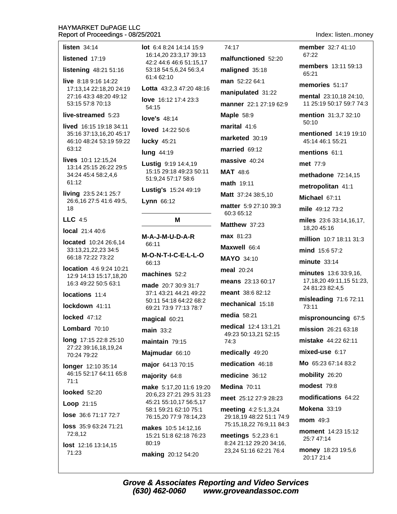### listen  $34:14$

listened 17:19

listening 48:21 51:16

live 8:18 9:16 14:22 17:13.14 22:18.20 24:19 27:16 43:3 48:20 49:12 53:15 57:8 70:13

### live-streamed 5:23

lived 16:15 19:18 34:11 35:16 37:13.16.20 45:17 46:10 48:24 53:19 59:22 63:12

lives 10:1 12:15.24 13:14 25:15 26:22 29:5 34:24 45:4 58:2,4,6 61:12

living 23:5 24:1 25:7 26:6,16 27:5 41:6 49:5, 18

 $LLC$  4:5

**local** 21:4 40:6

located 10:24 26:6.14 33:13,21,22,23 34:5 66:18 72:22 73:22

location 4:6 9:24 10:21 12:9 14:13 15:17,18,20 16:3 49:22 50:5 63:1

locations 11:4

lockdown 41:11

locked 47:12

Lombard 70:10

long 17:15 22:8 25:10 27:22 39:16,18,19,24 70:24 79:22

**longer** 12:10 35:14 46:15 52:17 64:11 65:8  $71.1$ 

### looked 52:20

**Loop**  $21:15$ 

lose 36:6 71:17 72:7

loss 35:9 63:24 71:21 72:8,12

lost 12:16 13:14,15 71:23

lot 6:4 8:24 14:14 15:9 16:14.20 23:3.17 39:13 42:2 44:6 46:6 51:15,17 53:18 54:5,6,24 56:3,4 61:4 62:10

Lotta 43:2,3 47:20 48:16

love 16:12 17:4 23:3 54:15

love's 48:14

loved 14:22 50:6

**lucky** 45:21

**lung 44:19** 

Lustig 9:19 14:4,19 15:15 29:18 49:23 50:11 51:9,24 57:17 58:6

Lustig's 15:24 49:19

Lynn 66:12

M

M-A-J-M-U-D-A-R 66:11 M-O-N-T-I-C-E-L-L-O

66:13

machines 52:2

made 20:7 30:9 31:7 37:1 43:21 44:21 49:22 50:11 54:18 64:22 68:2 69:21 73:9 77:13 78:7

magical 60:21

main  $33.2$ 

maintain  $79:15$ 

Majmudar 66:10

major 64:13 70:15

majority 64:8

make 5:17.20 11:6 19:20 20:6.23 27:21 29:5 31:23 45:21 55:10,17 56:5,17 58:1 59:21 62:10 75:1 76:15,20 77:9 78:14,23

makes 10:5 14:12,16 15:21 51:8 62:18 76:23 80:19 making 20:12 54:20

74:17 malfunctioned 52:20 maligned 35:18 man 52:22 64:1 manipulated 31:22 manner 22:1 27:19 62:9 **Maple 58:9** marital 41:6 marketed 30:19 married 69:12 massive 40:24 MAT 48:6 math 19:11 Matt 37:24 38:5.10 matter 5:9 27:10 39:3 60:3 65:12 Matthew 37:23 max 81:23 Maxwell 66:4 **MAYO 34:10** meal 20:24 means 23:13 60:17 meant 38:6 82:12 mechanical 15:18 media  $58:21$ medical 12:4 13:1.21 49:23 50:13.21 52:15  $74:3$ medically 49:20 medication 46:18 medicine 36:12 Medina 70:11 meet 25:12.27:9.28:23

meeting 4:2 5:1,3,24 29:18,19 48:22 51:1 74:9 75:15,18,22 76:9,11 84:3

meetings 5:2,23 6:1 8:24 21:12 29:20 34:16, 23,24 51:16 62:21 76:4

Index: listen..monev

member 32:7 41:10 67:22

members 13:11.59:13 65:21

memories 51:17

mental 23:10.18 24:10. 11 25:19 50:17 59:7 74:3

mention 31:3.7 32:10  $50:10$ 

mentioned 14:19 19:10 45:14 46:1 55:21

mentions 61:1

met 77:9

methadone  $72:14.15$ 

metropolitan 41:1

Michael 67:11

mile 49:12 73:2

miles 23:6 33:14,16,17, 18,20 45:16

million 10:7 18:11 31:3

mind 15:6 57:2

 $minute$  33:14

minutes 13:6 33:9,16, 17, 18, 20 49: 11, 15 51: 23, 24 81:23 82:4.5

misleading 71:6 72:11 73:11

mispronouncing 67:5

mission 26:21 63:18

mistake 44:22 62:11

mixed-use 6:17

Mo 65:23 67:14 83:2

mobility 26:20

modest 79:8

modifications 64:22

Mokena 33:19

mom 49:3

moment 14:23 15:12 25:7 47:14

money 18:23 19:5,6 20:17 21:4

**Grove & Associates Reporting and Video Services** (630) 462-0060 www.groveandassoc.com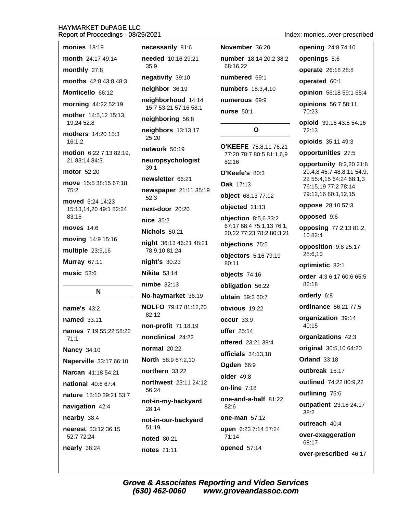| monies $18:19$                             | necessarily 81:6                          |
|--------------------------------------------|-------------------------------------------|
| month 24:17 49:14                          | needed 10:16 29:21                        |
| monthly 27:8                               | 35:9                                      |
| months 42:8 43:8 48:3                      | negativity 39:10                          |
| Monticello 66:12                           | neighbor 36:19                            |
| morning 44:22 52:19                        | neighborhood 14:1<br>15:7 53:21 57:16 58: |
| mother 14:5,12 15:13,<br>19,24 52:8        | neighboring 56:8                          |
| mothers 14:20 15:3<br>16:1,2               | neighbors 13:13,17<br>25:20               |
| motion 6:22 7:13 82:19,                    | network 50:19                             |
| 21 83:14 84:3                              | neuropsychologist<br>39:1                 |
| <b>motor</b> 52:20                         | newsletter 66:21                          |
| move 15:5 38:15 67:18<br>75:2              | newspaper 21:11 3<br>52:3                 |
| moved 6:24 14:23<br>15:13,14,20 49:1 82:24 | next-door 20:20                           |
| 83:15                                      | $nice$ 35:2                               |
| moves $14:6$                               | Nichols 50:21                             |
| moving 14:9 15:16                          | night 36:13 46:21 48                      |
| multiple 23:9,16                           | 78:9,10 81:24                             |
| Murray 67:11                               | night's 30:23                             |
| music 53:6                                 | <b>Nikita 53:14</b>                       |
|                                            | nimbe 32:13                               |
| N                                          | No-haymarket 36:1                         |
| name's 43:2                                | NOLFO 79:17 81:12<br>82:12                |
| named 33:11                                | non-profit 71:18,19                       |
| <b>names</b> 7:19 55:22 58:22<br>71:1      | nonclinical 24:22                         |
| <b>Nancy 34:10</b>                         | <b>normal</b> 20:22                       |
| Naperville 33:17 66:10                     | <b>North 58:9 67:2,10</b>                 |
| Narcan 41:18 54:21                         | northern 33:22                            |
| national 40:6 67:4                         | <b>northwest</b> 23:11 24                 |
| nature 15:10 39:21 53:7                    | 56:24                                     |
| navigation 42:4                            | not-in-my-backyard<br>28:14               |
| nearby 38:4                                |                                           |
|                                            | not-in-our-backyar                        |
| nearest 33:12 36:15                        | 51:19                                     |
| 52:7 72:24<br>nearly 38:24                 | noted 80:21<br>notes 21:11                |

 $/39:10$ numbered 69:1 36:19 numbers 18:3,4,10 hood 14:14 numerous 69:9 1 57:16 58:1 nurse 50:1 ing 56:8  $$13:13,17$ O'KEEFE 75:8,11 76:21 50:19 77:20 78:7 80:5 81:1,6,9 chologist 82:16 O'Keefe's 80:3  $r 66:21$ Oak 17:13 er 21:11 35:19 object 68:13 77:12 objected 21:13  $120:20$ objection 8:5,6 33:2 67:17 68:4 75:1,13 76:1  $50:21$ 20,22 77:23 78:2 80:3,2 3 46:21 48:21 objections 75:5  $1:24$ objectors 5:16 79:19  $0:23$ 80:11  $14$ objects 74:16  $2:13$ obligation 56:22 arket 36:19 obtain 59:3 60:7 9:17 81:12,20 obvious 19:22 occur 33:9  $t$  71:18.19 offer 25:14 al 24:22 offered 23:21 39:4  $0:22$ officials 34:13,18 9 67:2,10 Ogden 66:9 33:22 older 49:8  $t$  23:11 24:12 on-line  $7:18$ one-and-a-half 81:22 -backyard 82:6 one-man 57:12 r-backyard open 6:23 7:14 57:24 71:14  $21$ opened 57:14  $:11$ 

Index: monies..over-prescribed

|                                                                   | ILIUEX. THUHIESUVEI-PIESUIIDE                                                                                                 |
|-------------------------------------------------------------------|-------------------------------------------------------------------------------------------------------------------------------|
| November 36:20                                                    | opening 24:8 74:10                                                                                                            |
| number 18:14 20:2 38:2                                            | openings 5:6                                                                                                                  |
| 68:16,22                                                          | operate 26:18 28:8                                                                                                            |
| numbered 69:1                                                     | operated 60:1                                                                                                                 |
| <b>numbers</b> 18:3,4,10                                          | opinion 56:18 59:1 65:4                                                                                                       |
| numerous 69:9                                                     | opinions 56:7 58:11                                                                                                           |
| <b>nurse</b> 50:1                                                 | 70:23                                                                                                                         |
| Ο                                                                 | opioid 39:16 43:5 54:16<br>72:13                                                                                              |
| O'KEEFE 75:8,11 76:21                                             | opioids 35:11 49:3                                                                                                            |
| 77:20 78:7 80:5 81:1,6,9                                          | opportunities 27:5                                                                                                            |
| 82:16<br>O'Keefe's 80:3<br><b>Oak 17:13</b><br>object 68:13 77:12 | opportunity 8:2,20 21:8<br>29:4,8 45:7 48:8,11 54:9,<br>22 55:4,15 64:24 68:1,3<br>76:15,19 77:2 78:14<br>79:12,16 80:1,12,15 |
| objected 21:13                                                    | oppose 28:10 57:3                                                                                                             |
| objection 8:5,6 33:2                                              | opposed 9:6                                                                                                                   |
| 67:17 68:4 75:1,13 76:1,<br>20,22 77:23 78:2 80:3,21              | opposing 77:2,13 81:2,<br>10 82:4                                                                                             |
| objections 75:5                                                   | opposition 9:8 25:17                                                                                                          |
| objectors 5:16 79:19                                              | 28:6,10                                                                                                                       |
| 80:11                                                             | optimistic 82:1                                                                                                               |
| objects 74:16                                                     | order 4:3 6:17 60:6 65:5<br>82:18                                                                                             |
| obligation 56:22                                                  | orderly 6:8                                                                                                                   |
| obtain 59:3 60:7                                                  |                                                                                                                               |
| obvious 19:22                                                     | ordinance 56:21 77:5                                                                                                          |
| occur 33:9                                                        | organization 39:14<br>40:15                                                                                                   |
| offer 25:14                                                       | organizations 42:3                                                                                                            |
| offered 23:21 39:4                                                | original 30:5,10 64:20                                                                                                        |
| officials 34:13,18                                                | <b>Orland 33:18</b>                                                                                                           |
| Ogden 66:9                                                        | outbreak 15:17                                                                                                                |
| older 49:8                                                        | outlined 74:22 80:9,22                                                                                                        |
| on-line 7:18                                                      | outlining 75:6                                                                                                                |
| one-and-a-half 81:22<br>82:6                                      | outpatient 23:18 24:17<br>38:2                                                                                                |
| <b>one-man</b> 57:12                                              | outreach 40:4                                                                                                                 |
| open 6:23 7:14 57:24                                              |                                                                                                                               |
| 71:14                                                             | over-exaggeration<br>68:17                                                                                                    |

over-prescribed 46:17

**Grove & Associates Reporting and Video Services**  $(630)$  462-0060 www.groveandassoc.com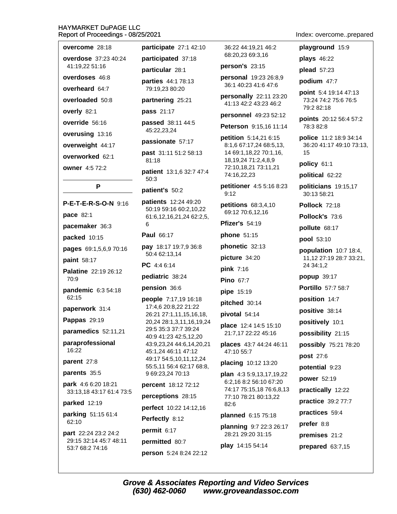| overcome 28:18                                |
|-----------------------------------------------|
| <b>overdose</b> 37:23 40:24<br>41:19,22 51:16 |
| <b>overdoses</b> 46:8                         |
| overheard 64:7                                |
| overloaded 50:8                               |
| overly 82:1                                   |
| override 56:16                                |
| <b>overusing 13:16</b>                        |
| overweight 44:17                              |
| overworked 62:1                               |
| owner 4:5 72:2                                |

P

P-E-T-E-R-S-O-N 9:16

pace 82:1

pacemaker 36:3

packed 10:15

pages 69:1,5,6,9 70:16

paint 58:17

Palatine 22:19 26:12 70:9

pandemic 6:3 54:18 62:15

paperwork 31:4

**Pappas 29:19** 

paramedics 52:11,21

paraprofessional 16:22

parent 27:8

parents 35:5

park 4:6 6:20 18:21 33:13,18 43:17 61:4 73:5

### parked 12:19

parking 51:15 61:4 62:10

part 22:24 23:2 24:2 29:15 32:14 45:7 48:11 53:7 68:2 74:16

participate 27:1 42:10 participated 37:18 particular 28:1

parties 44:1 78:13 79:19,23 80:20

partnering 25:21

pass 21:17

passed 38:11 44:5 45:22.23.24

passionate 57:17

past 31:11 51:2 58:13 81:18

patient 13:1,6 32:7 47:4  $50:3$ 

patient's 50:2

patients 12:24 49:20 50:19 59:16 60:2.10.22 61:6,12,16,21,24 62:2,5, 6

Paul 66:17

pay 18:17 19:7,9 36:8 50:4 62:13,14

PC 4:4 6:14

pediatric 38:24

pension 36:6

people 7:17,19 16:18 17:4,6 20:8,22 21:22 26:21 27:1,11,15,16,18, 20,24 28:1,3,11,16,19,24 29:5 35:3 37:7 39:24 40:9 41:23 42:5,12,20 43:9,23,24 44:6,14,20,21 45:1.24 46:11 47:12 49:17 54:5,10,11,12,24 55:5,11 56:4 62:17 68:8, 9 69:23,24 70:13

percent 18:12 72:12

perceptions 28:15 perfect 10:22 14:12,16

Perfectly 8:12

permit 6:17

permitted 80:7 person 5:24 8:24 22:12 36:22 44:19,21 46:2 68:20,23 69:3,16

person's  $23:15$ 

personal 19:23 26:8,9 36:1 40:23 41:6 47:6

personally 22:11 23:20 41:13 42:2 43:23 46:2

personnel 49:23 52:12

Peterson 9:15,16 11:14

petition 5:14,21 6:15 8:1,6 67:17,24 68:5,13, 14 69:1,18,22 70:1,16, 18, 19, 24 71: 2, 4, 8, 9 72:10,18,21 73:11,21 74:16,22,23

petitioner 4:5 5:16 8:23  $9:12$ 

petitions 68:3,4,10 69:12 70:6,12,16

**Pfizer's 54:19** 

phone 51:15

phonetic 32:13

picture 34:20

 $pink 7:16$ 

Pino 67:7

pipe 15:19

pitched 30:14

pivotal 54:14

place 12:4 14:5 15:10 21:7,17 22:22 45:16

places 43:7 44:24 46:11 47:10 55:7

placing 10:12 13:20

**plan**  $4:35:9,13,17,19,22$ 6:2,16 8:2 56:10 67:20 74:17 75:15,18 76:6,8,13 77:10 78:21 80:13,22  $82:6$ 

planned 6:15 75:18

planning 9:7 22:3 26:17 28:21 29:20 31:15 play 14:15 54:14

Index: overcome..prepared

playground 15:9

plays 46:22

plead 57:23

podium 47:7

point 5:4 19:14 47:13 73:24 74:2 75:6 76:5 79:2 82:18

points 20:12 56:4 57:2 78:3 82:8

police 11:2 18:9 34:14 36:20 41:17 49:10 73:13, 15

policy 61:1

political 62:22

politicians 19:15,17 30:13 58:21

Pollock 72:18

Pollock's 73.6

pollute 68:17

pool 53:10

population 10:7 18:4, 11,12 27:19 28:7 33:21, 24 34:1,2

popup 39:17

**Portillo** 57:7 58:7

position 14:7

positive 38:14

positively 10:1

possibility 21:15

possibly 75:21 78:20

post 27:6

potential 9:23

power 52:19

practically 12:22

practice 39:2 77:7

practices 59:4

prefer 8:8

premises 21:2

prepared 63:7,15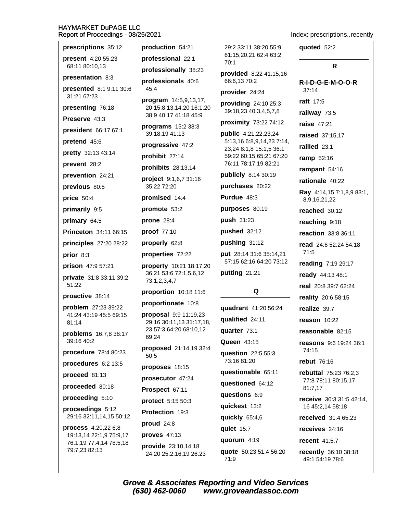| prescriptions 35:12                           | production 54:21                                  | 29:2 33:11 38:20 55:9                                | quoted 52:2                                  |
|-----------------------------------------------|---------------------------------------------------|------------------------------------------------------|----------------------------------------------|
| present 4:20 55:23                            | professional 22:1                                 | 61:15,20,21 62:4 63:2<br>70:1                        |                                              |
| 68:11 80:10,13                                | professionally 38:23                              | provided 8:22 41:15,16                               | R                                            |
| presentation 8:3<br>presented 8:1 9:11 30:6   | professionals 40:6<br>45:4                        | 66:6,13 70:2<br>provider 24:24                       | R-I-D-G-E-M-O-O-R<br>37:14                   |
| 31:21 67:23                                   | program 14:5,9,13,17,                             | providing 24:10 25:3                                 | <b>raft</b> 17:5                             |
| presenting 76:18                              | 20 15:8,13,14,20 16:1,20<br>38:9 40:17 41:18 45:9 | 39:18,23 40:3,4,5,7,8                                | railway 73:5                                 |
| Preserve 43:3                                 | programs 15:2 38:3                                | proximity 73:22 74:12                                | <b>raise 47:21</b>                           |
| president 66:17 67:1                          | 39:18,19 41:13                                    | public 4:21,22,23,24                                 | raised 37:15,17                              |
| pretend 45:6                                  | progressive 47:2                                  | 5:13,16 6:8,9,14,23 7:14,<br>23,24 8:1,8 15:1,5 36:1 | rallied 23:1                                 |
| pretty 32:13 43:14                            | prohibit 27:14                                    | 59:22 60:15 65:21 67:20                              | ramp 52:16                                   |
| prevent 28:2                                  | prohibits 28:13,14                                | 76:11 78:17,19 82:21                                 | rampant 54:16                                |
| prevention 24:21                              | project 9:1,6,7 31:16                             | publicly 8:14 30:19                                  | rationale 40:22                              |
| previous 80:5                                 | 35:22 72:20                                       | purchases 20:22                                      | Ray 4:14,15 7:1,8,9 83:1,                    |
| price 50:4                                    | promised 14:4                                     | Purdue 48:3                                          | 8,9,16,21,22                                 |
| primarily 9:5                                 | promote 53:2                                      | purposes 80:19                                       | reached 30:12                                |
| primary 64:5                                  | prone $28:4$                                      | push 31:23                                           | reaching 9:18                                |
| Princeton 34:11 66:15                         | proof 77:10                                       | pushed 32:12                                         | reaction 33:8 36:11                          |
| principles 27:20 28:22                        | properly 62:8                                     | pushing 31:12                                        | read 24:6 52:24 54:18                        |
| prior 8:3                                     | properties 72:22                                  | put 28:14 31:6 35:14,21<br>57:15 62:16 64:20 73:12   | 71:5                                         |
| prison 47:9 57:21                             | property 10:21 18:17,20                           |                                                      | reading 7:19 29:17                           |
| private 31:8 33:11 39:2                       | 36:21 53:6 72:1,5,6,12<br>73:1,2,3,4,7            | putting 21:21                                        | ready 44:13 48:1                             |
| 51:22                                         | proportion 10:18 11:6                             | Q                                                    | real 20:8 39:7 62:24                         |
| proactive 38:14                               | proportionate 10:8                                |                                                      | reality 20:6 58:15                           |
| problem 27:23 39:22<br>41:24 43:19 45:5 69:15 | proposal 9:9 11:19,23                             | quadrant 41:20 56:24                                 | realize 39:7                                 |
| 81:14                                         | 29:16 30:11,13 31:17,18,                          | qualified 24:11                                      | reason $10:22$                               |
| problems 16:7,8 38:17                         | 23 57:3 64:20 68:10,12<br>69:24                   | quarter 73:1                                         | reasonable 82:15                             |
| 39:16 40:2                                    | proposed 21:14,19 32:4                            | <b>Queen 43:15</b>                                   | <b>reasons</b> 9:6 19:24 36:1<br>74:15       |
| procedure 78:4 80:23                          | 50:5                                              | question 22:5 55:3<br>73:16 81:20                    | <b>rebut</b> 76:16                           |
| procedures 6:2 13:5                           | proposes 18:15                                    | questionable 65:11                                   | rebuttal 75:23 76:2,3                        |
| proceed 81:13                                 | prosecutor 47:24                                  | questioned 64:12                                     | 77:8 78:11 80:15,17                          |
| proceeded 80:18                               | Prospect 67:11                                    | questions 6:9                                        | 81:7,17                                      |
| proceeding 5:10                               | protect 5:15 50:3                                 | quickest 13:2                                        | receive 30:3 31:5 42:14,<br>16 45:2,14 58:18 |
| proceedings 5:12<br>29:16 32:11,14,15 50:12   | Protection 19:3                                   | quickly 65:4,6                                       | received 31:4 65:23                          |
| process 4:20,22 6:8                           | proud 24:8                                        | quiet 15:7                                           | receives 24:16                               |
| 19:13,14 22:1,9 75:9,17                       | proves 47:13                                      | quorum 4:19                                          | recent 41:5,7                                |
| 76:1,19 77:4,14 78:5,18<br>79:7,23 82:13      | provide 23:10,14,18                               | quote 50:23 51:4 56:20                               | recently 36:10 38:18                         |
|                                               | 24:20 25:2,16,19 26:23                            | 71:9                                                 | 49:1 54:19 78:6                              |

Index: prescriptions..recently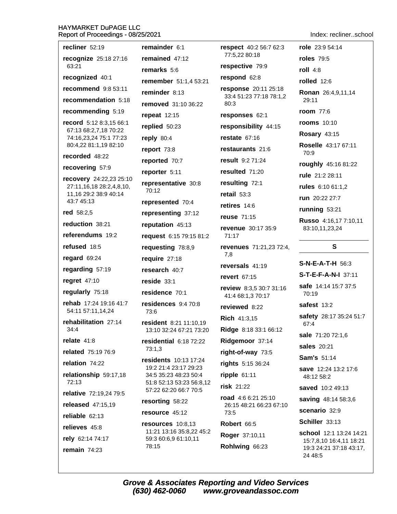Indev: recliner school

| Report of Proceedings - 08/25/2021                  |                                                   |                                                 | maex: reclinerscrioo                               |
|-----------------------------------------------------|---------------------------------------------------|-------------------------------------------------|----------------------------------------------------|
| recliner 52:19                                      | remainder 6:1                                     | <b>respect</b> 40:2 56:7 62:3                   | role 23:9 54:14                                    |
| recognize 25:18 27:16                               | remained 47:12                                    | 77:5,22 80:18                                   | <b>roles</b> 79:5                                  |
| 63:21                                               | remarks 5:6                                       | respective 79:9                                 | roll $4:8$                                         |
| recognized 40:1                                     | remember 51:1,4 53:21                             | respond 62:8                                    | rolled 12:6                                        |
| recommend 9:8 53:11                                 | reminder 8:13                                     | response 20:11 25:18<br>33:4 51:23 77:18 78:1,2 | Ronan 26:4,9,11,14                                 |
| recommendation 5:18                                 | removed 31:10 36:22                               | 80:3                                            | 29:11                                              |
| recommending 5:19                                   | repeat 12:15                                      | responses 62:1                                  | <b>room</b> 77:6                                   |
| record 5:12 8:3,15 66:1<br>67:13 68:2,7,18 70:22    | replied 50:23                                     | responsibility 44:15                            | <b>rooms</b> 10:10                                 |
| 74:16,23,24 75:1 77:23                              | reply 80:4                                        | restate $67:16$                                 | <b>Rosary 43:15</b>                                |
| 80:4,22 81:1,19 82:10                               | report 73:8                                       | restaurants 21:6                                | Roselle 43:17 67:11<br>70:9                        |
| recorded 48:22                                      | reported 70:7                                     | result 9:2 71:24                                | roughly 45:16 81:22                                |
| recovering 57:9                                     | reporter 5:11                                     | resulted 71:20                                  | rule 21:2 28:11                                    |
| recovery 24:22,23 25:10<br>27:11,16,18 28:2,4,8,10, | representative 30:8                               | resulting 72:1                                  | rules 6:10 61:1,2                                  |
| 11,16 29:2 38:9 40:14                               | 70:12                                             | retail $53:3$                                   | run 20:22 27:7                                     |
| 43:7 45:13                                          | represented 70:4                                  | retires 14:6                                    | running 53:21                                      |
| red 58:2,5                                          | representing 37:12                                | reuse 71:15                                     | Russo 4:16,17 7:10,11                              |
| reduction 38:21                                     | reputation 45:13                                  | revenue 30:17 35:9                              | 83:10,11,23,24                                     |
| referendums 19:2                                    | request 6:15 79:15 81:2                           | 71:17                                           |                                                    |
| refused 18:5                                        | requesting 78:8,9                                 | <b>revenues</b> 71:21,23 72:4,<br>7,8           | S                                                  |
| regard 69:24                                        | require 27:18                                     | reversals 41:19                                 | <b>S-N-E-A-T-H</b> 56:3                            |
| regarding 57:19                                     | research 40:7                                     | revert 67:15                                    | S-T-E-F-A-N-I 37:11                                |
| regret 47:10                                        | reside 33:1                                       | review 8:3,5 30:7 31:16                         | safe 14:14 15:7 37:5                               |
| regularly 75:18                                     | residence 70:1                                    | 41:4 68:1,3 70:17                               | 70:19                                              |
| rehab 17:24 19:16 41:7<br>54:11 57:11,14,24         | residences 9:4 70:8<br>73:6                       | reviewed 8:22                                   | safest 13:2                                        |
| rehabilitation 27:14                                | resident 8:21 11:10,19                            | <b>Rich 41:3,15</b>                             | safety 28:17 35:24 51:7<br>67:4                    |
| 34:4                                                | 13:10 32:24 67:21 73:20                           | Ridge 8:18 33:1 66:12                           | sale 71:20 72:1,6                                  |
| relate $41:8$                                       | residential 6:18 72:22                            | Ridgemoor 37:14                                 | sales 20:21                                        |
| related 75:19 76:9                                  | 73:1,3                                            | right-of-way 73:5                               | <b>Sam's 51:14</b>                                 |
| relation 74:22                                      | residents 10:13 17:24<br>19:2 21:4 23:17 29:23    | rights 5:15 36:24                               |                                                    |
| relationship 59:17,18<br>72:13                      | 34:5 35:23 48:23 50:4<br>51:8 52:13 53:23 56:8,12 | ripple $61:11$                                  | save 12:24 13:2 17:6<br>48:12 58:2                 |
| relative 72:19,24 79:5                              | 57:22 62:20 66:7 70:5                             | risk 21:22                                      | saved 10:2 49:13                                   |
| released 47:15,19                                   | resorting 58:22                                   | road $4:66:2125:10$<br>26:15 48:21 66:23 67:10  | saving 48:14 58:3,6                                |
| reliable 62:13                                      | resource 45:12                                    | 73:5                                            | scenario 32:9                                      |
| relieves 45:8                                       | resources $10:8,13$                               | Robert 66:5                                     | Schiller 33:13                                     |
| rely 62:14 74:17                                    | 11:21 13:16 35:8,22 45:2<br>59:3 60:6,9 61:10,11  | Roger 37:10,11                                  | school 12:1 13:24 14:21                            |
| remain $74:23$                                      | 78:15                                             | Rohlwing 66:23                                  | 15:7,8,10 16:4,11 18:21<br>19:3 24:21 37:18 43:17, |
|                                                     |                                                   |                                                 | 24 48:5                                            |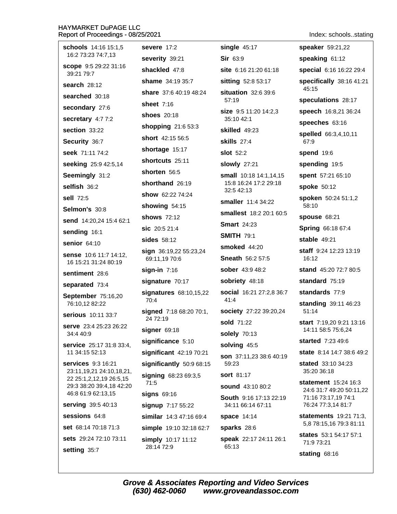| schools 14:16 15:1,5                                  | severe 17:2                             | single $45:17$                      | speaker 59:21,22                                              |
|-------------------------------------------------------|-----------------------------------------|-------------------------------------|---------------------------------------------------------------|
| 16:2 73:23 74:7,13                                    | severity 39:21                          | Sir 63:9                            | speaking 61:12                                                |
| scope 9:5 29:22 31:16<br>39:21 79:7                   | shackled 47:8                           | site 6:16 21:20 61:18               | special 6:16 16:22 29:4                                       |
| <b>search 28:12</b>                                   | shame 34:19 35:7                        | sitting 52:8 53:17                  | specifically 38:16 41:21<br>45:15                             |
| searched 30:18                                        | share 37:6 40:19 48:24                  | situation 32:6 39:6<br>57:19        |                                                               |
| secondary 27:6                                        | sheet $7:16$                            |                                     | speculations 28:17                                            |
| secretary 4:77:2                                      | <b>shoes</b> 20:18                      | size 9:5 11:20 14:2,3<br>35:10 42:1 | speech 16:8,21 36:24                                          |
| section 33:22                                         | shopping 21:6 53:3                      | skilled 49:23                       | speeches 63:16                                                |
| Security 36:7                                         | short 42:15 56:5                        | <b>skills</b> 27:4                  | spelled 66:3,4,10,11<br>67:9                                  |
| seek 71:11 74:2                                       | shortage 15:17                          | <b>slot</b> 52:2                    | <b>spend 19:6</b>                                             |
| seeking 25:9 42:5,14                                  | shortcuts 25:11                         | <b>slowly</b> 27:21                 | spending 19:5                                                 |
| Seemingly 31:2                                        | shorten 56:5                            | small 10:18 14:1,14,15              | spent 57:21 65:10                                             |
| selfish 36:2                                          | shorthand 26:19                         | 15:8 16:24 17:2 29:18<br>32:5 42:13 | spoke 50:12                                                   |
| sell 72:5                                             | show 62:22 74:24                        | smaller 11:4 34:22                  | spoken 50:24 51:1,2                                           |
| Selmon's 30:8                                         | showing 54:15                           | smallest 18:2 20:1 60:5             | 58:10                                                         |
| send 14:20,24 15:4 62:1                               | <b>shows</b> 72:12                      | <b>Smart</b> 24:23                  | <b>spouse 68:21</b>                                           |
| sending 16:1                                          | sic 20:5 21:4                           | <b>SMITH 79:1</b>                   | Spring 66:18 67:4                                             |
| senior 64:10                                          | sides 58:12                             | smoked 44:20                        | <b>stable 49:21</b>                                           |
| <b>sense</b> 10:6 11:7 14:12,<br>16 15:21 31:24 80:19 | sign 36:19,22 55:23,24<br>69:11,19 70:6 | <b>Sneath 56:2 57:5</b>             | staff 9:24 12:23 13:19<br>16:12                               |
| sentiment 28:6                                        | $sign-in$ 7:16                          | <b>sober</b> 43:9 48:2              | <b>stand</b> 45:20 72:7 80:5                                  |
| separated 73:4                                        | signature 70:17                         | sobriety 48:18                      | standard 75:19                                                |
| September 75:16,20                                    | signatures 68:10,15,22                  | <b>social</b> 16:21 27:2,8 36:7     | standards 77:9                                                |
| 76:10,12 82:22                                        | 70:4                                    | 41:4                                | standing 39:11 46:23                                          |
| serious 10:11 33:7                                    | signed 7:18 68:20 70:1,<br>24 72:19     | society 27:22 39:20,24              | 51:14                                                         |
| <b>serve</b> 23:4 25:23 26:22<br>34:4 40:9            | signer $69:18$                          | sold 71:22<br><b>solely 70:13</b>   | <b>start</b> 7:19,20 9:21 13:16<br>14:11 58:5 75:6,24         |
| <b>service</b> 25:17 31:8 33:4,                       | significance 5:10                       | solving 45:5                        | started 7:23 49:6                                             |
| 11 34:15 52:13                                        | significant 42:19 70:21                 | son 37:11,23 38:6 40:19             | <b>state</b> 8:14 14:7 38:6 49:2                              |
| <b>services</b> 9:3 16:21                             | significantly 50:9 68:15                | 59:23                               | stated 33:10 34:23                                            |
| 23:11,19,21 24:10,18,21,<br>22 25:1,2,12,19 26:5,15   | signing 68:23 69:3,5                    | <b>sort 81:17</b>                   | 35:20 36:18                                                   |
| 29:3 38:20 39:4,18 42:20                              | 71:5                                    | sound 43:10 80:2                    | <b>statement</b> 15:24 16:3<br>24:6 31:7 49:20 50:11,22       |
| 46:8 61:9 62:13,15                                    | signs 69:16                             | <b>South</b> 9:16 17:13 22:19       | 71:16 73:17,19 74:1                                           |
| serving 39:5 40:13                                    | signup 7:17 55:22                       | 34:11 66:14 67:11                   | 76:24 77:3,14 81:7                                            |
| sessions 64:8                                         | similar 14:3 47:16 69:4                 | <b>space 14:14</b>                  | <b>statements</b> $19:21$ $71:3$ ,<br>5,8 78:15,16 79:3 81:11 |
| set 68:14 70:18 71:3                                  | simple 19:10 32:18 62:7                 | sparks 28:6                         | <b>states</b> 53:1 54:17 57:1                                 |
| <b>sets</b> 29:24 72:10 73:11                         | simply 10:17 11:12<br>28:14 72:9        | speak 22:17 24:11 26:1<br>65:13     | 71:9 73:21                                                    |
| setting 35:7                                          |                                         |                                     | stating 68:16                                                 |

Index: schools..stating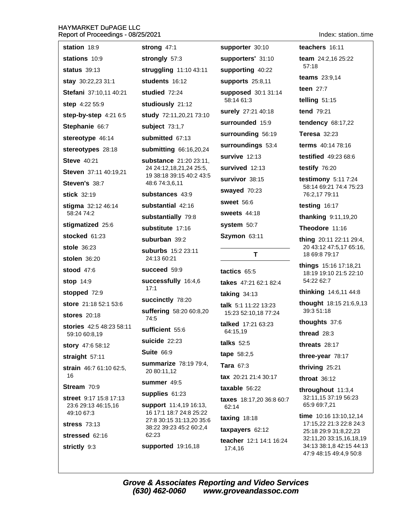| station 18:9                  | strong 47:1                                         | supporter 30:10                | teachers 16:11                                      |
|-------------------------------|-----------------------------------------------------|--------------------------------|-----------------------------------------------------|
| stations 10:9                 | strongly 57:3                                       | supporters' 31:10              | team 24:2,16 25:22                                  |
| <b>status</b> 39:13           | struggling 11:10 43:11                              | supporting 40:22               | 57:18                                               |
| stay 30:22,23 31:1            | students 16:12                                      | supports 25:8,11               | <b>teams</b> $23:9,14$                              |
| Stefani 37:10,11 40:21        | studied 72:24                                       | supposed 30:1 31:14            | teen $27:7$                                         |
| step 4:22 55:9                | studiously 21:12                                    | 58:14 61:3                     | telling $51:15$                                     |
| step-by-step 4:21 6:5         | study 72:11,20,21 73:10                             | surely 27:21 40:18             | <b>tend 79:21</b>                                   |
| Stephanie 66:7                | subject $73:1,7$                                    | surrounded 15:9                | tendency 68:17,22                                   |
| stereotype 46:14              | submitted 67:13                                     | surrounding 56:19              | <b>Teresa</b> 32:23                                 |
| stereotypes 28:18             | submitting 66:16,20,24                              | surroundings 53:4              | terms 40:14 78:16                                   |
| <b>Steve 40:21</b>            | substance 21:20 23:11,                              | survive 12:13                  | <b>testified</b> 49:23 68:6                         |
| Steven 37:11 40:19,21         | 24 24:12,18,21,24 25:5,<br>19 38:18 39:15 40:2 43:5 | survived 12:13                 | testify 76:20                                       |
| Steven's 38:7                 | 48:6 74:3,6,11                                      | survivor 38:15                 | testimony $5:117:24$<br>58:14 69:21 74:4 75:23      |
| stick 32:19                   | substances 43:9                                     | swayed 70:23                   | 76:2,17 79:11                                       |
| stigma 32:12 46:14            | substantial 42:16                                   | <b>sweet</b> 56:6              | testing 16:17                                       |
| 58:24 74:2                    | substantially 79:8                                  | <b>sweets</b> 44:18            | thanking 9:11,19,20                                 |
| stigmatized 25:6              | substitute 17:16                                    | system 50:7                    | Theodore 11:16                                      |
| stocked 61:23                 | suburban 39:2                                       | Szymon 63:11                   | thing 20:11 22:11 29:4,                             |
| <b>stole</b> 36:23            | suburbs 15:2 23:11                                  | T                              | 20 43:12 47:5,17 65:16,<br>18 69:8 79:17            |
| stolen 36:20                  | 24:13 60:21                                         |                                | things 15:16 17:18,21                               |
| <b>stood</b> 47:6             | succeed 59:9                                        | tactics 65:5                   | 18:19 19:10 21:5 22:10                              |
| <b>stop 14:9</b>              | successfully 16:4,6<br>17:1                         | takes 47:21 62:1 82:4          | 54:22 62:7                                          |
| stopped 72:9                  | succinctly 78:20                                    | <b>taking 34:13</b>            | <b>thinking</b> 14:6,11 44:8                        |
| store 21:18 52:1 53:6         | suffering 58:20 60:8,20                             | talk 5:1 11:22 13:23           | thought 18:15 21:6,9,13<br>39:3 51:18               |
| <b>stores</b> 20:18           | 74:5                                                | 15:23 52:10,18 77:24           | thoughts 37:6                                       |
| stories 42:5 48:23 58:11      | sufficient 55:6                                     | talked 17:21 63:23<br>64:15,19 | thread 28:3                                         |
| 59:10 60:8,19                 | suicide 22:23                                       | talks 52:5                     | threats 28:17                                       |
| story 47:6 58:12              | <b>Suite 66:9</b>                                   | tape 58:2,5                    | three-year 78:17                                    |
| straight 57:11                | <b>summarize</b> 78:19 79:4,                        | <b>Tara 67:3</b>               | thriving 25:21                                      |
| strain 46:7 61:10 62:5,<br>16 | 20 80:11,12                                         | tax 20:21 21:4 30:17           | throat $36:12$                                      |
| Stream 70:9                   | summer 49:5                                         | taxable 56:22                  | throughout 11:3,4                                   |
| street 9:17 15:8 17:13        | supplies 61:23                                      | taxes 18:17,20 36:8 60:7       | 32:11,15 37:19 56:23                                |
| 23:6 29:13 46:15,16           | support 11:4,19 16:13,<br>16 17:1 18:7 24:8 25:22   | 62:14                          | 65:9 69:7,21                                        |
| 49:10 67:3                    | 27:8 30:15 31:13,20 35:6                            | taxing $18:18$                 | time $10:16$ 13:10,12,14<br>17:15,22 21:3 22:8 24:3 |
| <b>stress</b> 73:13           | 38:22 39:23 45:2 60:2,4<br>62:23                    | taxpayers 62:12                | 25:18 29:9 31:8,22,23                               |
| stressed 62:16                | supported 19:16,18                                  | teacher 12:1 14:1 16:24        | 32:11,20 33:15,16,18,19<br>34:13 38:1,8 42:15 44:13 |
| strictly 9:3                  |                                                     | 17:4,16                        | $17.0 \pm 0.45 \pm 0.40 \pm 0.0$                    |

Grove & Associates Reporting and Video Services<br>(630) 462-0060 www.groveandassoc.com

Index: station..time

47:9 48:15 49:4,9 50:8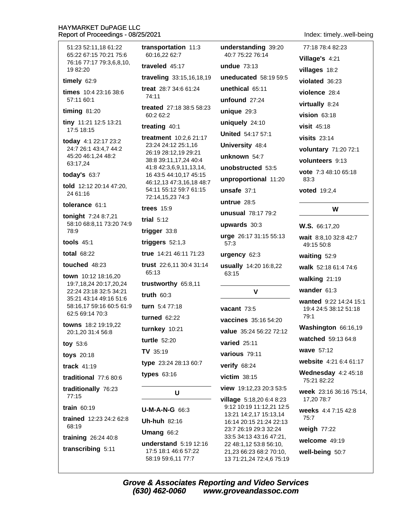51:23 52:11.18 61:22 65:22 67:15 70:21 75:6 76:16 77:17 79:3.6.8.10. 19 82:20

### timely  $62:9$

times 10:4 23:16 38:6 57:11 60:1

### timing  $81:20$

tiny 11:21 12:5 13:21 17:5 18:15

**today** 4:1 22:17 23:2 24:7 26:1 43:4,7 44:2 45:20 46:1,24 48:2 63:17,24

### today's  $63:7$

told 12:12 20:14 47:20, 24 61:16

### tolerance 61:1

tonight 7:24 8:7,21 58:10 68:8,11 73:20 74:9 78:9

## tools 45:1

total 68:22

### touched 48:23

town 10:12 18:16,20 19:7,18,24 20:17,20,24 22:24 23:18 32:5 34:21 35:21 43:14 49:16 51:6 58:16,17 59:16 60:5 61:9 62:5 69:14 70:3

towns 18:2 19:19,22 20:1,20 31:4 56:8

### tov 53:6

- toys 20:18
- track  $41:19$

traditional 77:6 80:6

traditionally 76:23 77:15

# train  $60:19$

trained 12:23 24:2 62:8 68:19

training  $26:2440:8$ 

transcribing 5:11

transportation 11:3 60:16.22 62:7

traveled  $45:17$ 

traveling 33:15,16,18,19

treat 28:7 34:6 61:24 74:11

treated 27:18 38:5 58:23 60:2 62:2

### treating 40:1

treatment 10:2.6 21:17 23:24 24:12 25:1,16 26:19 28:12.19 29:21 38:8 39:11,17,24 40:4 41:8 42:3,6,9,11,13,14, 16 43:5 44:10,17 45:15 46:12,13 47:3,16,18 48:7 54:11 55:12 59:7 61:15 72:14,15,23 74:3

### trees  $15:9$

trial  $5:12$ 

trigger  $33:8$ 

triggers  $52:1,3$ 

true 14:21 46:11 71:23 trust 22:6,11 30:4 31:14 65:13

trustworthy 65:8,11

truth  $60:3$ 

turn 5:4 77:18 turned  $62:22$ 

turnkey 10:21 turtle 52:20

 $TV$  35:19

type 23:24 28:13 60:7

# types  $63:16$

U

 $U-M-A-N-G$  66:3

**Uh-huh 82:16** 

Umang  $66:2$ 

understand 5:19 12:16 17:5 18:1 46:6 57:22 58:19 59:6,11 77:7

understanding 39:20 40:7 75:22 76:14 undue  $73.13$ uneducated 58:19 59:5 unethical 65:11 unfound  $27:24$ unique  $29:3$ uniquely 24:10 **United 54:17 57:1** University 48:4 unknown 54:7 unobstructed 53:5 unproportional 11:20 unsafe  $37:1$ untrue  $28:5$ unusual 78:17 79:2 upwards 30:3 urge 26:17 31:15 55:13 57:3

# urgency 62:3

usually 14:20 16:8,22 63:15

### V

vacant  $73:5$ vaccines 35:16 54:20 value 35:24 56:22 72:12 varied  $25:11$ various 79:11 verify 68:24  $victim$  38:15 view 19:12,23 20:3 53:5 village 5:18,20 6:4 8:23 9:12 10:19 11:12,21 12:5 13:21 14:2,17 15:13,14 16:14 20:15 21:24 22:13 23:7 26:19 29:3 32:24 33:5 34:13 43:16 47:21, 22 48:1,12 53:8 56:10, 21,23 66:23 68:2 70:10, 13 71:21,24 72:4,6 75:19 Index: timely..well-being

77:18 78:4 82:23 Village's 4:21 villages 18:2 violated 36:23 violence 28:4 virtually 8:24  $$ visit  $45:18$ visits  $23:14$ voluntary 71:20 72:1 volunteers 9:13 vote 7:3 48:10 65:18 83:3

**voted** 19:2.4

### W

W.S. 66:17.20

wait 8:8.10 32:8 42:7 49:15 50:8

waiting  $52:9$ 

walk 52:18 61:4 74:6

walking 21:19

wander 61:3

wanted 9:22 14:24 15:1 19:4 24:5 38:12 51:18  $79.1$ 

Washington 66:16,19

watched 59:13 64:8

wave 57:12

website 4:21 6:4 61:17

Wednesday  $4:245:18$ 75:21 82:22

week 23:16 36:16 75:14, 17,20 78:7

weeks 4:4 7:15 42:8  $75:7$ 

weigh 77:22

welcome 49:19

well-being 50:7

**Grove & Associates Reporting and Video Services** (630) 462-0060 www.groveandassoc.com